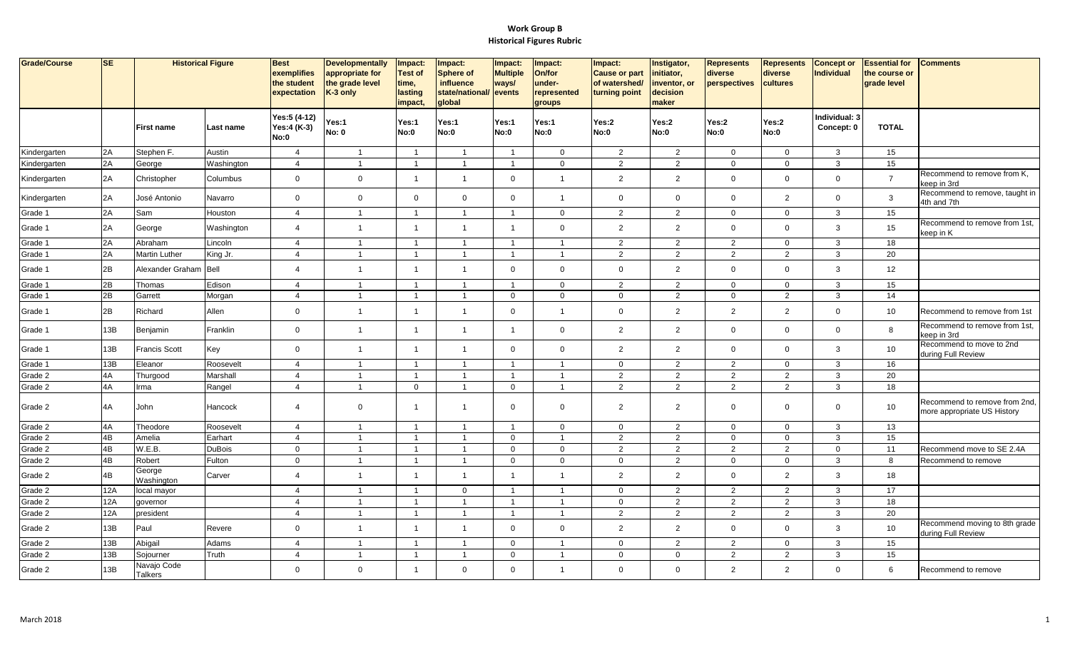| Grade/Course | SE  |                        | <b>Historical Figure</b> | <b>Best</b><br>exemplifies<br>the student<br>expectation | <b>Developmentally</b><br>appropriate for<br>the grade level<br>K-3 only | Impact:<br><b>Test of</b><br>time,<br>lasting<br>impact. | Impact:<br><b>Sphere of</b><br>influence<br>state/national/ events<br>global | Impact:<br><b>Multiple</b><br>ways/ | Impact:<br>On/for<br>under-<br>represented<br>groups | Impact:<br><b>Cause or part</b><br>of watershed/<br>turning point | Instigator,<br>initiator,<br>inventor, or<br>decision<br>maker | <b>Represents</b><br>diverse<br>perspectives | <b>Represents</b><br>diverse<br>cultures | <b>Concept or</b><br><b>Individual</b> | <b>Essential for</b><br>the course or<br>grade level | <b>Comments</b>                                              |
|--------------|-----|------------------------|--------------------------|----------------------------------------------------------|--------------------------------------------------------------------------|----------------------------------------------------------|------------------------------------------------------------------------------|-------------------------------------|------------------------------------------------------|-------------------------------------------------------------------|----------------------------------------------------------------|----------------------------------------------|------------------------------------------|----------------------------------------|------------------------------------------------------|--------------------------------------------------------------|
|              |     | <b>First name</b>      | Last name                | Yes:5 (4-12)<br>Yes:4 (K-3)<br>No:0                      | Yes:1<br><b>No: 0</b>                                                    | Yes:1<br>No:0                                            | Yes:1<br>No:0                                                                | Yes:1<br>No:0                       | Yes:1<br>No:0                                        | Yes:2<br>No:0                                                     | Yes:2<br>No:0                                                  | Yes:2<br>No:0                                | Yes:2<br>No:0                            | Individual: 3<br>Concept: 0            | <b>TOTAL</b>                                         |                                                              |
| Kindergarten | 2A  | Stephen F.             | Austin                   | $\overline{4}$                                           | $\overline{1}$                                                           | $\overline{1}$                                           | $\overline{1}$                                                               | $\overline{1}$                      | $\mathbf 0$                                          | $\overline{2}$                                                    | $\overline{2}$                                                 | $\mathbf 0$                                  | $\mathbf 0$                              | $\mathbf{3}$                           | 15                                                   |                                                              |
| Kindergarten | 2A  | George                 | Washington               | $\overline{4}$                                           | $\overline{1}$                                                           | $\overline{1}$                                           | $\overline{1}$                                                               | $\overline{1}$                      | $\mathbf{0}$                                         | 2                                                                 | $\overline{2}$                                                 | $\mathbf 0$                                  | $\mathbf 0$                              | 3                                      | 15                                                   |                                                              |
| Kindergarten | 2A  | Christopher            | Columbus                 | $\mathbf 0$                                              | $\mathbf 0$                                                              | $\mathbf{1}$                                             | $\overline{1}$                                                               | $\mathbf 0$                         | $\overline{1}$                                       | $\overline{2}$                                                    | $\overline{2}$                                                 | $\mathbf 0$                                  | $\mathsf{O}$                             | $\mathbf 0$                            | $\overline{7}$                                       | Recommend to remove from K,<br>keep in 3rd                   |
| Kindergarten | 2A  | José Antonio           | Navarro                  | $\mathbf 0$                                              | $\mathbf 0$                                                              | $\mathbf 0$                                              | $\mathbf 0$                                                                  | $\mathbf 0$                         | -1                                                   | $\mathbf 0$                                                       | $\mathbf 0$                                                    | $\mathbf 0$                                  | $\overline{2}$                           | $\Omega$                               | 3                                                    | Recommend to remove, taught in<br>4th and 7th                |
| Grade 1      | 2A  | Sam                    | Houston                  | $\overline{4}$                                           | $\overline{1}$                                                           | $\overline{1}$                                           | $\overline{1}$                                                               | $\overline{1}$                      | $\mathbf 0$                                          | $\overline{2}$                                                    | $\overline{2}$                                                 | $\mathbf 0$                                  | $\mathbf 0$                              | 3                                      | 15                                                   |                                                              |
| Grade 1      | 2A  | George                 | Washington               | $\overline{4}$                                           | 1                                                                        | $\overline{1}$                                           | $\overline{1}$                                                               | $\overline{1}$                      | $\mathbf 0$                                          | $\overline{2}$                                                    | $\overline{2}$                                                 | $\mathbf 0$                                  | $\mathbf 0$                              | 3                                      | 15                                                   | Recommend to remove from 1st,<br>keep in K                   |
| Grade 1      | 2A  | Abraham                | Lincoln                  | $\overline{4}$                                           | $\mathbf{1}$                                                             | $\overline{1}$                                           | $\overline{1}$                                                               | $\overline{1}$                      | $\overline{1}$                                       | $\overline{2}$                                                    | $\overline{2}$                                                 | $\overline{2}$                               | $\mathbf 0$                              | 3                                      | 18                                                   |                                                              |
| Grade 1      | 2A  | <b>Martin Luther</b>   | King Jr.                 | $\overline{4}$                                           | $\overline{1}$                                                           | $\overline{1}$                                           | $\overline{1}$                                                               | $\overline{1}$                      | $\overline{1}$                                       | $\overline{2}$                                                    | 2                                                              | 2                                            | $\overline{2}$                           | 3                                      | 20                                                   |                                                              |
| Grade 1      | 2B  | Alexander Graham Bell  |                          | $\overline{4}$                                           | 1                                                                        | $\mathbf{1}$                                             | $\overline{1}$                                                               | $\mathbf 0$                         | $\mathbf 0$                                          | $\mathbf 0$                                                       | $\overline{2}$                                                 | $\mathbf 0$                                  | $\mathbf 0$                              | 3                                      | 12                                                   |                                                              |
| Grade 1      | 2B  | Thomas                 | Edison                   | $\overline{4}$                                           | $\overline{1}$                                                           | $\overline{1}$                                           | $\overline{1}$                                                               | $\overline{1}$                      | $\mathbf{0}$                                         | $\overline{2}$                                                    | $\overline{2}$                                                 | $\mathbf{0}$                                 | $\mathbf{0}$                             | $\mathbf{3}$                           | 15                                                   |                                                              |
| Grade 1      | 2B  | Garrett                | Morgan                   | $\overline{4}$                                           | $\mathbf 1$                                                              | $\overline{1}$                                           | $\overline{1}$                                                               | $\mathbf 0$                         | $\mathbf 0$                                          | $\mathbf 0$                                                       | $\overline{2}$                                                 | $\mathbf 0$                                  | $\overline{2}$                           | $\mathbf{3}$                           | 14                                                   |                                                              |
| Grade 1      | 2B  | Richard                | Allen                    | $\mathsf 0$                                              | $\overline{1}$                                                           | $\overline{1}$                                           | $\overline{1}$                                                               | $\mathbf 0$                         | $\overline{ }$                                       | $\overline{0}$                                                    | $\overline{a}$                                                 | $\overline{2}$                               | $\mathbf{2}$                             | $\Omega$                               | 10                                                   | Recommend to remove from 1st                                 |
| Grade 1      | 13B | Benjamin               | Franklin                 | $\mathbf 0$                                              | $\overline{1}$                                                           | $\overline{1}$                                           | $\overline{1}$                                                               | $\overline{1}$                      | $\mathbf 0$                                          | $\overline{2}$                                                    | $\overline{2}$                                                 | $\mathbf 0$                                  | $\mathbf 0$                              | $\Omega$                               | 8                                                    | Recommend to remove from 1st,<br>keep in 3rd                 |
| Grade 1      | 13B | <b>Francis Scott</b>   | Key                      | $\mathbf 0$                                              | $\overline{1}$                                                           | $\overline{1}$                                           | $\overline{1}$                                                               | $\mathbf 0$                         | $\mathbf 0$                                          | 2                                                                 | $\overline{2}$                                                 | $\mathbf{0}$                                 | $\mathbf 0$                              | 3                                      | 10                                                   | Recommend to move to 2nd<br>during Full Review               |
| Grade 1      | 13B | Eleanor                | Roosevelt                | $\overline{4}$                                           |                                                                          | $\overline{1}$                                           |                                                                              |                                     | $\overline{1}$                                       | $\mathbf 0$                                                       | $\overline{2}$                                                 | $\overline{2}$                               | $\mathbf 0$                              | 3                                      | 16                                                   |                                                              |
| Grade 2      | 4A  | Thurgood               | Marshall                 | $\overline{4}$                                           | $\mathbf{1}$                                                             | $\overline{1}$                                           | $\overline{1}$                                                               | $\overline{1}$                      | $\overline{1}$                                       | $\overline{2}$                                                    | $\overline{2}$                                                 | $\overline{2}$                               | $\overline{2}$                           | $\mathbf{3}$                           | 20                                                   |                                                              |
| Grade 2      | 4A  | Irma                   | Rangel                   | $\overline{4}$                                           | $\overline{1}$                                                           | $\mathbf 0$                                              | $\overline{1}$                                                               | $\mathbf 0$                         | $\overline{1}$                                       | 2                                                                 | $\overline{2}$                                                 | $\overline{2}$                               | $\overline{2}$                           | $\mathbf{3}$                           | 18                                                   |                                                              |
| Grade 2      | 4A  | John                   | Hancock                  | $\overline{4}$                                           | $\mathbf 0$                                                              | $\overline{1}$                                           | $\overline{1}$                                                               | $\mathbf 0$                         | $\mathbf 0$                                          | $\overline{2}$                                                    | $\overline{2}$                                                 | $\mathbf 0$                                  | $\mathbf 0$                              | $\mathbf 0$                            | 10                                                   | Recommend to remove from 2nd,<br>more appropriate US History |
| Grade 2      | 4A  | Theodore               | Roosevelt                | $\overline{4}$                                           | $\overline{1}$                                                           | $\overline{1}$                                           | $\overline{1}$                                                               | $\overline{1}$                      | $\mathbf{0}$                                         | $\mathbf{0}$                                                      | 2                                                              | $\mathbf{0}$                                 | $\overline{0}$                           | 3                                      | 13                                                   |                                                              |
| Grade 2      | 4B  | Amelia                 | Earhart                  | $\overline{4}$                                           |                                                                          | $\mathbf{1}$                                             |                                                                              | $\mathbf 0$                         | 1                                                    | $\overline{2}$                                                    | $\overline{2}$                                                 | $\mathbf 0$                                  | $\pmb{0}$                                | 3                                      | 15                                                   |                                                              |
| Grade 2      | 4B  | W.E.B.                 | <b>DuBois</b>            | $\mathbf 0$                                              |                                                                          | $\overline{1}$                                           | $\overline{1}$                                                               | $\mathbf 0$                         | $\mathbf 0$                                          | $\overline{2}$                                                    | $\overline{2}$                                                 | 2                                            | $\overline{2}$                           | $\mathbf 0$                            | 11                                                   | Recommend move to SE 2.4A                                    |
| Grade 2      | 4B  | Robert                 | Fulton                   | $\mathbf 0$                                              | $\mathbf{1}$                                                             | $\overline{1}$                                           | $\mathbf{1}$                                                                 | $\mathbf 0$                         | $\mathbf 0$                                          | $\mathbf 0$                                                       | $\overline{2}$                                                 | $\mathbf 0$                                  | $\mathbf 0$                              | $\mathbf{3}$                           | 8                                                    | Recommend to remove                                          |
| Grade 2      | 4B  | George<br>Washington   | Carver                   | $\overline{4}$                                           | $\overline{1}$                                                           | $\overline{1}$                                           | $\overline{1}$                                                               | $\overline{1}$                      | $\overline{\mathbf{1}}$                              | $\overline{2}$                                                    | $\mathbf{2}$                                                   | $\mathbf 0$                                  | $\overline{2}$                           | 3                                      | 18                                                   |                                                              |
| Grade 2      | 12A | local mayor            |                          | $\overline{4}$                                           |                                                                          | $\overline{1}$                                           | $\mathbf 0$                                                                  | $\overline{\mathbf{1}}$             | $\overline{1}$                                       | $\mathbf 0$                                                       | $\overline{2}$                                                 | $\overline{2}$                               | $\overline{2}$                           | $\mathbf{3}$                           | 17                                                   |                                                              |
| Grade 2      | 12A | governor               |                          | $\overline{4}$                                           | $\overline{1}$                                                           | $\mathbf{1}$                                             | $\overline{1}$                                                               | $\overline{1}$                      | $\overline{1}$                                       | $\mathbf 0$                                                       | $\overline{2}$                                                 | $\overline{2}$                               | $\overline{2}$                           | $\mathbf{3}$                           | 18                                                   |                                                              |
| Grade 2      | 12A | president              |                          | $\overline{4}$                                           | $\overline{1}$                                                           | $\overline{1}$                                           | $\overline{1}$                                                               | $\overline{1}$                      | $\overline{1}$                                       | 2                                                                 | 2                                                              | 2                                            | $\overline{2}$                           | 3                                      | 20                                                   |                                                              |
| Grade 2      | 13B | Paul                   | Revere                   | $\mathbf 0$                                              | $\overline{1}$                                                           | $\overline{1}$                                           | $\overline{1}$                                                               | $\mathbf 0$                         | $\mathbf 0$                                          | 2                                                                 | $\overline{2}$                                                 | $\mathbf 0$                                  | $\mathbf 0$                              | 3                                      | 10 <sub>1</sub>                                      | Recommend moving to 8th grade<br>during Full Review          |
| Grade 2      | 13B | Abigail                | Adams                    | $\overline{4}$                                           |                                                                          | $\mathbf{1}$                                             |                                                                              | $\mathbf 0$                         |                                                      | $\mathbf 0$                                                       | $\overline{2}$                                                 | $\overline{2}$                               | $\mathbf 0$                              | 3                                      | 15                                                   |                                                              |
| Grade 2      | 13B | Sojourner              | Truth                    | $\overline{4}$                                           | -1                                                                       | $\overline{1}$                                           | -1                                                                           | $\mathbf 0$                         | -1                                                   | $\mathbf 0$                                                       | $\mathbf 0$                                                    | 2                                            | $\overline{2}$                           | 3                                      | 15                                                   |                                                              |
| Grade 2      | 13B | Navajo Code<br>Talkers |                          | $\mathbf 0$                                              | $\mathbf{0}$                                                             | $\mathbf{1}$                                             | $\Omega$                                                                     | $\Omega$                            | $\overline{1}$                                       | $\mathbf 0$                                                       | $\Omega$                                                       | $\overline{2}$                               | $\overline{2}$                           | $\mathbf 0$                            | 6                                                    | Recommend to remove                                          |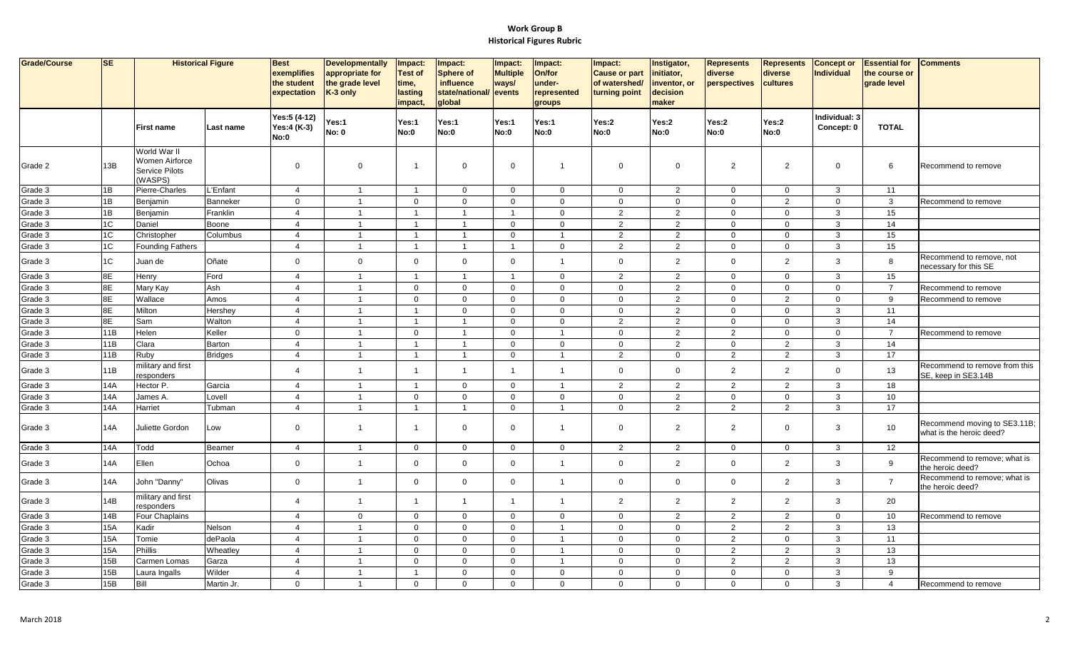| Grade/Course | <b>SE</b>  |                                                             | <b>Historical Figure</b> | <b>Best</b><br>exemplifies<br>the student<br>expectation | <b>Developmentally</b><br>appropriate for<br>the grade level<br>K-3 only | Impact:<br><b>Test of</b><br>time,<br>lasting<br>impact, | Impact:<br><b>Sphere of</b><br>influence<br>state/national/<br>global | Impact:<br><b>Multiple</b><br>ways/<br>events | Impact:<br>On/for<br>under-<br>represented<br>groups | Impact:<br><b>Cause or part</b><br>of watershed/<br>turning point | Instigator,<br>initiator,<br>inventor, or<br>decision<br>maker | Represents<br>diverse<br>perspectives | <b>Represents</b><br>diverse<br>cultures | <b>Concept or</b><br><b>Individual</b> | <b>Essential for</b><br>the course or<br>grade level | <b>Comments</b>                                          |
|--------------|------------|-------------------------------------------------------------|--------------------------|----------------------------------------------------------|--------------------------------------------------------------------------|----------------------------------------------------------|-----------------------------------------------------------------------|-----------------------------------------------|------------------------------------------------------|-------------------------------------------------------------------|----------------------------------------------------------------|---------------------------------------|------------------------------------------|----------------------------------------|------------------------------------------------------|----------------------------------------------------------|
|              |            | <b>First name</b>                                           | Last name                | Yes:5 (4-12)<br>Yes:4 (K-3)<br>No:0                      | Yes:1<br><b>No: 0</b>                                                    | Yes:1<br>No:0                                            | Yes:1<br>No:0                                                         | Yes:1<br>No:0                                 | Yes:1<br>No:0                                        | Yes:2<br>No:0                                                     | Yes:2<br>No:0                                                  | Yes:2<br>No:0                         | Yes:2<br>No:0                            | Individual: 3<br>Concept: 0            | <b>TOTAL</b>                                         |                                                          |
| Grade 2      | 13B        | World War II<br>Women Airforce<br>Service Pilots<br>(WASPS) |                          | $\mathbf 0$                                              | $\mathbf 0$                                                              | $\overline{1}$                                           | $\mathbf 0$                                                           | $\mathbf 0$                                   | $\overline{1}$                                       | $\mathbf 0$                                                       | $\overline{0}$                                                 | $\overline{2}$                        | $\overline{2}$                           | $\mathbf{0}$                           | 6                                                    | Recommend to remove                                      |
| Grade 3      | 1B         | Pierre-Charles                                              | L'Enfant                 | $\overline{4}$                                           | $\overline{1}$                                                           | $\overline{1}$                                           | $\mathbf 0$                                                           | $\mathbf 0$                                   | $\mathbf 0$                                          | $\mathbf 0$                                                       | $\overline{2}$                                                 | $\mathbf 0$                           | $\mathbf 0$                              | $\mathbf{3}$                           | 11                                                   |                                                          |
| Grade 3      | 1B         | Benjamin                                                    | Banneker                 | $\mathbf 0$                                              | $\overline{1}$                                                           | $\mathbf 0$                                              | $\mathbf 0$                                                           | $\mathbf 0$                                   | $\mathbf 0$                                          | $\mathbf 0$                                                       | $\mathbf 0$                                                    | $\mathbf 0$                           | $\overline{2}$                           | $\mathbf 0$                            | $\mathbf{3}$                                         | Recommend to remove                                      |
| Grade 3      | 1B         | Benjamin                                                    | Franklin                 | $\overline{4}$                                           | $\overline{1}$                                                           | $\overline{1}$                                           | $\overline{1}$                                                        | $\overline{1}$                                | $\mathbf 0$                                          | $\overline{2}$                                                    | $\overline{2}$                                                 | $\mathbf 0$                           | $\mathbf 0$                              | $\mathbf{3}$                           | 15                                                   |                                                          |
| Grade 3      | 1C         | Daniel                                                      | Boone                    | $\overline{4}$                                           | $\overline{1}$                                                           | $\overline{1}$                                           | $\overline{1}$                                                        | $\mathbf 0$                                   | $\mathbf 0$                                          | $\overline{2}$                                                    | $\overline{2}$                                                 | $\mathbf 0$                           | $\mathbf 0$                              | 3                                      | 14                                                   |                                                          |
| Grade 3      | 1C         | Christopher                                                 | Columbus                 | $\overline{4}$                                           | $\overline{1}$                                                           | $\overline{1}$                                           | $\overline{1}$                                                        | $\mathbf 0$                                   | $\overline{\mathbf{1}}$                              | $\overline{2}$                                                    | $\overline{2}$                                                 | $\mathbf 0$                           | $\mathbf 0$                              | $\mathbf{3}$                           | 15                                                   |                                                          |
| Grade 3      | 1C         | <b>Founding Fathers</b>                                     |                          | $\overline{4}$                                           | $\overline{1}$                                                           | $\overline{1}$                                           | $\overline{1}$                                                        | $\mathbf{1}$                                  | $\mathbf 0$                                          | $\overline{2}$                                                    | $\overline{2}$                                                 | $\mathbf{0}$                          | $\mathbf 0$                              | $\mathbf{3}$                           | 15                                                   |                                                          |
| Grade 3      | 1C         | Juan de                                                     | Oñate                    | $\mathbf 0$                                              | $\mathbf 0$                                                              | $\mathbf{0}$                                             | $\mathbf 0$                                                           | $\mathbf 0$                                   | $\overline{1}$                                       | $\mathbf 0$                                                       | $\overline{2}$                                                 | $\mathbf 0$                           | $\overline{2}$                           | $\mathbf{3}$                           | 8                                                    | Recommend to remove, not<br>necessary for this SE        |
| Grade 3      | 8E         | Henry                                                       | Ford                     | $\overline{4}$                                           | $\overline{1}$                                                           | $\overline{1}$                                           | $\overline{1}$                                                        | $\overline{1}$                                | $\mathbf 0$                                          | $\overline{2}$                                                    | $\overline{2}$                                                 | $\mathbf 0$                           | $\mathbf 0$                              | $\mathbf{3}$                           | 15                                                   |                                                          |
| Grade 3      | 8E         | Mary Kay                                                    | Ash                      | $\overline{4}$                                           | $\overline{1}$                                                           | $\mathbf 0$                                              | $\mathbf 0$                                                           | $\mathbf 0$                                   | $\mathbf 0$                                          | $\mathbf 0$                                                       | $\overline{2}$                                                 | $\mathbf 0$                           | $\mathbf 0$                              | $\mathbf 0$                            | $\overline{7}$                                       | Recommend to remove                                      |
| Grade 3      | 8E         | Wallace                                                     | Amos                     | $\overline{4}$                                           |                                                                          | $\mathbf 0$                                              | $\mathbf 0$                                                           | $\mathbf 0$                                   | $\mathbf 0$                                          | $\mathbf 0$                                                       | $\overline{2}$                                                 | $\mathbf 0$                           | $\overline{2}$                           | $\mathbf 0$                            | 9                                                    | Recommend to remove                                      |
| Grade 3      | 8E         | Milton                                                      | Hershey                  | $\overline{4}$                                           | $\overline{1}$                                                           | $\overline{1}$                                           | $\mathbf 0$                                                           | $\mathbf 0$                                   | $\mathbf 0$                                          | $\mathbf 0$                                                       | $\overline{2}$                                                 | $\mathbf 0$                           | $\mathbf 0$                              | 3                                      | 11                                                   |                                                          |
| Grade 3      | 8E         | Sam                                                         | Walton                   | $\overline{4}$                                           | $\overline{1}$                                                           | $\overline{1}$                                           | $\overline{1}$                                                        | $\mathbf{0}$                                  | $\mathbf 0$                                          | $\overline{2}$                                                    | 2                                                              | $\mathbf 0$                           | $\mathbf 0$                              | $\mathbf{3}$                           | 14                                                   |                                                          |
| Grade 3      | 11B        | Helen                                                       | Keller                   | $\mathbf{0}$                                             | $\overline{1}$                                                           | $\mathbf{0}$                                             | $\overline{1}$                                                        | $\mathbf{0}$                                  | $\overline{1}$                                       | $\mathbf 0$                                                       | $\overline{2}$                                                 | $\overline{2}$                        | $\mathbf 0$                              | $\overline{0}$                         | $\overline{7}$                                       | Recommend to remove                                      |
| Grade 3      | 11B        | Clara                                                       | <b>Barton</b>            | $\overline{4}$                                           | $\overline{1}$                                                           | $\overline{1}$                                           | $\overline{1}$                                                        | $\mathbf 0$                                   | $\mathbf 0$                                          | $\mathbf 0$                                                       | $\overline{2}$                                                 | $\mathbf 0$                           | $\overline{2}$                           | 3                                      | 14                                                   |                                                          |
| Grade 3      | 11B        | Ruby                                                        | <b>Bridges</b>           | $\overline{4}$                                           | $\overline{1}$                                                           | $\overline{1}$                                           | $\overline{1}$                                                        | $\mathbf 0$                                   | $\overline{1}$                                       | $\overline{2}$                                                    | $\overline{0}$                                                 | $\overline{2}$                        | $\overline{2}$                           | $\mathbf{3}$                           | 17                                                   |                                                          |
| Grade 3      | 11B        | nilitary and first<br>responders                            |                          | $\overline{4}$                                           | 1                                                                        | $\overline{1}$                                           | $\overline{1}$                                                        |                                               | $\overline{1}$                                       | $\mathbf 0$                                                       | $\mathbf 0$                                                    | $\overline{2}$                        | $\overline{2}$                           | $\mathbf 0$                            | 13                                                   | Recommend to remove from this<br>SE, keep in SE3.14B     |
| Grade 3      | 14A        | Hector P.                                                   | Garcia                   | $\overline{4}$                                           | $\overline{1}$                                                           | $\overline{1}$                                           | $\mathbf 0$                                                           | $\mathbf 0$                                   | $\overline{\mathbf{1}}$                              | 2                                                                 | 2                                                              | $\overline{2}$                        | $\overline{2}$                           | $\mathbf{3}$                           | 18                                                   |                                                          |
| Grade 3      | <b>14A</b> | James A.                                                    | Lovell                   | $\overline{4}$                                           | $\overline{1}$                                                           | $\overline{0}$                                           | $\mathbf 0$                                                           | $\mathbf{0}$                                  | $\mathbf 0$                                          | $\mathbf 0$                                                       | $\overline{2}$                                                 | $\mathbf 0$                           | $\mathbf 0$                              | $\mathbf{3}$                           | 10 <sup>1</sup>                                      |                                                          |
| Grade 3      | <b>14A</b> | Harriet                                                     | Tubman                   | $\overline{4}$                                           | $\overline{1}$                                                           | $\overline{1}$                                           | $\overline{1}$                                                        | $\mathbf{0}$                                  | $\overline{1}$                                       | $\mathbf 0$                                                       | 2                                                              | $\overline{2}$                        | 2                                        | $\mathbf{3}$                           | 17                                                   |                                                          |
| Grade 3      | 14A        | Juliette Gordon                                             | Low                      | $\mathbf 0$                                              | 1                                                                        | -1                                                       | $\mathbf 0$                                                           | $\mathbf 0$                                   | $\overline{1}$                                       | $\mathbf 0$                                                       | $\overline{2}$                                                 | $\overline{2}$                        | $\mathbf 0$                              | $\mathbf{3}$                           | 10                                                   | Recommend moving to SE3.11B;<br>what is the heroic deed? |
| Grade 3      | <b>14A</b> | Todd                                                        | Beamer                   | $\overline{4}$                                           | $\overline{1}$                                                           | $\mathbf 0$                                              | $\mathbf 0$                                                           | $\mathbf 0$                                   | $\mathbf 0$                                          | $\overline{2}$                                                    | 2                                                              | $\mathbf 0$                           | $\mathbf 0$                              | $\mathbf{3}$                           | 12                                                   |                                                          |
| Grade 3      | 14A        | Ellen                                                       | Ochoa                    | $\mathbf{0}$                                             | $\overline{1}$                                                           | $\mathbf 0$                                              | $\mathbf 0$                                                           | $\mathbf{0}$                                  | $\overline{1}$                                       | $\mathbf 0$                                                       | $\overline{2}$                                                 | $\mathbf 0$                           | $\overline{2}$                           | $\mathbf{3}$                           | 9                                                    | Recommend to remove; what is<br>the heroic deed?         |
| Grade 3      | 14A        | John "Danny"                                                | Olivas                   | $\mathsf{O}\xspace$                                      | $\overline{1}$                                                           | $\mathbf 0$                                              | $\mathbf 0$                                                           | $\mathbf 0$                                   | $\overline{1}$                                       | $\mathbf 0$                                                       | $\overline{0}$                                                 | $\mathbf 0$                           | $\overline{2}$                           | 3                                      | $\overline{7}$                                       | Recommend to remove; what is<br>the heroic deed?         |
| Grade 3      | 14B        | military and first<br>responders                            |                          | $\overline{4}$                                           | $\overline{1}$                                                           | -1                                                       | $\overline{1}$                                                        | $\overline{1}$                                | $\overline{1}$                                       | $\overline{2}$                                                    | $\overline{2}$                                                 | $\overline{2}$                        | $\overline{2}$                           | 3                                      | 20                                                   |                                                          |
| Grade 3      | 14B        | Four Chaplains                                              |                          | $\overline{4}$                                           | $\mathbf 0$                                                              | $\mathbf{0}$                                             | $\mathbf 0$                                                           | $\mathbf{0}$                                  | $\mathbf 0$                                          | $\mathbf 0$                                                       | $\overline{2}$                                                 | $\overline{2}$                        | $\overline{2}$                           | $\mathbf{0}$                           | 10                                                   | Recommend to remove                                      |
| Grade 3      | <b>15A</b> | Kadir                                                       | Nelson                   | $\overline{4}$                                           | $\overline{1}$                                                           | $\mathbf 0$                                              | $\mathbf 0$                                                           | $\mathbf 0$                                   | $\overline{1}$                                       | $\mathbf 0$                                                       | $\mathbf 0$                                                    | $\overline{2}$                        | 2                                        | 3                                      | 13                                                   |                                                          |
| Grade 3      | 15A        | Tomie                                                       | dePaola                  | $\overline{4}$                                           |                                                                          | $\Omega$                                                 | $\mathsf{O}\xspace$                                                   | $\mathbf 0$                                   |                                                      | $\mathbf 0$                                                       | $\mathsf 0$                                                    | $\overline{2}$                        | $\mathsf 0$                              | 3                                      | 11                                                   |                                                          |
| Grade 3      | <b>15A</b> | Phillis                                                     | Wheatley                 | $\overline{4}$                                           | $\overline{1}$                                                           | $\mathbf 0$                                              | $\mathbf 0$                                                           | $\mathbf 0$                                   | $\overline{\mathbf{1}}$                              | $\mathbf 0$                                                       | $\mathbf 0$                                                    | $\mathbf{2}$                          | $\overline{2}$                           | 3                                      | 13                                                   |                                                          |
| Grade 3      | 15B        | Carmen Lomas                                                | Garza                    | $\overline{4}$                                           | $\overline{1}$                                                           | $\mathbf{0}$                                             | $\mathbf 0$                                                           | $\mathbf 0$                                   | $\overline{1}$                                       | $\mathbf 0$                                                       | $\overline{0}$                                                 | $\overline{2}$                        | $\overline{2}$                           | $\mathbf{3}$                           | 13                                                   |                                                          |
| Grade 3      | 15B        | Laura Ingalls                                               | Wilder                   | $\overline{4}$                                           | $\overline{1}$                                                           | $\overline{1}$                                           | $\mathbf 0$                                                           | $\mathbf 0$                                   | $\mathbf 0$                                          | $\mathbf 0$                                                       | $\mathbf 0$                                                    | $\mathbf 0$                           | $\mathbf 0$                              | $\mathbf{3}$                           | 9                                                    |                                                          |
| Grade 3      | 15B        | Bill                                                        | Martin Jr.               | $\mathbf{0}$                                             | $\overline{1}$                                                           | $\overline{0}$                                           | $\Omega$                                                              | $\mathbf{0}$                                  | $\Omega$                                             | $\mathbf 0$                                                       | $\mathbf 0$                                                    | $\mathbf 0$                           | $\mathbf 0$                              | 3                                      | $\overline{4}$                                       | Recommend to remove                                      |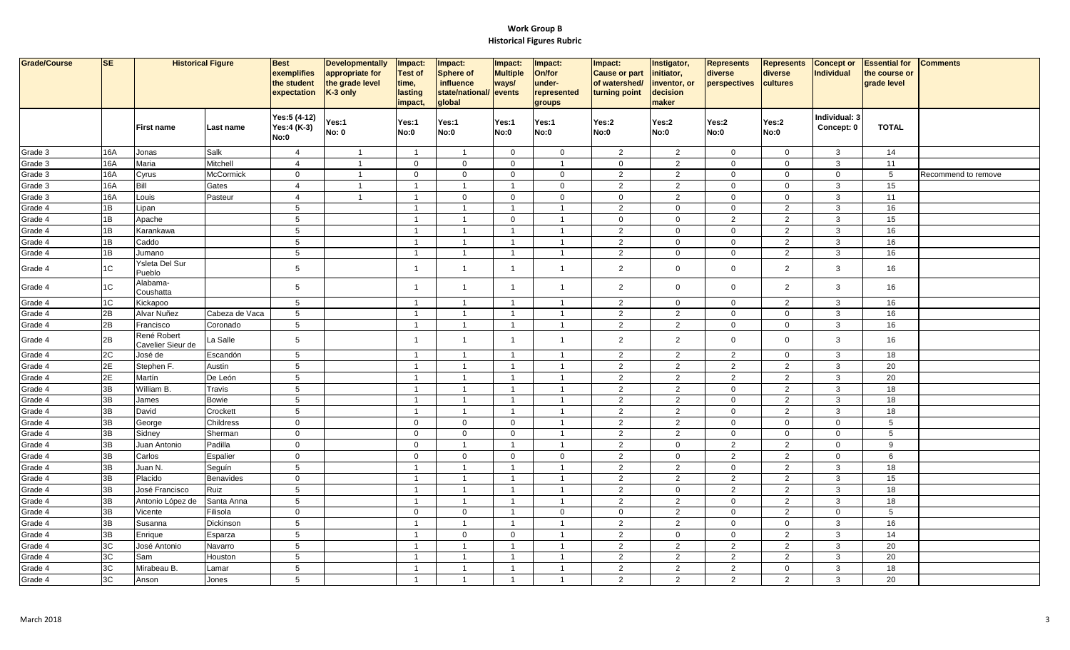| Grade/Course       | <b>SE</b>       | <b>Historical Figure</b>         |                  | <b>Best</b><br>exemplifies<br>the student<br>expectation | <b>Developmentally</b><br>appropriate for<br>the grade level<br>K-3 only | Impact:<br><b>Test of</b><br>time,<br>lasting<br>impact, | Impact:<br><b>Sphere of</b><br>influence<br>state/national/ events<br>global | Impact:<br><b>Multiple</b><br>ways/ | Impact:<br>On/for<br>under-<br>represented<br>groups | Impact:<br><b>Cause or part</b><br>of watershed/<br>turning point | Instigator,<br>initiator,<br>inventor, or<br>decision<br>maker | <b>Represents</b><br>diverse<br>perspectives | Represents<br>diverse<br>cultures | <b>Concept or</b><br>Individual | <b>Essential for</b><br>the course or<br>grade level | <b>Comments</b>     |
|--------------------|-----------------|----------------------------------|------------------|----------------------------------------------------------|--------------------------------------------------------------------------|----------------------------------------------------------|------------------------------------------------------------------------------|-------------------------------------|------------------------------------------------------|-------------------------------------------------------------------|----------------------------------------------------------------|----------------------------------------------|-----------------------------------|---------------------------------|------------------------------------------------------|---------------------|
|                    |                 | <b>First name</b>                | Last name        | Yes:5 (4-12)<br>Yes:4 (K-3)<br>No:0                      | Yes:1<br><b>No: 0</b>                                                    | Yes:1<br>No:0                                            | Yes:1<br><b>No:0</b>                                                         | Yes:1<br><b>No:0</b>                | Yes:1<br><b>No:0</b>                                 | Yes:2<br>No:0                                                     | Yes:2<br>No:0                                                  | Yes:2<br><b>No:0</b>                         | Yes:2<br>No:0                     | Individual: 3<br>Concept: 0     | <b>TOTAL</b>                                         |                     |
| Grade 3            | 16A             | Jonas                            | Salk             | $\overline{4}$                                           | $\overline{1}$                                                           | $\overline{1}$                                           | $\overline{1}$                                                               | $\mathbf 0$                         | $\mathbf 0$                                          | $\overline{2}$                                                    | $\overline{2}$                                                 | $\mathbf 0$                                  | $\mathbf 0$                       | $\mathbf{3}$                    | 14                                                   |                     |
| Grade 3            | 16A             | Maria                            | Mitchell         | $\overline{4}$                                           | $\overline{1}$                                                           | $\mathbf 0$                                              | $\mathbf 0$                                                                  | $\mathbf 0$                         | -1                                                   | $\mathbf 0$                                                       | $\overline{2}$                                                 | $\mathbf 0$                                  | $\mathbf 0$                       | $\mathbf{3}$                    | 11                                                   |                     |
| Grade 3            | 16A             | Cyrus                            | <b>McCormick</b> | $\mathbf 0$                                              | $\overline{1}$                                                           | $\mathbf 0$                                              | $\mathsf{O}\xspace$                                                          | $\mathbf 0$                         | $\mathsf 0$                                          | $\overline{2}$                                                    | $\overline{2}$                                                 | $\mathbf 0$                                  | $\overline{0}$                    | $\overline{0}$                  | $5\phantom{.0}$                                      | Recommend to remove |
| Grade 3            | 16A             | Bill                             | Gates            | $\overline{4}$                                           | $\overline{1}$                                                           | $\overline{1}$                                           | $\overline{1}$                                                               | $\overline{1}$                      | $\mathbf 0$                                          | $\overline{2}$                                                    | $\overline{2}$                                                 | $\mathbf 0$                                  | $\mathsf 0$                       | 3                               | 15                                                   |                     |
| Grade 3            | 16A             | Louis                            | Pasteur          | $\overline{4}$                                           | $\overline{1}$                                                           | $\overline{1}$                                           | $\mathbf 0$                                                                  | $\mathbf 0$                         | $\mathsf 0$                                          | $\mathbf 0$                                                       | $\overline{2}$                                                 | $\mathbf 0$                                  | $\mathbf 0$                       | $\mathbf{3}$                    | 11                                                   |                     |
| Grade 4            | 1B              | Lipan                            |                  | $5\phantom{.0}$                                          |                                                                          | $\overline{1}$                                           | $\overline{1}$                                                               | $\overline{1}$                      | $\overline{1}$                                       | $\overline{2}$                                                    | $\overline{0}$                                                 | $\mathbf 0$                                  | $\overline{2}$                    | $\mathbf{3}$                    | 16                                                   |                     |
| Grade 4            | $\overline{1B}$ | Apache                           |                  | $\overline{5}$                                           |                                                                          | $\overline{\phantom{0}}$                                 | $\overline{1}$                                                               | $\mathsf 0$                         | $\overline{1}$                                       | $\mathsf 0$                                                       | $\overline{0}$                                                 | $\overline{a}$                               | $\overline{2}$                    | $\mathbf{3}$                    | 15                                                   |                     |
| Grade 4            | $\overline{1B}$ | Karankawa                        |                  | 5                                                        |                                                                          | $\overline{1}$                                           | $\overline{1}$                                                               | $\mathbf{1}$                        | $\overline{1}$                                       | $\overline{2}$                                                    | $\overline{0}$                                                 | $\mathbf 0$                                  | $\overline{2}$                    | $\mathbf{3}$                    | 16                                                   |                     |
| Grade 4            | 1B              | Caddo                            |                  | $5\phantom{.0}$                                          |                                                                          | $\overline{1}$                                           | $\overline{1}$                                                               | $\overline{1}$                      | $\overline{1}$                                       | $\overline{2}$                                                    | $\mathbf 0$                                                    | $\mathbf 0$                                  | $\overline{2}$                    | $\mathbf{3}$                    | 16                                                   |                     |
| Grade 4            | 1B              | Jumano                           |                  | $\sqrt{5}$                                               |                                                                          | $\overline{1}$                                           | $\overline{1}$                                                               | $\overline{1}$                      | $\overline{1}$                                       | $\overline{2}$                                                    | $\mathbf 0$                                                    | $\mathsf{O}\xspace$                          | $\overline{2}$                    | $\mathbf{3}$                    | 16                                                   |                     |
| Grade 4            | 1C              | Ysleta Del Sur<br>Pueblo         |                  | 5                                                        |                                                                          | $\overline{1}$                                           | $\overline{1}$                                                               | $\overline{1}$                      | $\overline{1}$                                       | 2                                                                 | $\mathbf 0$                                                    | $\mathbf 0$                                  | 2                                 | 3                               | 16                                                   |                     |
| Grade 4            | $1\textrm{C}$   | Alabama-<br>Coushatta            |                  | $5\phantom{.0}$                                          |                                                                          | $\overline{1}$                                           | $\overline{1}$                                                               | $\overline{1}$                      | $\overline{1}$                                       | $\overline{2}$                                                    | $\overline{0}$                                                 | $\mathbf 0$                                  | $\overline{2}$                    | $\mathbf{3}$                    | 16                                                   |                     |
| Grade 4            | 1C              | Kickapoo                         |                  | $\sqrt{5}$                                               |                                                                          | $\overline{1}$                                           | $\overline{1}$                                                               | $\overline{1}$                      | $\overline{1}$                                       | $\overline{2}$                                                    | $\mathbf 0$                                                    | $\mathbf 0$                                  | $\overline{2}$                    | $\mathbf{3}$                    | 16                                                   |                     |
| Grade 4            | 2B              | Alvar Nuñez                      | Cabeza de Vaca   | $5\phantom{.0}$                                          |                                                                          | $\overline{1}$                                           | $\overline{1}$                                                               | $\overline{1}$                      | $\overline{1}$                                       | $\overline{2}$                                                    | $\overline{2}$                                                 | $\mathbf 0$                                  | $\overline{0}$                    | $\mathbf{3}$                    | 16                                                   |                     |
| Grade 4            | 2B              | Francisco                        | Coronado         | $5\phantom{.0}$                                          |                                                                          | $\overline{1}$                                           | $\overline{1}$                                                               | $\overline{1}$                      | $\overline{1}$                                       | $\overline{2}$                                                    | $\overline{2}$                                                 | $\mathbf 0$                                  | $\overline{0}$                    | $\mathbf{3}$                    | 16                                                   |                     |
| Grade 4            | 2B              | René Robert<br>Cavelier Sieur de | La Salle         | $5\phantom{.0}$                                          |                                                                          | $\overline{\mathbf{1}}$                                  | $\overline{1}$                                                               | $\overline{1}$                      | $\overline{1}$                                       | $\overline{2}$                                                    | $\overline{2}$                                                 | 0                                            | $\overline{0}$                    | $\mathbf{3}$                    | 16                                                   |                     |
| Grade 4            | 2C              | José de                          | Escandón         | 5                                                        |                                                                          | $\overline{1}$                                           | $\overline{1}$                                                               | $\overline{1}$                      | $\overline{1}$                                       | $\overline{2}$                                                    | $\overline{2}$                                                 | $\overline{2}$                               | $\overline{0}$                    | $\mathbf{3}$                    | 18                                                   |                     |
| Grade 4            | 2E              | Stephen F.                       | Austin           | $\sqrt{5}$                                               |                                                                          | $\overline{1}$                                           | $\overline{1}$                                                               | $\overline{1}$                      | $\overline{1}$                                       | $\overline{2}$                                                    | $\overline{2}$                                                 | $\overline{2}$                               | $\overline{2}$                    | $\mathbf{3}$                    | 20                                                   |                     |
| Grade 4            | 2E              | Martín                           | De León          | $5\phantom{.0}$                                          |                                                                          | $\overline{1}$                                           | $\overline{1}$                                                               | $\overline{1}$                      | $\overline{1}$                                       | $\overline{2}$                                                    | $\overline{2}$                                                 | $\overline{2}$                               | $\overline{2}$                    | $\mathbf{3}$                    | 20                                                   |                     |
| Grade 4            | ЭB              | William B.                       | Travis           | 5                                                        |                                                                          | $\overline{1}$                                           | $\overline{1}$                                                               | $\mathbf{1}$                        | $\overline{1}$                                       | $\overline{2}$                                                    | $\overline{2}$                                                 | $\mathbf 0$                                  | 2                                 | 3                               | 18                                                   |                     |
| Grade 4            | $\overline{3B}$ | James                            | Bowie            | $\overline{5}$                                           |                                                                          | $\overline{1}$                                           | $\overline{1}$                                                               |                                     |                                                      | $\overline{2}$                                                    | $\overline{2}$                                                 | $\mathsf{O}$                                 | $\overline{2}$                    | $\mathbf{3}$                    | 18                                                   |                     |
| Grade 4            | 3B              | David                            | Crockett         | $\overline{5}$                                           |                                                                          | $\overline{1}$                                           | $\overline{1}$                                                               | $\overline{1}$                      | $\overline{\mathbf{1}}$                              | $\overline{2}$                                                    | $\overline{2}$                                                 | $\mathbf 0$                                  | $\overline{2}$                    | $\mathbf{3}$                    | 18                                                   |                     |
| Grade 4            | ЗB              | George                           | Childress        | $\mathbf 0$                                              |                                                                          | $\mathbf{0}$                                             | $\mathbf 0$                                                                  | $\mathbf 0$                         | $\overline{1}$                                       | $\overline{2}$                                                    | $\overline{2}$                                                 | $\mathbf 0$                                  | $\overline{0}$                    | $\overline{0}$                  | $5\overline{)}$                                      |                     |
| Grade 4            | 3B              | Sidney                           | Sherman          | $\mathbf 0$                                              |                                                                          | $\mathbf 0$                                              | $\mathbf 0$                                                                  | $\mathbf 0$                         | $\overline{1}$                                       | $\overline{2}$                                                    | $\overline{2}$                                                 | $\mathbf 0$                                  | $\overline{0}$                    | $\mathbf 0$                     | $5\phantom{.0}$                                      |                     |
| Grade 4            | ЗB              | Juan Antonio                     | Padilla          | $\mathbf 0$                                              |                                                                          | $\mathbf 0$                                              | $\overline{1}$                                                               | $\overline{1}$                      | $\overline{1}$                                       | $\overline{2}$                                                    | $\mathbf 0$                                                    | $\overline{2}$                               | $\overline{2}$                    | $\mathbf 0$                     | 9                                                    |                     |
| Grade 4            | 3B              | Carlos                           | <b>Espalier</b>  | $\mathbf 0$                                              |                                                                          | $\mathbf 0$                                              | $\mathbf 0$                                                                  | $\mathbf 0$                         | $\mathbf 0$                                          | $\overline{2}$                                                    | $\mathbf 0$                                                    | $\overline{2}$                               | $\overline{2}$                    | $\mathbf 0$                     | 6                                                    |                     |
| Grade 4            | 3B              | Juan N.                          | Seguín           | $5\phantom{.0}$                                          |                                                                          | $\overline{1}$                                           | $\overline{1}$                                                               |                                     |                                                      | $\overline{2}$                                                    | $\overline{2}$                                                 | $\mathbf 0$                                  | $\overline{2}$                    | $\mathbf{3}$                    | 18                                                   |                     |
| Grade 4            | $\overline{3B}$ | Placido                          | Benavides        | $\mathbf 0$                                              |                                                                          | $\overline{1}$                                           | $\overline{1}$                                                               | $\overline{1}$                      | $\overline{\mathbf{1}}$                              | $\overline{2}$                                                    | $\overline{2}$                                                 | $\mathbf{2}$                                 | $\overline{2}$                    | $\mathbf{3}$                    | 15                                                   |                     |
| Grade 4            | 3B              | José Francisco                   | Ruiz             | 5                                                        |                                                                          | $\overline{1}$                                           | $\overline{1}$                                                               | $\overline{1}$                      | $\overline{1}$                                       | $\overline{2}$                                                    | $\mathbf 0$                                                    | $\overline{2}$                               | $\overline{2}$                    | $\mathbf{3}$                    | 18                                                   |                     |
| Grade 4            | 3B              | Antonio López de                 | Santa Anna       | 5                                                        |                                                                          | $\overline{1}$                                           | $\overline{1}$                                                               | $\mathbf{1}$                        | $\overline{1}$                                       | $\overline{2}$                                                    | $\overline{2}$                                                 | $\mathbf 0$                                  | $\overline{2}$                    | $\mathbf{3}$                    | 18                                                   |                     |
| Grade 4            | 3B              | Vicente                          | Filisola         | $\mathbf 0$                                              |                                                                          | $\mathbf 0$                                              | $\mathsf{O}\xspace$                                                          | $\overline{1}$                      | $\mathbf 0$                                          | $\mathbf 0$                                                       | $\overline{2}$                                                 | $\mathbf 0$                                  | $\overline{2}$                    | $\mathbf 0$                     | $5\overline{5}$                                      |                     |
| Grade 4            | ЗB              | Susanna                          | Dickinson        | 5                                                        |                                                                          | $\overline{1}$<br>$\overline{1}$                         | $\overline{1}$                                                               | $\overline{1}$                      | $\overline{1}$<br>$\overline{1}$                     | $\overline{2}$                                                    | $\overline{2}$                                                 | $\mathbf 0$                                  | $\mathbf 0$                       | $\mathbf{3}$                    | 16                                                   |                     |
| Grade 4            | 3B              | Enrique                          | Esparza          | $5\phantom{.0}$                                          |                                                                          |                                                          | $\mathbf 0$                                                                  | $\mathbf 0$                         |                                                      | $\overline{c}$                                                    | $\mathbf 0$                                                    | $\mathsf{O}$                                 | $\overline{2}$                    | $\mathbf{3}$                    | 14                                                   |                     |
| Grade 4<br>Grade 4 | 3C<br>3C        | José Antonio                     | Navarro          | $5\phantom{.0}$                                          |                                                                          | $\overline{\mathbf{1}}$                                  | $\overline{1}$                                                               | $\overline{1}$                      | -1                                                   | $\overline{2}$                                                    | $\overline{2}$<br>2                                            | $\overline{2}$                               | $\overline{2}$<br>$\overline{2}$  | $\mathbf{3}$<br>$\mathbf{3}$    | 20<br>20                                             |                     |
| Grade 4            | 3C              | Sam<br>Mirabeau B.               | Houston          | 5<br>5                                                   |                                                                          | $\overline{1}$<br>$\overline{1}$                         | $\overline{1}$<br>$\overline{1}$                                             | $\mathbf{1}$<br>$\overline{1}$      | $\overline{1}$<br>$\overline{1}$                     | 2<br>$\overline{2}$                                               | $\overline{2}$                                                 | $\overline{2}$<br>$\overline{2}$             | $\mathbf 0$                       | $\mathbf{3}$                    | 18                                                   |                     |
|                    | 3C              |                                  | Lamar            | 5                                                        |                                                                          | $\overline{1}$                                           | $\overline{1}$                                                               | $\overline{1}$                      | $\overline{1}$                                       | $\overline{2}$                                                    | 2                                                              | $\overline{2}$                               | 2                                 | $\mathbf{3}$                    | 20                                                   |                     |
| Grade 4            |                 | Anson                            | Jones            |                                                          |                                                                          |                                                          |                                                                              |                                     |                                                      |                                                                   |                                                                |                                              |                                   |                                 |                                                      |                     |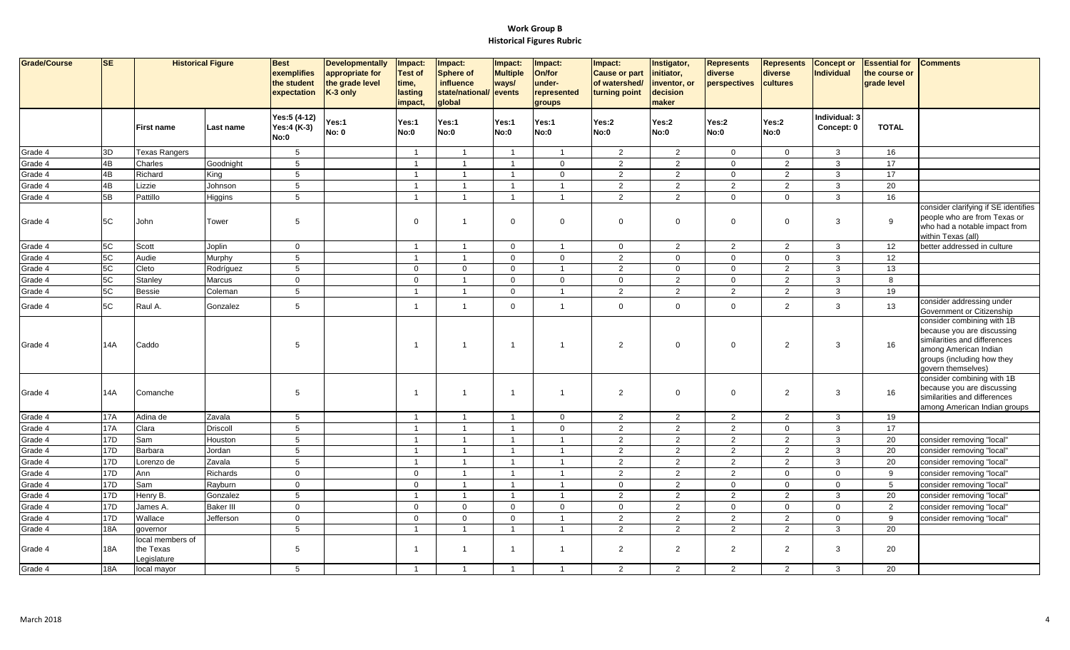| Grade/Course | <b>SE</b>       |                                              | <b>Historical Figure</b> | <b>Best</b><br>exemplifies<br>the student<br>expectation | <b>Developmentally</b><br>appropriate for<br>the grade level<br>K-3 only | Impact:<br><b>Test of</b><br>time,<br>lasting<br>impact, | Impact:<br><b>Sphere of</b><br>influence<br>state/national/<br>global | Impact:<br><b>Multiple</b><br>ways/<br>events | Impact:<br>On/for<br>under-<br>represented<br>groups | Impact:<br><b>Cause or part</b><br>of watershed/<br>turning point | Instigator<br>initiator,<br>inventor, or<br>decision<br>maker | <b>Represents</b><br>diverse<br>perspectives | <b>Represents</b><br>diverse<br>cultures | <b>Concept or</b><br>Individual | <b>Essential for</b><br>the course or<br>grade level | <b>Comments</b>                                                                                                                                                       |
|--------------|-----------------|----------------------------------------------|--------------------------|----------------------------------------------------------|--------------------------------------------------------------------------|----------------------------------------------------------|-----------------------------------------------------------------------|-----------------------------------------------|------------------------------------------------------|-------------------------------------------------------------------|---------------------------------------------------------------|----------------------------------------------|------------------------------------------|---------------------------------|------------------------------------------------------|-----------------------------------------------------------------------------------------------------------------------------------------------------------------------|
|              |                 | <b>First name</b>                            | Last name                | Yes:5 (4-12)<br>Yes:4 (K-3)<br>No:0                      | Yes:1<br><b>No: 0</b>                                                    | Yes:1<br>No:0                                            | Yes:1<br>No:0                                                         | Yes:1<br>No:0                                 | Yes:1<br><b>No:0</b>                                 | Yes:2<br>No:0                                                     | Yes:2<br>No:0                                                 | Yes:2<br>No:0                                | Yes:2<br>No:0                            | Individual: 3<br>Concept: 0     | <b>TOTAL</b>                                         |                                                                                                                                                                       |
| Grade 4      | 3D              | <b>Texas Rangers</b>                         |                          | 5                                                        |                                                                          | $\overline{1}$                                           | $\overline{1}$                                                        | $\overline{1}$                                | $\overline{1}$                                       | 2                                                                 | 2                                                             | $\overline{0}$                               | $\mathbf 0$                              | $\mathbf{3}$                    | 16                                                   |                                                                                                                                                                       |
| Grade 4      | 4B              | Charles                                      | Goodnight                | 5                                                        |                                                                          | $\overline{1}$                                           | $\overline{1}$                                                        | $\overline{1}$                                | $\mathbf 0$                                          | $\overline{2}$                                                    | $\overline{2}$                                                | $\mathbf 0$                                  | $\overline{2}$                           | $\mathbf{3}$                    | 17                                                   |                                                                                                                                                                       |
| Grade 4      | 4B              | Richard                                      | King                     | $5\phantom{.0}$                                          |                                                                          | $\overline{1}$                                           | $\overline{\mathbf{1}}$                                               | $\mathbf{1}$                                  | $\mathbf 0$                                          | $\overline{2}$                                                    | 2                                                             | $\mathsf{O}$                                 | 2                                        | $\mathbf{3}$                    | 17                                                   |                                                                                                                                                                       |
| Grade 4      | 4B              | Lizzie                                       | Johnson                  | 5                                                        |                                                                          | $\overline{1}$                                           | $\overline{1}$                                                        | $\overline{1}$                                | $\overline{1}$                                       | 2                                                                 | $\overline{2}$                                                | $\overline{2}$                               | 2                                        | $\mathbf{3}$                    | 20                                                   |                                                                                                                                                                       |
| Grade 4      | 5B              | Pattillo                                     | Higgins                  | $5\phantom{.0}$                                          |                                                                          | $\overline{1}$                                           | $\overline{1}$                                                        | $\overline{1}$                                | $\overline{1}$                                       | $\overline{2}$                                                    | 2                                                             | $\mathbf 0$                                  | $\mathbf 0$                              | $\mathbf{3}$                    | 16                                                   |                                                                                                                                                                       |
| Grade 4      | 5C              | John                                         | Tower                    | 5                                                        |                                                                          | $\mathbf 0$                                              | $\overline{1}$                                                        | $\mathbf 0$                                   | $\Omega$                                             | $\mathbf 0$                                                       | $\overline{0}$                                                | $\mathbf 0$                                  | $\overline{0}$                           | 3                               | 9                                                    | consider clarifying if SE identifies<br>people who are from Texas or<br>who had a notable impact from<br>within Texas (all)                                           |
| Grade 4      | 5C              | Scott                                        | Joplin                   | $\mathbf{0}$                                             |                                                                          | $\overline{1}$                                           | $\overline{1}$                                                        | $\mathbf 0$                                   | $\overline{\mathbf{1}}$                              | $\overline{0}$                                                    | $\overline{2}$                                                | $\overline{2}$                               | $\overline{2}$                           | $\mathbf{3}$                    | 12                                                   | better addressed in culture                                                                                                                                           |
| Grade 4      | 5C              | Audie                                        | Murphy                   | $5\phantom{.0}$                                          |                                                                          |                                                          | $\overline{1}$                                                        | $\mathbf 0$                                   | $\mathbf 0$                                          | $\overline{2}$                                                    | $\mathbf 0$                                                   | $\mathbf 0$                                  | $\mathbf 0$                              | $\mathbf{3}$                    | 12                                                   |                                                                                                                                                                       |
| Grade 4      | 5C              | Cleto                                        | Rodríguez                | $5\phantom{.0}$                                          |                                                                          | $\mathbf{0}$                                             | $\mathbf 0$                                                           | $\mathbf 0$                                   | -1                                                   | 2                                                                 | $\mathbf 0$                                                   | $\mathbf 0$                                  | $\overline{2}$                           | $\mathbf{3}$                    | 13                                                   |                                                                                                                                                                       |
| Grade 4      | 5C              | Stanley                                      | Marcus                   | $\mathbf 0$                                              |                                                                          | $\mathbf{0}$                                             | $\overline{1}$                                                        | $\mathbf 0$                                   | $\mathbf 0$                                          | $\mathbf 0$                                                       | 2                                                             | $\mathbf 0$                                  | 2                                        | $\mathbf{3}$                    | 8                                                    |                                                                                                                                                                       |
| Grade 4      | 5C              | <b>Bessie</b>                                | Coleman                  | $5\phantom{.0}$                                          |                                                                          | $\overline{1}$                                           | $\mathbf{1}$                                                          | $\mathbf 0$                                   | $\overline{1}$                                       | $\overline{2}$                                                    | 2                                                             | $\overline{2}$                               | $\overline{2}$                           | $\mathbf{3}$                    | 19                                                   |                                                                                                                                                                       |
| Grade 4      | 5C              | Raul A.                                      | Gonzalez                 | 5                                                        |                                                                          | $\overline{1}$                                           | $\overline{1}$                                                        | $\Omega$                                      | $\overline{1}$                                       | $\mathbf 0$                                                       | $\overline{0}$                                                | $\mathbf 0$                                  | 2                                        | $\mathbf{3}$                    | 13                                                   | consider addressing under<br>Government or Citizenship                                                                                                                |
| Grade 4      | 14A             | Caddo                                        |                          | 5                                                        |                                                                          | -1                                                       | -1                                                                    | $\overline{1}$                                | 1                                                    | $\overline{2}$                                                    | $\mathbf 0$                                                   | $\mathbf 0$                                  | $\overline{2}$                           | 3                               | 16                                                   | consider combining with 1B<br>because you are discussing<br>similarities and differences<br>among American Indian<br>groups (including how they<br>govern themselves) |
| Grade 4      | 14A             | Comanche                                     |                          | -5                                                       |                                                                          | -1                                                       | $\overline{1}$                                                        | $\overline{1}$                                | -1                                                   | 2                                                                 | $\overline{0}$                                                | $\mathbf 0$                                  | $\overline{2}$                           | 3                               | 16                                                   | consider combining with 1B<br>because you are discussing<br>similarities and differences<br>among American Indian groups                                              |
| Grade 4      | <b>17A</b>      | Adina de                                     | Zavala                   | 5                                                        |                                                                          | $\overline{1}$                                           | $\overline{1}$                                                        | $\overline{1}$                                | $\mathbf{0}$                                         | $\overline{2}$                                                    | $\overline{2}$                                                | $\overline{2}$                               | 2                                        | $\mathbf{3}$                    | 19                                                   |                                                                                                                                                                       |
| Grade 4      | 17A             | Clara                                        | <b>Driscoll</b>          | $\sqrt{5}$                                               |                                                                          | $\overline{\mathbf{1}}$                                  | $\overline{1}$                                                        | $\overline{1}$                                | $\mathbf{0}$                                         | $\overline{2}$                                                    | $\overline{2}$                                                | $\overline{2}$                               | $\mathbf 0$                              | $\mathbf{3}$                    | 17                                                   |                                                                                                                                                                       |
| Grade 4      | 17D             | Sam                                          | Houston                  | 5                                                        |                                                                          | $\overline{1}$                                           | $\overline{\mathbf{1}}$                                               | $\overline{1}$                                | -1                                                   | $\overline{2}$                                                    | $\overline{2}$                                                | $\overline{2}$                               | 2                                        | $\mathbf{3}$                    | 20                                                   | consider removing "local"                                                                                                                                             |
| Grade 4      | 17D             | Barbara                                      | Jordan                   | $5\phantom{.0}$                                          |                                                                          | $\mathbf{1}$                                             | $\overline{1}$                                                        | $\overline{1}$                                | $\overline{1}$                                       | $\overline{2}$                                                    | $\overline{2}$                                                | $\overline{2}$                               | $\overline{2}$                           | $\mathbf{3}$                    | 20                                                   | consider removing "local"                                                                                                                                             |
| Grade 4      | 17 <sub>D</sub> | Lorenzo de                                   | Zavala                   | 5                                                        |                                                                          | $\overline{1}$                                           | $\mathbf{1}$                                                          | $\overline{1}$                                | $\overline{\mathbf{1}}$                              | 2                                                                 | $\overline{2}$                                                | 2                                            | 2                                        | 3                               | 20                                                   | consider removing "local"                                                                                                                                             |
| Grade 4      | 17D             | Ann                                          | Richards                 | $\Omega$                                                 |                                                                          | $\Omega$                                                 | $\overline{1}$                                                        | $\overline{1}$                                | $\overline{\mathbf{1}}$                              | $\overline{2}$                                                    | $\overline{2}$                                                | $\overline{2}$                               | $\mathbf 0$                              | $\mathbf 0$                     | 9                                                    | consider removing "local"                                                                                                                                             |
| Grade 4      | 17D             | Sam                                          | Rayburn                  | $\mathbf 0$                                              |                                                                          | $\mathbf 0$                                              | $\overline{1}$                                                        | $\mathbf{1}$                                  | -1                                                   | $\mathbf 0$                                                       | $\overline{2}$                                                | $\mathsf{O}$                                 | $\mathbf 0$                              | $\mathbf{0}$                    | 5                                                    | consider removing "local"                                                                                                                                             |
| Grade 4      | 17D             | Henry B.                                     | Gonzalez                 | 5                                                        |                                                                          | $\overline{1}$                                           | $\overline{1}$                                                        | $\overline{1}$                                | $\overline{1}$                                       | 2                                                                 | 2                                                             | 2                                            | 2                                        | $\mathbf{3}$                    | 20                                                   | consider removing "local"                                                                                                                                             |
| Grade 4      | 17D             | James A.                                     | <b>Baker III</b>         | $\mathbf{0}$                                             |                                                                          | $\mathbf 0$                                              | $\mathbf 0$                                                           | $\mathbf 0$                                   | $\mathbf 0$                                          | $\mathbf 0$                                                       | $\overline{2}$                                                | $\mathbf 0$                                  | $\mathbf 0$                              | $\mathbf 0$                     | $\overline{2}$                                       | consider removing "local"                                                                                                                                             |
| Grade 4      | 17 <sub>D</sub> | Wallace                                      | Jefferson                | $\mathbf{0}$                                             |                                                                          | $\mathbf{0}$                                             | $\mathbf 0$                                                           | $\mathbf 0$                                   | $\overline{1}$                                       | $\overline{2}$                                                    | $\overline{2}$                                                | 2                                            | 2                                        | $\mathbf 0$                     | 9                                                    | consider removing "local"                                                                                                                                             |
| Grade 4      | <b>18A</b>      | governor                                     |                          | 5                                                        |                                                                          |                                                          | $\overline{1}$                                                        |                                               |                                                      | 2                                                                 | $\overline{2}$                                                | $\overline{2}$                               | 2                                        | $\mathbf{3}$                    | 20                                                   |                                                                                                                                                                       |
| Grade 4      | <b>18A</b>      | local members of<br>the Texas<br>Legislature |                          | 5                                                        |                                                                          | $\blacktriangleleft$                                     | $\overline{1}$                                                        | $\overline{1}$                                | $\overline{1}$                                       | $\overline{2}$                                                    | 2                                                             | $\overline{2}$                               | 2                                        | 3                               | 20                                                   |                                                                                                                                                                       |
| Grade 4      | <b>18A</b>      | local mayor                                  |                          | 5                                                        |                                                                          | $\overline{1}$                                           | $\overline{1}$                                                        | $\overline{1}$                                | $\overline{1}$                                       | 2                                                                 | 2                                                             | 2                                            | $\overline{2}$                           | $\mathbf{3}$                    | 20                                                   |                                                                                                                                                                       |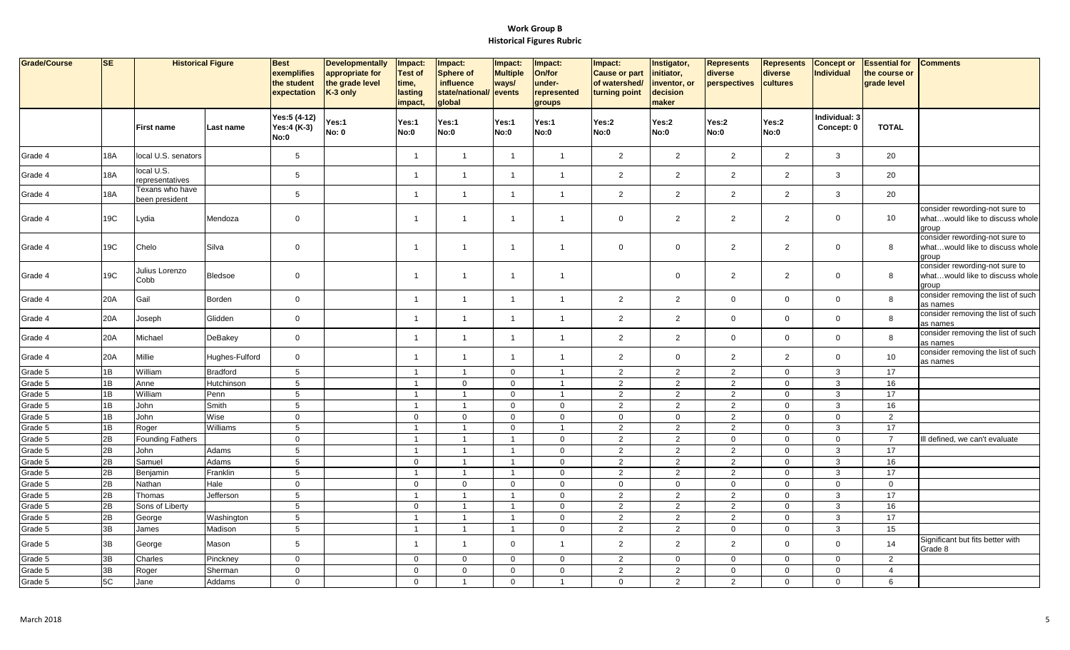| Grade/Course | <b>SE</b>  | <b>Historical Figure</b>          |                 | <b>Best</b><br>exemplifies<br>the student<br>expectation | <b>Developmentally</b><br>appropriate for<br>the grade level<br>K-3 only | Impact:<br><b>Test of</b><br>time,<br>lasting<br>impact, | Impact:<br><b>Sphere of</b><br>influence<br>state/national/ events<br>global | Impact:<br><b>Multiple</b><br>ways/ | Impact:<br>On/for<br>under-<br>represented<br>groups | Impact:<br><b>Cause or part</b><br>of watershed/<br>turning point | Instigator,<br>initiator,<br>inventor, or<br>decision<br>maker | <b>Represents</b><br>diverse<br>perspectives | <b>Represents</b><br>diverse<br>cultures | <b>Concept or</b><br><b>Individual</b> | <b>Essential for</b><br>the course or<br>grade level | <b>Comments</b>                                                            |
|--------------|------------|-----------------------------------|-----------------|----------------------------------------------------------|--------------------------------------------------------------------------|----------------------------------------------------------|------------------------------------------------------------------------------|-------------------------------------|------------------------------------------------------|-------------------------------------------------------------------|----------------------------------------------------------------|----------------------------------------------|------------------------------------------|----------------------------------------|------------------------------------------------------|----------------------------------------------------------------------------|
|              |            | <b>First name</b>                 | Last name       | Yes:5 (4-12)<br>Yes:4 (K-3)<br>No:0                      | Yes:1<br><b>No: 0</b>                                                    | Yes:1<br>No:0                                            | Yes:1<br>No:0                                                                | Yes:1<br>No:0                       | Yes:1<br><b>No:0</b>                                 | Yes:2<br>No:0                                                     | Yes:2<br>No:0                                                  | Yes:2<br><b>No:0</b>                         | Yes:2<br>No:0                            | Individual: 3<br>Concept: 0            | <b>TOTAL</b>                                         |                                                                            |
| Grade 4      | <b>18A</b> | local U.S. senators               |                 | $5\phantom{.0}$                                          |                                                                          | $\overline{\mathbf{1}}$                                  | $\overline{1}$                                                               | $\overline{1}$                      | $\overline{1}$                                       | 2                                                                 | 2                                                              | $\overline{2}$                               | 2                                        | $\mathbf{3}$                           | 20                                                   |                                                                            |
| Grade 4      | <b>18A</b> | local U.S.<br>representatives     |                 | $5\phantom{.0}$                                          |                                                                          | $\overline{1}$                                           | $\overline{1}$                                                               | $\overline{1}$                      | $\overline{1}$                                       | $\overline{2}$                                                    | 2                                                              | $\overline{2}$                               | 2                                        | $\mathbf{3}$                           | 20                                                   |                                                                            |
| Grade 4      | <b>18A</b> | Texans who have<br>been president |                 | $5\phantom{.0}$                                          |                                                                          | $\overline{1}$                                           | $\overline{1}$                                                               | $\overline{1}$                      | $\overline{1}$                                       | $\overline{2}$                                                    | $\overline{2}$                                                 | $\overline{2}$                               | $\overline{2}$                           | $\mathbf{3}$                           | 20                                                   |                                                                            |
| Grade 4      | 19C        | Lydia                             | Mendoza         | $\mathsf 0$                                              |                                                                          | $\overline{1}$                                           | $\overline{1}$                                                               | $\overline{1}$                      | $\overline{1}$                                       | $\mathbf 0$                                                       | $\overline{2}$                                                 | $\overline{2}$                               | $\overline{2}$                           | $\mathbf 0$                            | 10                                                   | consider rewording-not sure to<br>whatwould like to discuss whole<br>group |
| Grade 4      | 19C        | Chelo                             | Silva           | $\mathsf 0$                                              |                                                                          | $\blacktriangleleft$                                     | $\overline{1}$                                                               | $\overline{1}$                      | $\overline{1}$                                       | $\mathbf 0$                                                       | $\overline{0}$                                                 | $\overline{2}$                               | $\overline{2}$                           | $\mathbf 0$                            | 8                                                    | consider rewording-not sure to<br>whatwould like to discuss whole<br>group |
| Grade 4      | 19C        | Julius Lorenzo<br>Cobb            | <b>Bledsoe</b>  | $\mathbf 0$                                              |                                                                          | $\overline{1}$                                           | $\mathbf{1}$                                                                 | $\overline{1}$                      | $\overline{1}$                                       |                                                                   | $\mathbf 0$                                                    | $\overline{2}$                               | 2                                        | $\mathbf 0$                            | 8                                                    | consider rewording-not sure to<br>whatwould like to discuss whole<br>group |
| Grade 4      | 20A        | Gail                              | Borden          | $\mathbf 0$                                              |                                                                          | $\overline{1}$                                           | $\mathbf{1}$                                                                 | $\mathbf{1}$                        | $\overline{1}$                                       | $\overline{2}$                                                    | $\overline{2}$                                                 | $\mathbf{0}$                                 | $\overline{0}$                           | $\mathbf 0$                            | 8                                                    | consider removing the list of such<br>as names                             |
| Grade 4      | 20A        | Joseph                            | Glidden         | $\mathbf 0$                                              |                                                                          | $\overline{1}$                                           | $\mathbf{1}$                                                                 | $\mathbf{1}$                        | $\overline{1}$                                       | $\overline{2}$                                                    | $\overline{2}$                                                 | $\mathbf 0$                                  | $\mathbf 0$                              | $\mathbf 0$                            | 8                                                    | consider removing the list of such<br>as names                             |
| Grade 4      | 20A        | Michael                           | DeBakey         | $\mathsf 0$                                              |                                                                          | $\mathbf{1}$                                             | $\mathbf{1}$                                                                 | $\overline{1}$                      | $\overline{1}$                                       | $\overline{2}$                                                    | $\overline{2}$                                                 | $\mathbf 0$                                  | $\overline{0}$                           | $\overline{0}$                         | 8                                                    | consider removing the list of such<br>as names                             |
| Grade 4      | 20A        | Millie                            | Hughes-Fulford  | $\mathsf 0$                                              |                                                                          | $\mathbf{1}$                                             | $\mathbf{1}$                                                                 | $\overline{1}$                      | $\overline{1}$                                       | $\overline{2}$                                                    | $\overline{0}$                                                 | $\overline{2}$                               | $\overline{2}$                           | $\mathbf 0$                            | 10                                                   | consider removing the list of such<br>as names                             |
| Grade 5      | 1B         | William                           | <b>Bradford</b> | $5\phantom{.0}$                                          |                                                                          | $\overline{1}$                                           | $\mathbf{1}$                                                                 | $\mathbf 0$                         | $\overline{1}$                                       | $\overline{2}$                                                    | $\overline{2}$                                                 | $\overline{2}$                               | $\mathbf 0$                              | $\mathbf{3}$                           | 17                                                   |                                                                            |
| Grade 5      | 1B         | Anne                              | Hutchinson      | $5\phantom{.0}$                                          |                                                                          | $\overline{1}$                                           | $\mathbf 0$                                                                  | $\mathbf 0$                         | $\overline{1}$                                       | $\overline{2}$                                                    | $\overline{2}$                                                 | $\overline{2}$                               | $\mathbf 0$                              | $\mathbf{3}$                           | 16                                                   |                                                                            |
| Grade 5      | 1B         | William                           | Penn            | $5\phantom{.0}$                                          |                                                                          | $\overline{1}$                                           | $\overline{1}$                                                               | $\mathbf 0$                         | $\overline{1}$                                       | $\overline{2}$                                                    | $\overline{2}$                                                 | $\overline{2}$                               | $\mathbf 0$                              | 3                                      | 17                                                   |                                                                            |
| Grade 5      | 1B         | John                              | Smith           | $5\phantom{.0}$                                          |                                                                          | $\overline{1}$                                           | $\overline{1}$                                                               | $\mathbf 0$                         | $\mathbf 0$                                          | $\overline{2}$                                                    | $\overline{2}$                                                 | $\overline{2}$                               | $\mathbf 0$                              | $\mathbf{3}$                           | 16                                                   |                                                                            |
| Grade 5      | 1B         | John                              | Wise            | $\mathbf 0$                                              |                                                                          | $\mathbf 0$                                              | $\mathbf 0$                                                                  | $\mathbf 0$                         | $\mathbf 0$                                          | $\mathbf 0$                                                       | $\mathbf 0$                                                    | $\overline{2}$                               | $\mathbf 0$                              | $\overline{0}$                         | 2                                                    |                                                                            |
| Grade 5      | 1B         | Roger                             | Williams        | 5                                                        |                                                                          | $\overline{1}$                                           | $\overline{1}$                                                               | $\mathbf 0$                         | $\overline{1}$                                       | $\overline{2}$                                                    | 2                                                              | 2                                            | $\mathbf 0$                              | $\mathbf{3}$                           | 17                                                   |                                                                            |
| Grade 5      | 2B         | <b>Founding Fathers</b>           |                 | $\mathbf 0$                                              |                                                                          | $\mathbf{1}$                                             | $\overline{1}$                                                               | $\overline{1}$                      | $\mathbf 0$                                          | $\overline{2}$                                                    | $\overline{2}$                                                 | $\mathsf{O}\xspace$                          | $\mathbf 0$                              | $\mathbf 0$                            | $\overline{7}$                                       | Ill defined, we can't evaluate                                             |
| Grade 5      | 2B         | John                              | Adams           | $\sqrt{5}$                                               |                                                                          | $\mathbf{1}$                                             | $\overline{1}$                                                               | $\mathbf{1}$                        | $\mathbf 0$                                          | $\overline{2}$                                                    | $\overline{2}$                                                 | $\overline{2}$                               | $\mathbf 0$                              | $\mathbf{3}$                           | 17                                                   |                                                                            |
| Grade 5      | 2B         | Samuel                            | Adams           | $5\phantom{.0}$                                          |                                                                          | $\mathbf{0}$                                             | $\overline{1}$                                                               | $\mathbf{1}$                        | $\mathbf 0$                                          | $\overline{2}$                                                    | $\overline{2}$                                                 | $\overline{2}$                               | $\mathbf 0$                              | $\mathbf{3}$                           | 16                                                   |                                                                            |
| Grade 5      | 2B         | Benjamin                          | Franklin        | $\sqrt{5}$                                               |                                                                          | $\overline{1}$                                           | $\overline{1}$                                                               | $\overline{1}$                      | $\mathbf 0$                                          | $\overline{2}$                                                    | $\overline{2}$                                                 | $\overline{2}$                               | $\mathbf 0$                              | $\mathbf{3}$                           | 17                                                   |                                                                            |
| Grade 5      | 2B         | Nathan                            | Hale            | $\mathbf 0$                                              |                                                                          | $\mathbf 0$                                              | $\mathbf 0$                                                                  | $\mathbf 0$                         | $\mathbf 0$                                          | $\mathbf 0$                                                       | $\mathbf 0$                                                    | $\mathbf 0$                                  | $\mathbf 0$                              | $\mathbf 0$                            | $\mathbf 0$                                          |                                                                            |
| Grade 5      | 2B         | Thomas                            | Jefferson       | $5\phantom{.0}$                                          |                                                                          | $\overline{1}$                                           | $\mathbf{1}$                                                                 | $\mathbf{1}$                        | $\mathbf 0$                                          | $\overline{2}$                                                    | $\overline{2}$                                                 | $\overline{2}$                               | $\overline{0}$                           | $\mathbf{3}$                           | 17                                                   |                                                                            |
| Grade 5      | 2B         | Sons of Liberty                   |                 | 5                                                        |                                                                          | $\mathbf{0}$                                             | $\overline{1}$                                                               | $\overline{1}$                      | $\mathbf 0$                                          | $\overline{2}$                                                    | 2                                                              | 2                                            | $\mathbf 0$                              | $\mathbf{3}$                           | 16                                                   |                                                                            |
| Grade 5      | 2B         | George                            | Washington      | $\sqrt{5}$                                               |                                                                          | $\mathbf{1}$                                             | $\overline{1}$                                                               | $\mathbf{1}$                        | $\mathbf 0$                                          | $\overline{2}$                                                    | $\overline{2}$                                                 | $\overline{2}$                               | $\mathbf 0$                              | $\mathbf{3}$                           | 17                                                   |                                                                            |
| Grade 5      | 3B         | James                             | Madison         | $\sqrt{5}$                                               |                                                                          | $\mathbf{1}$                                             | $\overline{1}$                                                               | $\overline{1}$                      | $\mathbf 0$                                          | $\overline{2}$                                                    | $\overline{2}$                                                 | $\mathbf 0$                                  | $\mathbf 0$                              | $\mathbf{3}$                           | 15                                                   |                                                                            |
| Grade 5      | 3B         | George                            | Mason           | $5\phantom{.0}$                                          |                                                                          | $\mathbf{1}$                                             | $\mathbf{1}$                                                                 | $\mathbf 0$                         | $\overline{1}$                                       | $\overline{2}$                                                    | $\overline{2}$                                                 | $\overline{2}$                               | $\mathbf 0$                              | $\overline{0}$                         | 14                                                   | Significant but fits better with<br>Grade 8                                |
| Grade 5      | 3B         | Charles                           | Pinckney        | $\mathbf 0$                                              |                                                                          | $\mathbf{0}$                                             | $\mathbf 0$                                                                  | $\mathbf 0$                         | $\mathbf 0$                                          | 2                                                                 | $\mathbf 0$                                                    | $\mathbf 0$                                  | $\overline{0}$                           | $\overline{0}$                         | 2                                                    |                                                                            |
| Grade 5      | 3B         | Roger                             | Sherman         | $\mathbf 0$                                              |                                                                          | $\mathbf{0}$                                             | $\mathbf 0$                                                                  | $\mathbf 0$                         | $\mathbf 0$                                          | 2                                                                 | 2                                                              | $\mathbf 0$                                  | $\mathbf 0$                              | $\overline{0}$                         | $\overline{4}$                                       |                                                                            |
| Grade 5      | 5C         | Jane                              | Addams          | $\mathbf 0$                                              |                                                                          | $\mathbf{0}$                                             | $\overline{1}$                                                               | $\mathbf 0$                         | $\overline{1}$                                       | $\mathbf{0}$                                                      | $\overline{2}$                                                 | $\overline{2}$                               | $\mathbf{0}$                             | $\mathbf 0$                            | 6                                                    |                                                                            |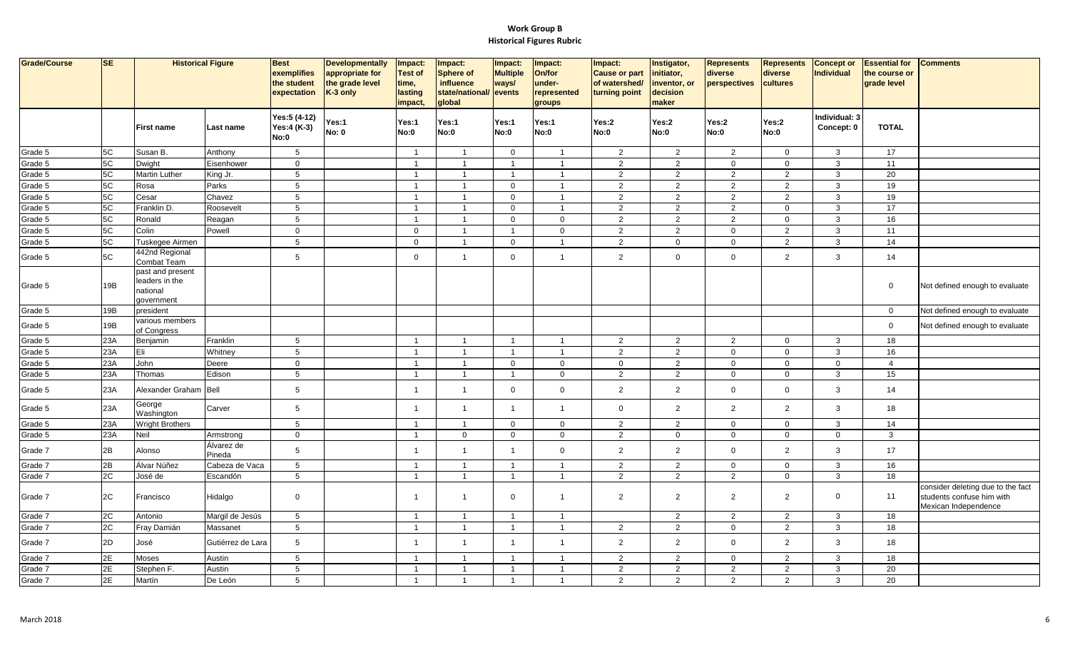| <b>Grade/Course</b> | $S_{E}$ | <b>Historical Figure</b>                                     |                      | <b>Best</b><br>exemplifies<br>the student<br>expectation | <b>Developmentally</b><br>appropriate for<br>the grade level<br>K-3 only | Impact:<br><b>Test of</b><br>time,<br>lasting<br>impact, | Impact:<br><b>Sphere of</b><br>influence<br>state/national/<br>global | Impact:<br><b>Multiple</b><br>ways/<br>events | Impact:<br>On/for<br>under-<br>represented<br>groups | Impact:<br><b>Cause or part</b><br>of watershed/<br>turning point | Instigator,<br>initiator,<br>inventor, or<br>decision<br>maker | <b>Represents</b><br>diverse<br>perspectives | <b>Represents</b><br>diverse<br>cultures | <b>Concept or</b><br>Individual | <b>Essential for</b><br>the course or<br>grade level | <b>Comments</b>                                                                        |
|---------------------|---------|--------------------------------------------------------------|----------------------|----------------------------------------------------------|--------------------------------------------------------------------------|----------------------------------------------------------|-----------------------------------------------------------------------|-----------------------------------------------|------------------------------------------------------|-------------------------------------------------------------------|----------------------------------------------------------------|----------------------------------------------|------------------------------------------|---------------------------------|------------------------------------------------------|----------------------------------------------------------------------------------------|
|                     |         | <b>First name</b>                                            | Last name            | Yes:5 (4-12)<br>Yes:4 (K-3)<br><b>No:0</b>               | Yes:1<br><b>No: 0</b>                                                    | Yes:1<br><b>No:0</b>                                     | Yes:1<br>No:0                                                         | Yes:1<br>No:0                                 | Yes:1<br>No:0                                        | Yes:2<br>No:0                                                     | Yes:2<br>No:0                                                  | Yes:2<br>No:0                                | Yes:2<br><b>No:0</b>                     | Individual: 3<br>Concept: 0     | <b>TOTAL</b>                                         |                                                                                        |
| Grade 5             | 5C      | Susan B.                                                     | Anthony              | $5\phantom{.0}$                                          |                                                                          | $\overline{1}$                                           | $\overline{1}$                                                        | $\mathbf 0$                                   | $\overline{1}$                                       | $\overline{2}$                                                    | $\overline{2}$                                                 | $\overline{2}$                               | $\mathbf 0$                              | $\mathbf{3}$                    | 17                                                   |                                                                                        |
| Grade 5             | 5C      | Dwight                                                       | Eisenhower           | $\mathbf 0$                                              |                                                                          | $\overline{1}$                                           | $\overline{1}$                                                        | $\overline{1}$                                | $\overline{1}$                                       | $\overline{2}$                                                    | 2                                                              | $\mathbf 0$                                  | $\mathbf 0$                              | $\mathbf{3}$                    | 11                                                   |                                                                                        |
| Grade 5             | 5C      | <b>Martin Luther</b>                                         | King Jr.             | $5\phantom{.0}$                                          |                                                                          | $\mathbf{1}$                                             | $\overline{1}$                                                        | $\overline{1}$                                | $\overline{1}$                                       | $\overline{2}$                                                    | $\overline{2}$                                                 | $\overline{2}$                               | $\overline{2}$                           | $\mathbf{3}$                    | 20                                                   |                                                                                        |
| Grade 5             | 5C      | Rosa                                                         | Parks                | $5\overline{)}$                                          |                                                                          | $\mathbf{1}$                                             | $\overline{1}$                                                        | $\mathbf 0$                                   | $\overline{1}$                                       | $\overline{2}$                                                    | $\overline{2}$                                                 | $\overline{2}$                               | $\overline{2}$                           | $\mathbf{3}$                    | 19                                                   |                                                                                        |
| Grade 5             | 5C      | Cesar                                                        | Chavez               | $\overline{5}$                                           |                                                                          | $\mathbf{1}$                                             | $\overline{1}$                                                        | $\overline{0}$                                | $\overline{1}$                                       | $\overline{2}$                                                    | $\overline{2}$                                                 | $\overline{2}$                               | $\overline{2}$                           | $\mathbf{3}$                    | 19                                                   |                                                                                        |
| Grade 5             | 5C      | Franklin D.                                                  | Roosevelt            | $\overline{5}$                                           |                                                                          | $\mathbf{1}$                                             | $\overline{1}$                                                        | $\overline{0}$                                | $\overline{1}$                                       | $\overline{a}$                                                    | $\overline{2}$                                                 | $\overline{2}$                               | $\mathsf 0$                              | 3                               | 17                                                   |                                                                                        |
| Grade 5             | 5C      | Ronald                                                       | Reagan               | $5\overline{)}$                                          |                                                                          | -1                                                       | $\overline{1}$                                                        | $\mathbf 0$                                   | $\overline{0}$                                       | $\overline{2}$                                                    | $\overline{2}$                                                 | $\overline{2}$                               | $\mathbf 0$                              | $\mathbf{3}$                    | 16                                                   |                                                                                        |
| Grade 5             | 5C      | Colin                                                        | Powell               | $\mathbf 0$                                              |                                                                          | $\mathbf{0}$                                             | $\overline{1}$                                                        | $\overline{1}$                                | $\overline{0}$                                       | $\overline{2}$                                                    | $\overline{2}$                                                 | $\mathbf 0$                                  | $\overline{2}$                           | $\mathbf{3}$                    | 11                                                   |                                                                                        |
| Grade 5             | 5C      | Tuskegee Airmen                                              |                      | $5\overline{)}$                                          |                                                                          | $\overline{0}$                                           | $\overline{1}$                                                        | $\mathbf 0$                                   | $\overline{1}$                                       | $\overline{2}$                                                    | $\mathbf 0$                                                    | $\overline{0}$                               | 2                                        | $\mathbf{3}$                    | 14                                                   |                                                                                        |
| Grade 5             | 5C      | 442nd Regional<br>Combat Team                                |                      | 5                                                        |                                                                          | $\mathbf 0$                                              | $\overline{1}$                                                        | $\mathbf 0$                                   | $\overline{1}$                                       | $\overline{2}$                                                    | $\mathbf 0$                                                    | $\mathbf 0$                                  | 2                                        | $\mathbf{3}$                    | 14                                                   |                                                                                        |
| Grade 5             | 19B     | past and present<br>leaders in the<br>national<br>government |                      |                                                          |                                                                          |                                                          |                                                                       |                                               |                                                      |                                                                   |                                                                |                                              |                                          |                                 | $\overline{0}$                                       | Not defined enough to evaluate                                                         |
| Grade 5             | 19B     | oresident                                                    |                      |                                                          |                                                                          |                                                          |                                                                       |                                               |                                                      |                                                                   |                                                                |                                              |                                          |                                 | $\mathbf 0$                                          | Not defined enough to evaluate                                                         |
| Grade 5             | 19B     | various members<br>of Congress                               |                      |                                                          |                                                                          |                                                          |                                                                       |                                               |                                                      |                                                                   |                                                                |                                              |                                          |                                 | $\mathbf 0$                                          | Not defined enough to evaluate                                                         |
| Grade 5             | 23A     | Benjamin                                                     | Franklin             | 5                                                        |                                                                          | $\overline{1}$                                           | $\overline{1}$                                                        | $\overline{\mathbf{1}}$                       | $\overline{1}$                                       | $\overline{2}$                                                    | 2                                                              | $\overline{2}$                               | $\mathbf 0$                              | 3                               | 18                                                   |                                                                                        |
| Grade 5             | 23A     | Eli                                                          | Whitney              | $5\overline{)}$                                          |                                                                          | $\mathbf{1}$                                             | $\overline{1}$                                                        | $\overline{1}$                                | $\overline{1}$                                       | $\overline{2}$                                                    | $\overline{2}$                                                 | $\mathbf 0$                                  | $\mathbf 0$                              | $\mathbf{3}$                    | 16                                                   |                                                                                        |
| Grade 5             | 23A     | John                                                         | Deere                | $\mathbf 0$                                              |                                                                          | $\mathbf{1}$                                             | $\overline{1}$                                                        | $\mathbf 0$                                   | $\overline{0}$                                       | $\mathbf 0$                                                       | $\overline{2}$                                                 | $\mathbf 0$                                  | $\mathbf 0$                              | $\mathbf{0}$                    | $\overline{4}$                                       |                                                                                        |
| Grade 5             | 23A     | Thomas                                                       | Edison               | $5\overline{)}$                                          |                                                                          | $\mathbf{1}$                                             | $\overline{1}$                                                        | $\mathbf{1}$                                  | $\overline{0}$                                       | $\overline{2}$                                                    | $\overline{2}$                                                 | $\mathbf 0$                                  | $\mathbf 0$                              | $\mathbf{3}$                    | 15                                                   |                                                                                        |
| Grade 5             | 23A     | Alexander Graham                                             | Bell                 | 5                                                        |                                                                          | 1                                                        | $\overline{1}$                                                        | $\overline{0}$                                | $\overline{0}$                                       | $\mathbf{2}$                                                      | $\overline{2}$                                                 | $\mathbf 0$                                  | $\mathbf 0$                              | 3                               | 14                                                   |                                                                                        |
| Grade 5             | 23A     | George<br>Washington                                         | Carver               | $5\overline{)}$                                          |                                                                          | $\mathbf{1}$                                             | $\overline{1}$                                                        | $\overline{1}$                                | $\overline{1}$                                       | $\mathbf 0$                                                       | 2                                                              | $\overline{2}$                               | $\overline{2}$                           | $\mathbf{3}$                    | 18                                                   |                                                                                        |
| Grade 5             | 23A     | <b>Wright Brothers</b>                                       |                      | $5\phantom{.0}$                                          |                                                                          | $\mathbf{1}$                                             | $\overline{1}$                                                        | $\mathbf 0$                                   | $\overline{0}$                                       | $\overline{2}$                                                    | $\overline{2}$                                                 | $\mathbf 0$                                  | $\mathsf 0$                              | $\mathbf{3}$                    | 14                                                   |                                                                                        |
| Grade 5             | 23A     | Neil                                                         | Armstrong            | $\mathbf 0$                                              |                                                                          | $\mathbf{1}$                                             | $\mathbf 0$                                                           | $\mathbf 0$                                   | $\overline{0}$                                       | $\overline{a}$                                                    | $\mathbf 0$                                                    | $\mathbf 0$                                  | $\mathbf 0$                              | $\mathbf 0$                     | 3                                                    |                                                                                        |
| Grade 7             | 2B      | Alonso                                                       | Álvarez de<br>Pineda | $\sqrt{5}$                                               |                                                                          | $\mathbf{1}$                                             | $\overline{1}$                                                        | $\overline{1}$                                | $\overline{0}$                                       | $\mathbf{2}$                                                      | $\overline{2}$                                                 | $\mathbf 0$                                  | $\overline{2}$                           | $\mathbf{3}$                    | 17                                                   |                                                                                        |
| Grade 7             | 2B      | Álvar Núñez                                                  | Cabeza de Vaca       | $5\phantom{.0}$                                          |                                                                          | $\mathbf{1}$                                             | $\overline{1}$                                                        | $\overline{1}$                                | $\overline{1}$                                       | $\overline{2}$                                                    | $\overline{2}$                                                 | $\mathbf 0$                                  | $\mathbf 0$                              | $\mathbf{3}$                    | 16                                                   |                                                                                        |
| Grade 7             | 2C      | José de                                                      | Escandón             | $5\overline{)}$                                          |                                                                          | $\mathbf{1}$                                             | $\overline{1}$                                                        | $\overline{1}$                                | $\overline{1}$                                       | $\overline{2}$                                                    | 2                                                              | $\overline{2}$                               | $\mathbf 0$                              | $\mathbf{3}$                    | 18                                                   |                                                                                        |
| Grade 7             | 2C      | Francisco                                                    | Hidalgo              | $\mathbf 0$                                              |                                                                          | $\overline{1}$                                           | $\overline{1}$                                                        | $\overline{0}$                                | $\overline{1}$                                       | $\overline{2}$                                                    | $\overline{2}$                                                 | $\mathbf{2}$                                 | $\overline{2}$                           | $\overline{0}$                  | 11                                                   | consider deleting due to the fact<br>students confuse him with<br>Mexican Independence |
| Grade 7             | 2C      | Antonio                                                      | Margil de Jesús      | $5\phantom{.0}$                                          |                                                                          | $\mathbf{1}$                                             | $\overline{1}$                                                        | $\overline{1}$                                | $\overline{1}$                                       |                                                                   | $\overline{2}$                                                 | $\overline{2}$                               | $\overline{2}$                           | $\mathbf{3}$                    | 18                                                   |                                                                                        |
| Grade 7             | 2C      | Fray Damián                                                  | Massanet             | $5\overline{)}$                                          |                                                                          | $\mathbf{1}$                                             | $\overline{1}$                                                        | $\overline{1}$                                | $\overline{1}$                                       | $\overline{2}$                                                    | 2                                                              | $\mathbf 0$                                  | 2                                        | $\mathbf{3}$                    | 18                                                   |                                                                                        |
| Grade 7             | 2D      | José                                                         | Gutiérrez de Lara    | $\sqrt{5}$                                               |                                                                          | $\mathbf{1}$                                             | $\overline{1}$                                                        | $\overline{1}$                                | $\overline{1}$                                       | $\mathbf{2}$                                                      | $\overline{2}$                                                 | $\mathbf 0$                                  | $\overline{2}$                           | $\mathbf{3}$                    | 18                                                   |                                                                                        |
| Grade 7             | 2E      | Moses                                                        | Austin               | $5\overline{)}$                                          |                                                                          | $\overline{1}$                                           | $\overline{1}$                                                        | $\overline{1}$                                | $\overline{1}$                                       | $\overline{2}$                                                    | $\overline{2}$                                                 | $\mathbf 0$                                  | $\overline{2}$                           | $\mathbf{3}$                    | 18                                                   |                                                                                        |
| Grade 7             | 2E      | Stephen F.                                                   | Austin               | $5\overline{)}$                                          |                                                                          | $\mathbf{1}$                                             | $\overline{1}$                                                        | $\overline{1}$                                | $\overline{1}$                                       | $\mathbf{2}$                                                      | $\overline{2}$                                                 | $\overline{2}$                               | 2                                        | $\mathbf{3}$                    | 20                                                   |                                                                                        |
| Grade 7             | 2E      | Martín                                                       | De León              | $5\overline{)}$                                          |                                                                          | $\mathbf{1}$                                             | $\overline{1}$                                                        | $\overline{1}$                                | $\overline{1}$                                       | $\overline{2}$                                                    | 2                                                              | $\overline{2}$                               | 2                                        | $\mathbf{3}$                    | 20                                                   |                                                                                        |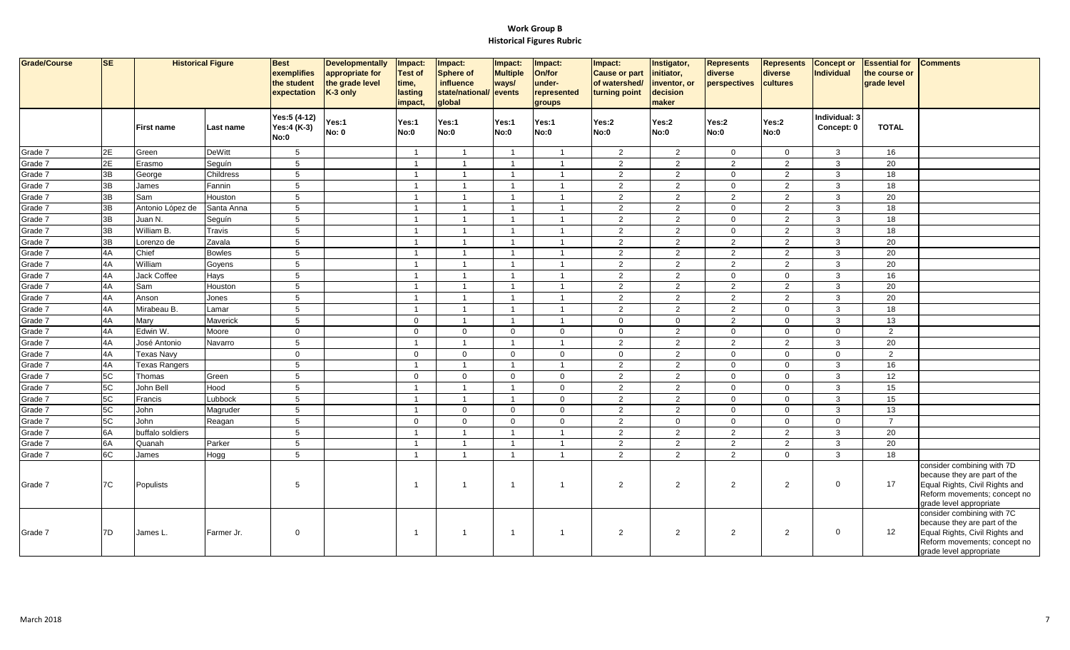| Grade/Course | <b>SE</b> |                      | <b>Historical Figure</b> | <b>Best</b><br>exemplifies<br>the student<br>expectation | <b>Developmentally</b><br>appropriate for<br>the grade level<br>K-3 only | Impact:<br><b>Test of</b><br>time,<br>lasting<br>impact, | Impact:<br><b>Sphere of</b><br><b>influence</b><br>state/national/ events<br>global | Impact:<br><b>Multiple</b><br>ways/ | Impact:<br>On/for<br>under-<br>represented<br>groups | Impact:<br><b>Cause or part</b><br>of watershed/<br>turning point | Instigator,<br>initiator,<br>inventor, or<br>decision<br>maker | <b>Represents</b><br>diverse<br>perspectives | <b>Represents</b><br>diverse<br>cultures | <b>Concept or</b><br>Individual | <b>Essential for</b><br>the course or<br>grade level | <b>Comments</b>                                                                                                                                         |
|--------------|-----------|----------------------|--------------------------|----------------------------------------------------------|--------------------------------------------------------------------------|----------------------------------------------------------|-------------------------------------------------------------------------------------|-------------------------------------|------------------------------------------------------|-------------------------------------------------------------------|----------------------------------------------------------------|----------------------------------------------|------------------------------------------|---------------------------------|------------------------------------------------------|---------------------------------------------------------------------------------------------------------------------------------------------------------|
|              |           | <b>First name</b>    | Last name                | Yes:5 (4-12)<br>Yes:4 (K-3)<br>No:0                      | Yes:1<br><b>No: 0</b>                                                    | Yes:1<br>No:0                                            | Yes:1<br>No:0                                                                       | Yes:1<br>No:0                       | Yes:1<br>No:0                                        | Yes:2<br>No:0                                                     | Yes:2<br>No:0                                                  | Yes:2<br>No:0                                | Yes:2<br>No:0                            | Individual: 3<br>Concept: 0     | <b>TOTAL</b>                                         |                                                                                                                                                         |
| Grade 7      | 2E        | Green                | DeWitt                   | 5                                                        |                                                                          | $\overline{1}$                                           | $\overline{1}$                                                                      | $\overline{1}$                      | $\overline{1}$                                       | $\overline{2}$                                                    | $\overline{2}$                                                 | $\mathbf 0$                                  | $\mathbf 0$                              | $\mathbf{3}$                    | 16                                                   |                                                                                                                                                         |
| Grade 7      | 2E        | Erasmo               | Seguín                   | 5                                                        |                                                                          | $\mathbf{1}$                                             | -1                                                                                  | -1                                  | -1                                                   | 2                                                                 | 2                                                              | $\overline{2}$                               | 2                                        | $\mathbf{3}$                    | 20                                                   |                                                                                                                                                         |
| Grade 7      | 3B        | George               | Childress                | 5                                                        |                                                                          | $\mathbf{1}$                                             | $\overline{1}$                                                                      | $\overline{1}$                      | $\overline{1}$                                       | $\overline{2}$                                                    | $\overline{2}$                                                 | $\mathbf 0$                                  | $\overline{2}$                           | $\mathbf{3}$                    | 18                                                   |                                                                                                                                                         |
| Grade 7      | ЭB        | James                | Fannin                   | $5\phantom{.0}$                                          |                                                                          | $\overline{1}$                                           | $\overline{1}$                                                                      | $\overline{1}$                      | $\overline{1}$                                       | $\overline{2}$                                                    | $\overline{2}$                                                 | $\mathbf 0$                                  | $\overline{2}$                           | $\mathbf{3}$                    | 18                                                   |                                                                                                                                                         |
| Grade 7      | 3B        | Sam                  | Houston                  | 5                                                        |                                                                          | $\mathbf{1}$                                             | $\overline{1}$                                                                      | $\overline{1}$                      | $\overline{1}$                                       | 2                                                                 | 2                                                              | $\overline{2}$                               | 2                                        | $\mathbf{3}$                    | 20                                                   |                                                                                                                                                         |
| Grade 7      | 3B        | Antonio López de     | Santa Anna               | $5\phantom{.0}$                                          |                                                                          | $\overline{1}$                                           | $\overline{1}$                                                                      | $\overline{1}$                      | $\overline{1}$                                       | $\overline{2}$                                                    | $\overline{2}$                                                 | $\mathbf 0$                                  | 2                                        | $\mathbf{3}$                    | 18                                                   |                                                                                                                                                         |
| Grade 7      | ЭB        | Juan N.              | Seguín                   | $\sqrt{5}$                                               |                                                                          | $\overline{1}$                                           | $\overline{1}$                                                                      | $\overline{1}$                      | $\overline{1}$                                       | $\overline{2}$                                                    | $\overline{2}$                                                 | $\mathbf 0$                                  | $\overline{2}$                           | $\mathbf{3}$                    | 18                                                   |                                                                                                                                                         |
| Grade 7      | 3B        | William B.           | Travis                   | $5\phantom{.0}$                                          |                                                                          | $\mathbf{1}$                                             | $\overline{1}$                                                                      | $\overline{1}$                      | $\overline{1}$                                       | 2                                                                 | 2                                                              | $\mathbf{0}$                                 | 2                                        | $\mathbf{3}$                    | 18                                                   |                                                                                                                                                         |
| Grade 7      | 3B        | Lorenzo de           | Zavala                   | $5\phantom{.0}$                                          |                                                                          | $\overline{1}$                                           | $\overline{1}$                                                                      | $\overline{1}$                      | $\overline{1}$                                       | $\overline{2}$                                                    | 2                                                              | $\overline{2}$                               | 2                                        | $\mathbf{3}$                    | 20                                                   |                                                                                                                                                         |
| Grade 7      | 4A        | Chief                | <b>Bowles</b>            | $5\phantom{.0}$                                          |                                                                          | $\overline{1}$                                           | $\overline{1}$                                                                      | $\overline{1}$                      | $\overline{1}$                                       | $\overline{2}$                                                    | $\overline{2}$                                                 | $\overline{2}$                               | $\overline{2}$                           | 3                               | 20                                                   |                                                                                                                                                         |
| Grade 7      | 4A        | William              | Goyens                   | 5                                                        |                                                                          | $\overline{1}$                                           | $\overline{1}$                                                                      | $\overline{1}$                      | $\overline{1}$                                       | 2                                                                 | $\overline{2}$                                                 | $\overline{2}$                               | 2                                        | $\mathbf{3}$                    | 20                                                   |                                                                                                                                                         |
| Grade 7      | 4A        | Jack Coffee          | Hays                     | 5                                                        |                                                                          | $\overline{1}$                                           | $\overline{1}$                                                                      | $\overline{1}$                      | $\overline{1}$                                       | $\overline{2}$                                                    | $\overline{2}$                                                 | $\mathbf 0$                                  | $\mathbf 0$                              | $\mathbf{3}$                    | 16                                                   |                                                                                                                                                         |
| Grade 7      | 4A        | Sam                  | Houston                  | 5                                                        |                                                                          | $\mathbf{1}$                                             | $\overline{1}$                                                                      | $\overline{1}$                      | $\overline{1}$                                       | 2                                                                 | 2                                                              | 2                                            | 2                                        | $\mathbf{3}$                    | 20                                                   |                                                                                                                                                         |
| Grade 7      | 4A        | Anson                | Jones                    | 5                                                        |                                                                          | $\overline{1}$                                           | $\overline{1}$                                                                      | $\overline{1}$                      | $\overline{1}$                                       | 2                                                                 | 2                                                              | $\overline{2}$                               | 2                                        | $\mathbf{3}$                    | 20                                                   |                                                                                                                                                         |
| Grade 7      | 4A        | Mirabeau B.          | Lamar                    | 5                                                        |                                                                          | $\overline{1}$                                           | $\overline{1}$                                                                      | $\overline{1}$                      | $\overline{1}$                                       | 2                                                                 | 2                                                              | $\overline{2}$                               | $\overline{0}$                           | $\mathbf{3}$                    | 18                                                   |                                                                                                                                                         |
| Grade 7      | 4A        | Mary                 | Maverick                 | $5\phantom{.0}$                                          |                                                                          | $\mathbf 0$                                              | $\overline{1}$                                                                      | $\overline{1}$                      | $\overline{1}$                                       | $\mathbf 0$                                                       | $\mathbf 0$                                                    | $\overline{2}$                               | $\overline{0}$                           | $\mathbf{3}$                    | 13                                                   |                                                                                                                                                         |
| Grade 7      | 4A        | Edwin W.             | Moore                    | $\mathbf 0$                                              |                                                                          | $\mathbf 0$                                              | $\mathbf{0}$                                                                        | $\overline{0}$                      | $\mathbf 0$                                          | $\mathbf 0$                                                       | $\overline{2}$                                                 | $\mathbf 0$                                  | $\mathbf 0$                              | $\overline{0}$                  | 2                                                    |                                                                                                                                                         |
| Grade 7      | 4A        | José Antonio         | Navarro                  | 5                                                        |                                                                          | $\overline{1}$                                           | $\overline{1}$                                                                      | $\overline{1}$                      | $\overline{1}$                                       | $\overline{2}$                                                    | $\overline{2}$                                                 | 2                                            | $\overline{2}$                           | $\mathbf{3}$                    | 20                                                   |                                                                                                                                                         |
| Grade 7      | 4A        | <b>Texas Navy</b>    |                          | $\mathbf 0$                                              |                                                                          | $\mathbf{0}$                                             | $\mathbf 0$                                                                         | $\mathbf 0$                         | $\mathbf 0$                                          | $\mathbf 0$                                                       | $\overline{2}$                                                 | $\mathbf 0$                                  | $\mathbf 0$                              | $\mathbf{0}$                    | 2                                                    |                                                                                                                                                         |
| Grade 7      | 4A        | <b>Texas Rangers</b> |                          | 5                                                        |                                                                          | $\overline{1}$                                           | $\overline{1}$                                                                      | $\overline{1}$                      | $\overline{1}$                                       | $\overline{2}$                                                    | $\overline{2}$                                                 | $\mathbf 0$                                  | $\mathbf 0$                              | $\mathbf{3}$                    | 16                                                   |                                                                                                                                                         |
| Grade 7      | 5C        | Thomas               | Green                    | 5                                                        |                                                                          | $\Omega$                                                 | $\mathbf{0}$                                                                        | $\Omega$                            | $\overline{0}$                                       | 2                                                                 | $\overline{2}$                                                 | $\overline{0}$                               | $\overline{0}$                           | $\mathbf{3}$                    | 12                                                   |                                                                                                                                                         |
| Grade 7      | 5C        | John Bell            | Hood                     | $5\phantom{.0}$                                          |                                                                          | $\overline{1}$                                           | $\overline{1}$                                                                      | $\overline{1}$                      | $\mathbf 0$                                          | $\overline{2}$                                                    | $\overline{2}$                                                 | $\mathbf 0$                                  | $\mathbf 0$                              | $\mathbf{3}$                    | 15                                                   |                                                                                                                                                         |
| Grade 7      | 5C        | Francis              | Lubbock                  | $5\phantom{.0}$                                          |                                                                          | $\overline{1}$                                           | $\overline{1}$                                                                      | $\overline{1}$                      | $\mathbf{0}$                                         | $\overline{2}$                                                    | 2                                                              | $\mathbf 0$                                  | $\mathbf 0$                              | $\mathbf{3}$                    | 15                                                   |                                                                                                                                                         |
| Grade 7      | 5C        | John                 | Magruder                 | 5                                                        |                                                                          | $\overline{1}$                                           | $\mathbf{0}$                                                                        | $\mathbf 0$                         | $\mathbf{0}$                                         | $\overline{2}$                                                    | $\overline{2}$                                                 | $\mathbf 0$                                  | $\mathbf 0$                              | 3                               | 13                                                   |                                                                                                                                                         |
| Grade 7      | 5C        | John                 | Reagan                   | 5                                                        |                                                                          | $\mathbf{0}$                                             | $\mathbf 0$                                                                         | $\overline{0}$                      | $\mathbf 0$                                          | $\overline{2}$                                                    | $\overline{0}$                                                 | $\mathbf{0}$                                 | $\overline{0}$                           | $\overline{0}$                  | $\overline{7}$                                       |                                                                                                                                                         |
| Grade 7      | 6A        | buffalo soldiers     |                          | 5                                                        |                                                                          | $\overline{1}$                                           | $\overline{1}$                                                                      | $\overline{1}$                      | $\overline{1}$                                       | 2                                                                 | 2                                                              | 2                                            | $\overline{2}$                           | $\mathbf{3}$                    | 20                                                   |                                                                                                                                                         |
| Grade 7      | 6A        | Quanah               | Parker                   | $5\phantom{.0}$                                          |                                                                          | $\overline{1}$                                           | $\overline{1}$                                                                      | $\overline{1}$                      | $\overline{1}$                                       | $\overline{2}$                                                    | $\overline{2}$                                                 | $\overline{2}$                               | $\overline{2}$                           | $\mathbf{3}$                    | 20                                                   |                                                                                                                                                         |
| Grade 7      | 6C        | James                | Hogg                     | 5                                                        |                                                                          | $\mathbf{1}$                                             | $\overline{1}$                                                                      | $\overline{1}$                      | $\overline{1}$                                       | 2                                                                 | 2                                                              | 2                                            | $\overline{0}$                           | $\mathbf{3}$                    | 18                                                   |                                                                                                                                                         |
| Grade 7      | 7C        | Populists            |                          | 5                                                        |                                                                          | -1                                                       | $\overline{1}$                                                                      | $\overline{1}$                      | -1                                                   | $\overline{2}$                                                    | $\overline{2}$                                                 | $\overline{2}$                               | $\overline{2}$                           | $\mathbf 0$                     | 17                                                   | consider combining with 7D<br>because they are part of the<br>Equal Rights, Civil Rights and<br>Reform movements; concept no<br>grade level appropriate |
| Grade 7      | 7D        | James L              | Farmer Jr.               | $\mathbf 0$                                              |                                                                          | $\mathbf{1}$                                             | -1                                                                                  | $\overline{1}$                      | $\overline{1}$                                       | $\overline{2}$                                                    | $\overline{2}$                                                 | $\overline{2}$                               | $\overline{2}$                           | $\mathbf 0$                     | 12                                                   | consider combining with 7C<br>because they are part of the<br>Equal Rights, Civil Rights and<br>Reform movements; concept no<br>grade level appropriate |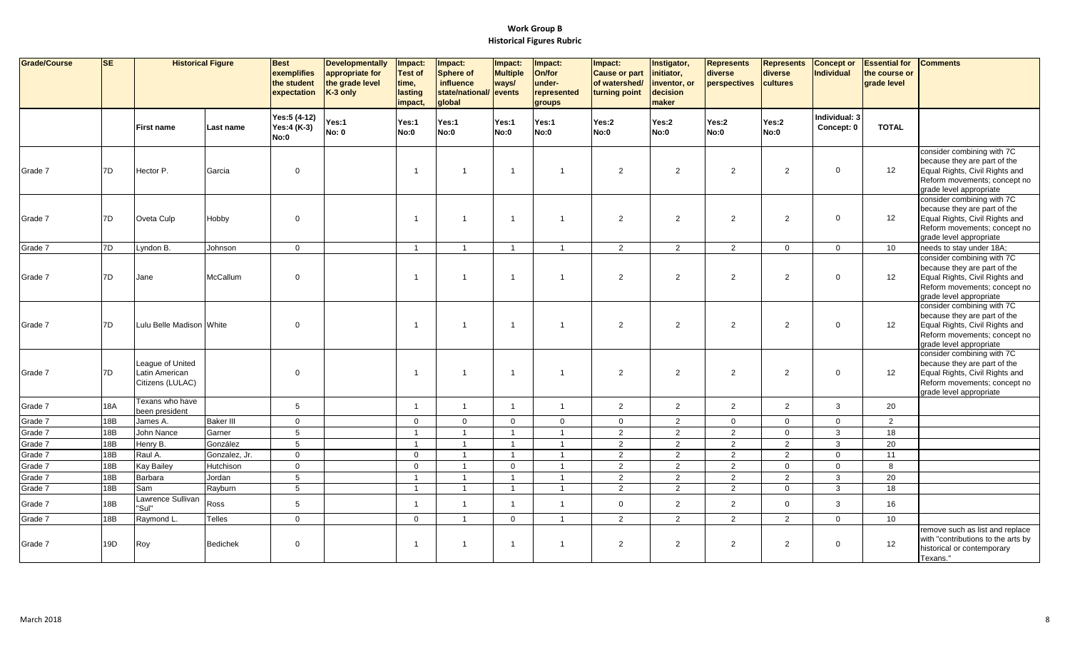| Grade/Course | <b>SE</b>  | <b>Historical Figure</b>                               |                  | <b>Best</b><br>exemplifies<br>the student<br>expectation | <b>Developmentally</b><br>appropriate for<br>the grade level<br>K-3 only | Impact:<br><b>Test of</b><br>time,<br>lasting<br>impact. | Impact:<br><b>Sphere of</b><br>influence<br>state/national/ events<br>qlobal | Impact:<br><b>Multiple</b><br>ways/ | Impact:<br>On/for<br>under-<br>represented<br>groups | Impact:<br><b>Cause or part</b><br>of watershed/<br>turning point | Instigator,<br>initiator,<br>inventor, or<br>decision<br>maker | <b>Represents</b><br>diverse<br>perspectives | <b>Represents</b><br>diverse<br>cultures | <b>Concept or</b><br><b>Individual</b> | <b>Essential for</b><br>the course or<br>grade level | <b>Comments</b>                                                                                                                                         |
|--------------|------------|--------------------------------------------------------|------------------|----------------------------------------------------------|--------------------------------------------------------------------------|----------------------------------------------------------|------------------------------------------------------------------------------|-------------------------------------|------------------------------------------------------|-------------------------------------------------------------------|----------------------------------------------------------------|----------------------------------------------|------------------------------------------|----------------------------------------|------------------------------------------------------|---------------------------------------------------------------------------------------------------------------------------------------------------------|
|              |            | <b>First name</b>                                      | Last name        | Yes:5 (4-12)<br>Yes:4 (K-3)<br>No:0                      | Yes:1<br><b>No: 0</b>                                                    | Yes:1<br>No:0                                            | Yes:1<br>No:0                                                                | Yes:1<br>No:0                       | Yes:1<br>No:0                                        | Yes:2<br>No:0                                                     | Yes:2<br>No:0                                                  | Yes:2<br>No:0                                | Yes:2<br>No:0                            | Individual: 3<br>Concept: 0            | <b>TOTAL</b>                                         |                                                                                                                                                         |
| Grade 7      | 7D         | Hector P.                                              | Garcia           | $\mathbf 0$                                              |                                                                          | $\overline{\mathbf{1}}$                                  | 1                                                                            | $\overline{1}$                      | $\overline{1}$                                       | $\overline{2}$                                                    | 2                                                              | $\overline{2}$                               | 2                                        | $\mathbf 0$                            | 12                                                   | consider combining with 7C<br>because they are part of the<br>Equal Rights, Civil Rights and<br>Reform movements; concept no<br>grade level appropriate |
| Grade 7      | 7D         | Oveta Culp                                             | Hobby            | $\mathbf 0$                                              |                                                                          | $\overline{1}$                                           | $\overline{1}$                                                               | $\overline{1}$                      | $\overline{1}$                                       | $\overline{2}$                                                    | 2                                                              | $\overline{2}$                               | 2                                        | $\mathbf 0$                            | 12                                                   | consider combining with 7C<br>because they are part of the<br>Equal Rights, Civil Rights and<br>Reform movements; concept no<br>grade level appropriate |
| Grade 7      | 7D         | Lyndon B.                                              | Johnson          | $\mathbf 0$                                              |                                                                          | $\overline{1}$                                           | $\overline{1}$                                                               | $\mathbf{1}$                        | $\overline{1}$                                       | 2                                                                 | 2                                                              | 2                                            | $\mathbf 0$                              | $\mathbf 0$                            | 10 <sup>1</sup>                                      | needs to stay under 18A;                                                                                                                                |
| Grade 7      | 7D         | Jane                                                   | McCallum         | $\mathbf 0$                                              |                                                                          | $\overline{\mathbf{1}}$                                  | $\mathbf{1}$                                                                 | $\overline{1}$                      | $\overline{1}$                                       | $\overline{2}$                                                    | 2                                                              | 2                                            | 2                                        | $\Omega$                               | 12                                                   | consider combining with 7C<br>because they are part of the<br>Equal Rights, Civil Rights and<br>Reform movements; concept no<br>grade level appropriate |
| Grade 7      | 7D         | Lulu Belle Madison White                               |                  | $\mathbf 0$                                              |                                                                          | $\overline{\mathbf{1}}$                                  | $\overline{1}$                                                               | $\overline{1}$                      | $\overline{1}$                                       | $\overline{2}$                                                    | 2                                                              | $\overline{2}$                               | 2                                        | $\Omega$                               | 12                                                   | consider combining with 7C<br>because they are part of the<br>Equal Rights, Civil Rights and<br>Reform movements; concept no<br>grade level appropriate |
| Grade 7      | 7D         | League of United<br>Latin American<br>Citizens (LULAC) |                  | $\mathbf 0$                                              |                                                                          | $\overline{\mathbf{1}}$                                  | $\overline{1}$                                                               | $\overline{1}$                      | $\overline{1}$                                       | 2                                                                 | 2                                                              | 2                                            | 2                                        | $\mathbf 0$                            | 12                                                   | consider combining with 7C<br>because they are part of the<br>Equal Rights, Civil Rights and<br>Reform movements; concept no<br>grade level appropriate |
| Grade 7      | <b>18A</b> | Texans who have<br>been president                      |                  | 5                                                        |                                                                          | $\overline{1}$                                           | $\overline{1}$                                                               | $\mathbf{1}$                        | $\overline{1}$                                       | $\overline{2}$                                                    | $\overline{2}$                                                 | 2                                            | $\overline{2}$                           | 3                                      | 20                                                   |                                                                                                                                                         |
| Grade 7      | 18B        | James A.                                               | <b>Baker III</b> | $\mathbf 0$                                              |                                                                          | $\overline{0}$                                           | $\mathbf 0$                                                                  | $\mathbf{0}$                        | $\mathbf 0$                                          | $\overline{0}$                                                    | 2                                                              | $\mathbf 0$                                  | $\mathbf 0$                              | $\mathbf{0}$                           | $\overline{2}$                                       |                                                                                                                                                         |
| Grade 7      | 18B        | John Nance                                             | Garner           | $\sqrt{5}$                                               |                                                                          | $\overline{1}$                                           | $\overline{1}$                                                               | $\overline{1}$                      | $\overline{1}$                                       | 2                                                                 | $\overline{2}$                                                 | 2                                            | $\mathbf 0$                              | $\mathbf{3}$                           | 18                                                   |                                                                                                                                                         |
| Grade 7      | 18B        | Henry B.                                               | González         | 5                                                        |                                                                          | $\overline{1}$                                           | $\overline{1}$                                                               | $\mathbf{1}$                        | $\overline{1}$                                       | $\overline{2}$                                                    | $\overline{2}$                                                 | $\overline{2}$                               | $\overline{2}$                           | $\mathbf{3}$                           | 20                                                   |                                                                                                                                                         |
| Grade 7      | 18B        | Raul A.                                                | Gonzalez, Jr.    | $\mathbf 0$                                              |                                                                          | $\overline{0}$                                           | $\overline{1}$                                                               | $\overline{1}$                      | $\overline{1}$                                       | 2                                                                 | $\overline{2}$                                                 | $\overline{2}$                               | $\overline{2}$                           | $\mathbf{0}$                           | 11                                                   |                                                                                                                                                         |
| Grade 7      | 18B        | <b>Kay Bailey</b>                                      | Hutchison        | $\mathbf 0$                                              |                                                                          | $\mathbf 0$                                              | $\overline{1}$                                                               | $\mathbf 0$                         | $\overline{1}$                                       | $\overline{2}$                                                    | $\overline{2}$                                                 | $\overline{2}$                               | $\mathbf 0$                              | $\mathbf 0$                            | 8                                                    |                                                                                                                                                         |
| Grade 7      | 18B        | Barbara                                                | Jordan           | 5                                                        |                                                                          | - 1                                                      | $\overline{1}$                                                               | $\overline{1}$                      | $\overline{1}$                                       | 2                                                                 | $\overline{2}$                                                 | $\overline{2}$                               | $\overline{2}$                           | $\mathbf{3}$                           | 20                                                   |                                                                                                                                                         |
| Grade 7      | 18B        | Sam                                                    | Rayburn          | 5                                                        |                                                                          | $\overline{1}$                                           | $\overline{1}$                                                               | $\overline{1}$                      | $\overline{1}$                                       | 2                                                                 | $\overline{2}$                                                 | $\overline{2}$                               | $\mathbf 0$                              | $\mathbf{3}$                           | 18                                                   |                                                                                                                                                         |
| Grade 7      | 18B        | Lawrence Sullivan<br>"Sul"                             | Ross             | $\sqrt{5}$                                               |                                                                          | $\overline{1}$                                           | $\overline{1}$                                                               | $\overline{1}$                      | $\overline{1}$                                       | $\mathbf{0}$                                                      | $\overline{2}$                                                 | $\overline{2}$                               | $\mathbf{0}$                             | 3                                      | 16                                                   |                                                                                                                                                         |
| Grade 7      | 18B        | Raymond L.                                             | Telles           | $\mathbf 0$                                              |                                                                          | $\overline{0}$                                           | $\overline{1}$                                                               | $\mathbf{0}$                        | $\overline{1}$                                       | 2                                                                 | 2                                                              | 2                                            | 2                                        | $\mathbf{0}$                           | 10 <sup>1</sup>                                      |                                                                                                                                                         |
| Grade 7      | 19D        | Roy                                                    | <b>Bedichek</b>  | $\mathbf 0$                                              |                                                                          | $\overline{\mathbf{1}}$                                  | 1                                                                            | $\overline{1}$                      | $\overline{1}$                                       | $\overline{2}$                                                    | $\overline{2}$                                                 | $\overline{2}$                               | $\overline{2}$                           | $\mathbf 0$                            | 12                                                   | remove such as list and replace<br>with "contributions to the arts by<br>historical or contemporary<br>Texans."                                         |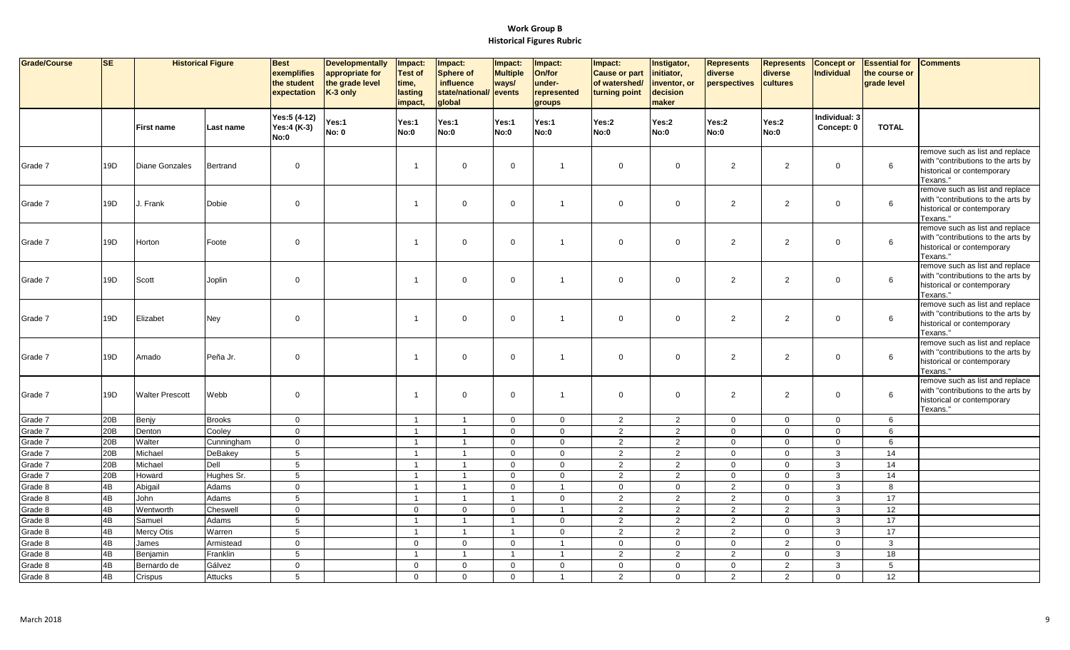| Grade/Course       | SE       | <b>Historical Figure</b> |                   | <b>Best</b><br>exemplifies<br>the student<br>expectation | <b>Developmentally</b><br>appropriate for<br>the grade level<br>K-3 only | Impact:<br><b>Test of</b><br>time,<br>lasting<br>impact, | Impact:<br><b>Sphere of</b><br>influence<br>state/national/<br>global | Impact:<br><b>Multiple</b><br>ways/<br>events | Impact:<br>On/for<br>under-<br>represented<br>groups | Impact:<br><b>Cause or part</b><br>of watershed/<br>turning point | Instigator,<br>initiator,<br>inventor, or<br>decision<br>maker | <b>Represents</b><br>diverse<br>perspectives | <b>Represents</b><br>diverse<br>cultures | <b>Concept or</b><br><b>Individual</b> | <b>Essential for</b><br>the course or<br>grade level | <b>Comments</b>                                                                                                 |
|--------------------|----------|--------------------------|-------------------|----------------------------------------------------------|--------------------------------------------------------------------------|----------------------------------------------------------|-----------------------------------------------------------------------|-----------------------------------------------|------------------------------------------------------|-------------------------------------------------------------------|----------------------------------------------------------------|----------------------------------------------|------------------------------------------|----------------------------------------|------------------------------------------------------|-----------------------------------------------------------------------------------------------------------------|
|                    |          | <b>First name</b>        | Last name         | Yes:5 (4-12)<br>Yes:4 (K-3)<br>No:0                      | Yes:1<br><b>No: 0</b>                                                    | Yes:1<br><b>No:0</b>                                     | Yes:1<br>No:0                                                         | Yes:1<br>No:0                                 | Yes:1<br>No:0                                        | Yes:2<br><b>No:0</b>                                              | Yes:2<br>No:0                                                  | Yes:2<br>No:0                                | Yes:2<br><b>No:0</b>                     | Individual: 3<br>Concept: 0            | <b>TOTAL</b>                                         |                                                                                                                 |
| Grade 7            | 19D      | Diane Gonzales           | Bertrand          | $\mathbf{0}$                                             |                                                                          |                                                          | $\mathbf 0$                                                           | $\overline{0}$                                | $\overline{1}$                                       | $\mathbf 0$                                                       | $\mathbf 0$                                                    | $\overline{2}$                               | 2                                        | $\mathbf{0}$                           | 6                                                    | remove such as list and replace<br>with "contributions to the arts by<br>historical or contemporary<br>Texans." |
| Grade 7            | 19D      | J. Frank                 | Dobie             | $\mathbf 0$                                              |                                                                          |                                                          | $\mathbf 0$                                                           | $\overline{0}$                                | $\overline{1}$                                       | $\mathbf{0}$                                                      | $\mathbf 0$                                                    | $\overline{2}$                               | 2                                        | $\Omega$                               | 6                                                    | remove such as list and replace<br>with "contributions to the arts by<br>historical or contemporary<br>Texans." |
| Grade 7            | 19D      | Horton                   | Foote             | $\mathbf 0$                                              |                                                                          |                                                          | $\mathbf 0$                                                           | $\mathbf 0$                                   | $\overline{1}$                                       | $\mathbf 0$                                                       | $\mathbf 0$                                                    | $\overline{a}$                               | $\overline{2}$                           | $\mathbf{0}$                           | 6                                                    | remove such as list and replace<br>with "contributions to the arts by<br>historical or contemporary<br>Texans." |
| Grade 7            | 19D      | Scott                    | Joplin            | $\mathbf 0$                                              |                                                                          | $\mathbf 1$                                              | $\mathbf 0$                                                           | $\mathbf 0$                                   | $\overline{1}$                                       | $\mathbf 0$                                                       | $\mathbf 0$                                                    | $\overline{2}$                               | $\overline{2}$                           | $\mathbf 0$                            | 6                                                    | remove such as list and replace<br>with "contributions to the arts by<br>historical or contemporary<br>Texans." |
| Grade 7            | 19D      | Elizabet                 | Ney               | $\mathbf 0$                                              |                                                                          | $\overline{1}$                                           | $\mathbf 0$                                                           | $\overline{0}$                                | $\overline{1}$                                       | $\mathbf 0$                                                       | $\mathbf 0$                                                    | $\overline{2}$                               | 2                                        | $\Omega$                               | 6                                                    | remove such as list and replace<br>with "contributions to the arts by<br>historical or contemporary<br>Texans." |
| Grade 7            | 19D      | Amado                    | Peña Jr.          | $\mathbf 0$                                              |                                                                          | -1                                                       | $\mathbf 0$                                                           | $\mathbf 0$                                   | $\overline{1}$                                       | $\mathbf 0$                                                       | $\mathsf 0$                                                    | $\overline{2}$                               | 2                                        | $\mathbf 0$                            | 6                                                    | remove such as list and replace<br>with "contributions to the arts by<br>historical or contemporary<br>Texans." |
| Grade 7            | 19D      | <b>Walter Prescott</b>   | Webb              | $\mathbf 0$                                              |                                                                          | -1                                                       | $\mathbf 0$                                                           | $\mathbf 0$                                   | $\overline{1}$                                       | $\mathbf{0}$                                                      | $\mathbf 0$                                                    | $\overline{2}$                               | $\overline{2}$                           | $\mathbf{0}$                           | 6                                                    | remove such as list and replace<br>with "contributions to the arts by<br>historical or contemporary<br>Texans." |
| Grade 7            | 20B      | Benjy                    | <b>Brooks</b>     | $\mathbf 0$                                              |                                                                          | $\overline{1}$                                           | $\overline{1}$                                                        | $\mathbf 0$                                   | $\overline{0}$                                       | $\overline{2}$                                                    | $\overline{2}$                                                 | $\mathbf{0}$                                 | $\mathbf 0$                              | $\mathbf{0}$                           | 6                                                    |                                                                                                                 |
| Grade 7            | 20B      | Denton                   | Cooley            | $\mathbf 0$                                              |                                                                          | $\mathbf{1}$                                             | $\overline{1}$                                                        | $\mathbf 0$                                   | $\mathbf 0$                                          | $\overline{2}$                                                    | 2                                                              | $\mathbf 0$                                  | $\mathbf 0$                              | $\overline{0}$                         | 6                                                    |                                                                                                                 |
| Grade 7            | 20B      | Walter                   | Cunningham        | $\mathbf 0$                                              |                                                                          | $\overline{1}$                                           | $\overline{1}$                                                        | $\overline{0}$                                | $\overline{0}$                                       | $\overline{2}$                                                    | $\overline{2}$                                                 | $\mathbf 0$                                  | $\mathsf 0$                              | $\overline{0}$                         | 6                                                    |                                                                                                                 |
| Grade 7            | 20B      | Michael                  | <b>DeBakey</b>    | $5\overline{)}$                                          |                                                                          | $\mathbf{1}$                                             | $\overline{1}$                                                        | $\mathbf 0$                                   | $\overline{0}$                                       | $\overline{2}$                                                    | $\overline{2}$                                                 | $\mathbf 0$                                  | $\mathbf{0}$                             | $\mathbf{3}$                           | 14                                                   |                                                                                                                 |
| Grade 7            | 20B      | Michael                  | Dell              | $5\overline{)}$                                          |                                                                          | $\overline{1}$                                           | $\overline{1}$                                                        | $\overline{0}$                                | $\overline{0}$                                       | $\overline{2}$                                                    | $\overline{2}$                                                 | $\mathbf 0$                                  | $\mathbf{0}$                             | $\mathbf{3}$                           | 14                                                   |                                                                                                                 |
| Grade 7            | 20B      | Howard                   | Hughes Sr.        | $5\phantom{.0}$                                          |                                                                          |                                                          | $\overline{1}$                                                        | $\mathbf 0$                                   | $\overline{0}$                                       | $\mathbf{2}$                                                      | $\overline{2}$                                                 | $\mathsf{O}$                                 | $\mathsf 0$                              | 3                                      | 14                                                   |                                                                                                                 |
| Grade 8<br>Grade 8 | 4B<br>4B | Abigail<br>John          | Adams<br>Adams    | $\mathbf{0}$<br>$5\overline{)}$                          |                                                                          | $\mathbf{1}$<br>$\overline{1}$                           | $\overline{1}$<br>$\overline{1}$                                      | $\overline{0}$<br>$\overline{1}$              | $\overline{1}$<br>$\mathbf 0$                        | $\mathbf{0}$                                                      | $\mathbf 0$                                                    | $\overline{2}$                               | $\mathbf{0}$<br>$\mathbf 0$              | $\mathbf{3}$<br>$\mathbf{3}$           | 8<br>17                                              |                                                                                                                 |
| Grade 8            | 4B       |                          |                   | $\mathbf 0$                                              |                                                                          | $\mathbf{0}$                                             | $\mathbf{0}$                                                          | $\mathbf 0$                                   | $\overline{1}$                                       | $\overline{2}$<br>$\overline{2}$                                  | $\overline{2}$<br>$\overline{2}$                               | $\overline{2}$<br>2                          | $\overline{2}$                           | $\mathbf{3}$                           | 12                                                   |                                                                                                                 |
| Grade 8            | 4B       | Wentworth<br>Samuel      | Cheswell<br>Adams | 5                                                        |                                                                          | $\overline{1}$                                           | $\overline{1}$                                                        | $\overline{1}$                                | $\overline{0}$                                       | $\overline{2}$                                                    | 2                                                              | $\overline{2}$                               | $\mathbf 0$                              | $\mathbf{3}$                           | 17                                                   |                                                                                                                 |
| Grade 8            | 4B       | Mercy Otis               | Warren            | 5                                                        |                                                                          | $\overline{1}$                                           | $\overline{1}$                                                        | $\overline{1}$                                | $\overline{0}$                                       | $\overline{a}$                                                    | 2                                                              | $\overline{2}$                               | $\mathbf 0$                              | 3                                      | 17                                                   |                                                                                                                 |
| Grade 8            | 4B       | James                    | Armistead         | $\mathbf 0$                                              |                                                                          | $\mathbf 0$                                              | $\mathbf 0$                                                           | $\mathbf 0$                                   | $\overline{1}$                                       | $\mathbf 0$                                                       | $\mathbf 0$                                                    | $\mathbf 0$                                  | $\overline{2}$                           | $\mathbf 0$                            | $\mathbf{3}$                                         |                                                                                                                 |
| Grade 8            | 4B       | Benjamin                 | Franklin          | $5\phantom{.0}$                                          |                                                                          | $\mathbf{1}$                                             | $\overline{1}$                                                        | $\overline{1}$                                | $\overline{1}$                                       | $\overline{2}$                                                    | $\overline{2}$                                                 | $\overline{2}$                               | $\mathbf 0$                              | $\mathbf{3}$                           | 18                                                   |                                                                                                                 |
| Grade 8            | 4B       | Bernardo de              | Gálvez            | $\mathbf 0$                                              |                                                                          | $\mathbf 0$                                              | $\mathbf 0$                                                           | $\mathbf 0$                                   | $\overline{0}$                                       | $\mathbf 0$                                                       | $\mathsf 0$                                                    | $\mathbf 0$                                  | $\overline{2}$                           | $\mathbf{3}$                           | 5                                                    |                                                                                                                 |
| Grade 8            | 4B       | Crispus                  | Attucks           | $5\overline{5}$                                          |                                                                          | $\mathbf{0}$                                             | $\mathbf 0$                                                           | $\overline{0}$                                | $\overline{1}$                                       | $\overline{2}$                                                    | $\overline{0}$                                                 | 2                                            | 2                                        | $\mathbf{0}$                           | 12                                                   |                                                                                                                 |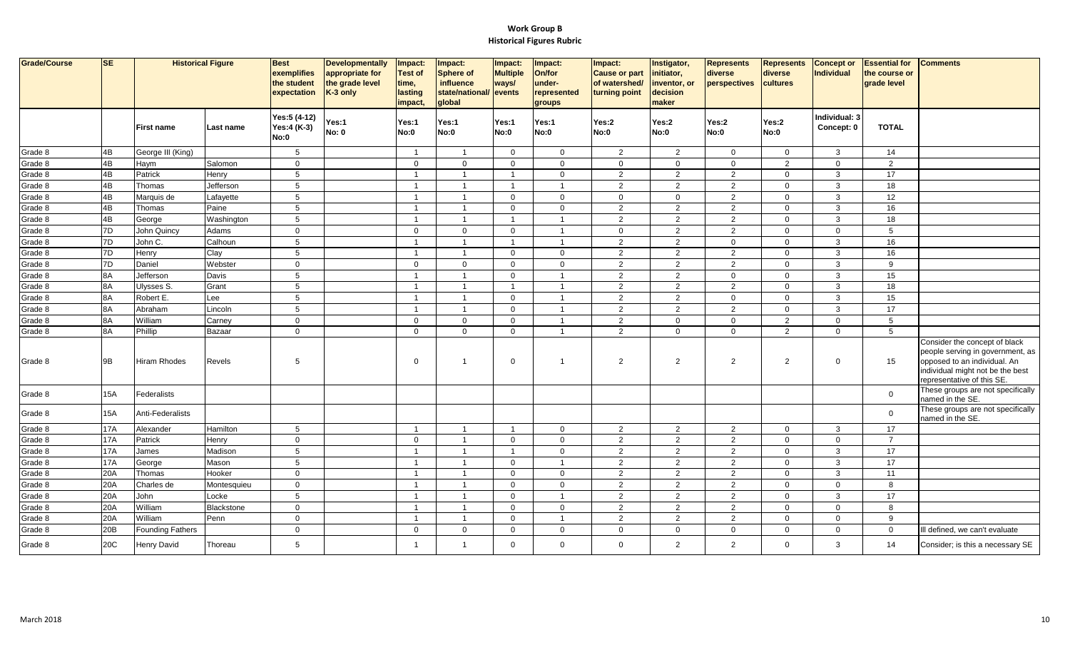| Grade/Course | <b>SE</b>  |                         | <b>Historical Figure</b> | <b>Best</b><br>exemplifies<br>the student<br>expectation | <b>Developmentally</b><br>appropriate for<br>the grade level<br>K-3 only | Impact:<br><b>Test of</b><br>time,<br>lasting<br>impact, | Impact:<br>Sphere of<br><b>influence</b><br>state/national/ events<br>global | Impact:<br><b>Multiple</b><br>ways/ | Impact:<br>On/for<br>under-<br>represented<br>groups | Impact:<br><b>Cause or part</b><br>of watershed/<br>turning point | Instigator,<br>initiator,<br>inventor, or<br>decision<br>maker | <b>Represents</b><br>diverse<br>perspectives | <b>Represents</b><br>diverse<br>cultures | <b>Concept or</b><br>Individual | <b>Essential for</b><br>the course or<br>grade level | <b>Comments</b>                                                                                                                                                     |
|--------------|------------|-------------------------|--------------------------|----------------------------------------------------------|--------------------------------------------------------------------------|----------------------------------------------------------|------------------------------------------------------------------------------|-------------------------------------|------------------------------------------------------|-------------------------------------------------------------------|----------------------------------------------------------------|----------------------------------------------|------------------------------------------|---------------------------------|------------------------------------------------------|---------------------------------------------------------------------------------------------------------------------------------------------------------------------|
|              |            | <b>First name</b>       | Last name                | Yes:5 (4-12)<br>Yes:4 (K-3)<br>No:0                      | Yes:1<br><b>No: 0</b>                                                    | Yes:1<br>No:0                                            | Yes:1<br>No:0                                                                | Yes:1<br>No:0                       | Yes:1<br>No:0                                        | Yes:2<br>No:0                                                     | Yes:2<br>No:0                                                  | Yes:2<br>No:0                                | Yes:2<br>No:0                            | Individual: 3<br>Concept: 0     | <b>TOTAL</b>                                         |                                                                                                                                                                     |
| Grade 8      | 4B         | George III (King)       |                          | 5                                                        |                                                                          | $\overline{\mathbf{1}}$                                  | $\overline{1}$                                                               | $\mathbf 0$                         | $\mathbf{0}$                                         | $\overline{2}$                                                    | $\overline{2}$                                                 | $\mathbf 0$                                  | $\mathbf 0$                              | 3                               | 14                                                   |                                                                                                                                                                     |
| Grade 8      | 4B         | Haym                    | Salomon                  | $\mathbf{0}$                                             |                                                                          | $\mathbf{0}$                                             | $\Omega$                                                                     | $\mathbf 0$                         | $\Omega$                                             | $\mathbf 0$                                                       | $\overline{0}$                                                 | $\mathbf{0}$                                 | 2                                        | $\overline{0}$                  | 2                                                    |                                                                                                                                                                     |
| Grade 8      | 4B         | Patrick                 | Henry                    | $5\phantom{.0}$                                          |                                                                          | $\overline{1}$                                           | $\overline{1}$                                                               | $\overline{1}$                      | $\mathbf 0$                                          | $\overline{2}$                                                    | $\overline{2}$                                                 | 2                                            | $\mathbf 0$                              | 3                               | 17                                                   |                                                                                                                                                                     |
| Grade 8      | 4B         | Thomas                  | Jefferson                | $\sqrt{5}$                                               |                                                                          | $\overline{1}$                                           | $\overline{1}$                                                               | $\overline{1}$                      | $\overline{1}$                                       | $\overline{2}$                                                    | $\overline{a}$                                                 | $\overline{2}$                               | $\mathbf 0$                              | 3                               | 18                                                   |                                                                                                                                                                     |
| Grade 8      | 4B         | Marquis de              | Lafayette                | $5\phantom{.0}$                                          |                                                                          | $\overline{1}$                                           | $\overline{1}$                                                               | $\overline{0}$                      | $\mathbf 0$                                          | $\mathbf 0$                                                       | $\overline{0}$                                                 | 2                                            | $\overline{0}$                           | 3                               | 12                                                   |                                                                                                                                                                     |
| Grade 8      | 4B         | Thomas                  | Paine                    | 5                                                        |                                                                          | $\overline{1}$                                           | $\overline{1}$                                                               | $\overline{0}$                      | $\mathbf 0$                                          | 2                                                                 | 2                                                              | 2                                            | $\mathbf{0}$                             | $\mathbf{3}$                    | 16                                                   |                                                                                                                                                                     |
| Grade 8      | 4B         | George                  | Washington               | $\sqrt{5}$                                               |                                                                          | $\overline{1}$                                           | $\overline{1}$                                                               | $\overline{1}$                      | $\overline{\mathbf{1}}$                              | $\overline{2}$                                                    | $\overline{2}$                                                 | $\overline{2}$                               | $\mathbf 0$                              | 3                               | 18                                                   |                                                                                                                                                                     |
| Grade 8      | 7D         | John Quincy             | Adams                    | $\mathbf 0$                                              |                                                                          | $\mathbf 0$                                              | $\mathbf 0$                                                                  | $\overline{0}$                      | $\overline{1}$                                       | $\mathbf 0$                                                       | $\overline{2}$                                                 | $\overline{2}$                               | $\mathbf 0$                              | $\mathbf 0$                     | 5                                                    |                                                                                                                                                                     |
| Grade 8      | 7D         | John C.                 | Calhoun                  | $\sqrt{5}$                                               |                                                                          | $\overline{1}$                                           | $\overline{1}$                                                               | $\overline{1}$                      | $\overline{1}$                                       | 2                                                                 | $\overline{2}$                                                 | $\mathbf 0$                                  | $\mathbf{0}$                             | 3                               | 16                                                   |                                                                                                                                                                     |
| Grade 8      | 7D         | Henry                   | Clay                     | $5\phantom{.0}$                                          |                                                                          | $\overline{1}$                                           | $\overline{1}$                                                               | $\mathbf 0$                         | $\mathbf 0$                                          | $\overline{2}$                                                    | $\overline{2}$                                                 | $\overline{2}$                               | $\mathbf 0$                              | 3                               | 16                                                   |                                                                                                                                                                     |
| Grade 8      | 7D         | Daniel                  | Webster                  | $\overline{0}$                                           |                                                                          | $\mathbf 0$                                              | $\mathbf 0$                                                                  | $\mathbf 0$                         | $\mathbf 0$                                          | 2                                                                 | 2                                                              | $\overline{2}$                               | $\mathbf 0$                              | 3                               | 9                                                    |                                                                                                                                                                     |
| Grade 8      | 8A         | Jefferson               | Davis                    | 5                                                        |                                                                          | $\overline{1}$                                           | $\overline{1}$                                                               | $\mathbf 0$                         | $\overline{1}$                                       | $\overline{2}$                                                    | $\overline{2}$                                                 | $\mathbf 0$                                  | $\mathbf 0$                              | 3                               | 15                                                   |                                                                                                                                                                     |
| Grade 8      | 8A         | Ulysses S.              | Grant                    | 5                                                        |                                                                          | $\overline{1}$                                           | $\overline{1}$                                                               | $\overline{1}$                      | $\overline{1}$                                       | 2                                                                 | $\overline{2}$                                                 | $\overline{2}$                               | $\overline{0}$                           | $\mathbf{3}$                    | 18                                                   |                                                                                                                                                                     |
| Grade 8      | 8A         | Robert E.               | Lee                      | 5                                                        |                                                                          | $\overline{1}$                                           | $\overline{1}$                                                               | $\overline{0}$                      | $\overline{1}$                                       | $\overline{2}$                                                    | 2                                                              | $\mathbf 0$                                  | $\mathbf 0$                              | 3                               | 15                                                   |                                                                                                                                                                     |
| Grade 8      | 8A         | Abraham                 | Lincoln                  | $5\phantom{.0}$                                          |                                                                          | $\overline{\mathbf{1}}$                                  | $\overline{1}$                                                               | $\mathbf 0$                         | $\overline{1}$                                       | $\overline{2}$                                                    | 2                                                              | 2                                            | $\mathbf 0$                              | 3                               | 17                                                   |                                                                                                                                                                     |
| Grade 8      | 8A         | William                 | Carney                   | $\mathbf{0}$                                             |                                                                          | $\mathbf{0}$                                             | $\Omega$                                                                     | $\overline{0}$                      | $\overline{1}$                                       | 2                                                                 | $\overline{0}$                                                 | $\mathbf 0$                                  | $\overline{2}$                           | $\overline{0}$                  | 5                                                    |                                                                                                                                                                     |
| Grade 8      | 8A         | Phillip                 | Bazaar                   | $\mathbf 0$                                              |                                                                          | $\mathbf{0}$                                             | $\Omega$                                                                     | $\mathbf 0$                         | $\overline{1}$                                       | $\overline{2}$                                                    | $\mathbf 0$                                                    | $\mathbf{0}$                                 | $\overline{2}$                           | $\mathbf 0$                     | $5\phantom{.0}$                                      |                                                                                                                                                                     |
| Grade 8      | 9B         | <b>Hiram Rhodes</b>     | Revels                   | 5                                                        |                                                                          | $\mathbf 0$                                              | $\overline{1}$                                                               | $\mathbf 0$                         | -1                                                   | $\overline{2}$                                                    | $\overline{2}$                                                 | 2                                            | $\overline{2}$                           | $\mathbf 0$                     | 15                                                   | Consider the concept of black<br>people serving in government, as<br>opposed to an individual. An<br>individual might not be the best<br>representative of this SE. |
| Grade 8      | 15A        | Federalists             |                          |                                                          |                                                                          |                                                          |                                                                              |                                     |                                                      |                                                                   |                                                                |                                              |                                          |                                 | $\mathbf{0}$                                         | These groups are not specifically<br>named in the SE.                                                                                                               |
| Grade 8      | <b>15A</b> | Anti-Federalists        |                          |                                                          |                                                                          |                                                          |                                                                              |                                     |                                                      |                                                                   |                                                                |                                              |                                          |                                 | $\mathbf 0$                                          | These groups are not specifically<br>named in the SE.                                                                                                               |
| Grade 8      | 17A        | Alexander               | Hamilton                 | $5\phantom{.0}$                                          |                                                                          | $\overline{\mathbf{1}}$                                  |                                                                              |                                     | $\mathbf{0}$                                         | $\overline{2}$                                                    | $\overline{2}$                                                 | 2                                            | $\mathbf 0$                              | 3                               | 17                                                   |                                                                                                                                                                     |
| Grade 8      | <b>17A</b> | Patrick                 | Henry                    | $\overline{0}$                                           |                                                                          | $\mathbf{0}$                                             | $\overline{1}$                                                               | $\overline{0}$                      | $\mathbf 0$                                          | 2                                                                 | $\overline{2}$                                                 | $\overline{2}$                               | $\mathbf 0$                              | $\overline{0}$                  | $\overline{7}$                                       |                                                                                                                                                                     |
| Grade 8      | <b>17A</b> | James                   | Madison                  | 5                                                        |                                                                          | $\overline{1}$                                           | $\overline{1}$                                                               | $\overline{1}$                      | $\mathbf 0$                                          | $\overline{2}$                                                    | $\overline{2}$                                                 | $\overline{2}$                               | $\mathbf 0$                              | 3                               | 17                                                   |                                                                                                                                                                     |
| Grade 8      | 17A        | George                  | Mason                    | $5\phantom{.0}$                                          |                                                                          | $\overline{1}$                                           | $\overline{1}$                                                               | $\mathbf 0$                         | $\overline{1}$                                       | $\overline{2}$                                                    | $\overline{2}$                                                 | 2                                            | $\mathbf 0$                              | 3                               | 17                                                   |                                                                                                                                                                     |
| Grade 8      | 20A        | Thomas                  | Hooker                   | $\mathsf 0$                                              |                                                                          | $\overline{1}$                                           | $\overline{1}$                                                               | $\mathbf 0$                         | $\mathbf 0$                                          | 2                                                                 | 2                                                              | 2                                            | $\mathbf 0$                              | $\mathbf{3}$                    | 11                                                   |                                                                                                                                                                     |
| Grade 8      | 20A        | Charles de              | Montesquieu              | $\mathbf 0$                                              |                                                                          | $\overline{1}$                                           | $\overline{1}$                                                               | $\overline{0}$                      | $\Omega$                                             | $\overline{2}$                                                    | $\overline{2}$                                                 | $\overline{2}$                               | $\mathbf 0$                              | $\mathbf{0}$                    | 8                                                    |                                                                                                                                                                     |
| Grade 8      | 20A        | John                    | Locke                    | 5                                                        |                                                                          | $\overline{1}$                                           | $\overline{1}$                                                               | $\mathbf 0$                         | $\overline{1}$                                       | 2                                                                 | $\overline{2}$                                                 | 2                                            | $\mathbf 0$                              | 3                               | 17                                                   |                                                                                                                                                                     |
| Grade 8      | 20A        | William                 | Blackstone               | $\mathbf 0$                                              |                                                                          | $\overline{1}$                                           | $\overline{1}$                                                               | $\mathbf 0$                         | $\mathbf 0$                                          | $\overline{2}$                                                    | $\overline{2}$                                                 | 2                                            | $\mathbf 0$                              | $\mathbf 0$                     | 8                                                    |                                                                                                                                                                     |
| Grade 8      | 20A        | William                 | Penn                     | $\mathsf 0$                                              |                                                                          | $\overline{1}$                                           | $\overline{1}$                                                               | $\mathbf 0$                         | $\overline{1}$                                       | $\overline{2}$                                                    | $\overline{a}$                                                 | $\overline{2}$                               | $\mathbf 0$                              | $\mathbf 0$                     | 9                                                    |                                                                                                                                                                     |
| Grade 8      | 20B        | <b>Founding Fathers</b> |                          | $\mathbf 0$                                              |                                                                          | $\mathbf{0}$                                             | $\Omega$                                                                     | $\mathbf 0$                         | $\mathbf{0}$                                         | $\mathbf 0$                                                       | $\mathbf 0$                                                    | $\mathbf 0$                                  | $\mathbf 0$                              | $\overline{0}$                  | $\overline{0}$                                       | Ill defined, we can't evaluate                                                                                                                                      |
| Grade 8      | 20C        | Henry David             | Thoreau                  | 5                                                        |                                                                          | $\overline{1}$                                           |                                                                              | $\mathbf 0$                         | $\Omega$                                             | $\mathbf 0$                                                       | $\overline{2}$                                                 | 2                                            | $\mathbf 0$                              | 3                               | 14                                                   | Consider; is this a necessary SE                                                                                                                                    |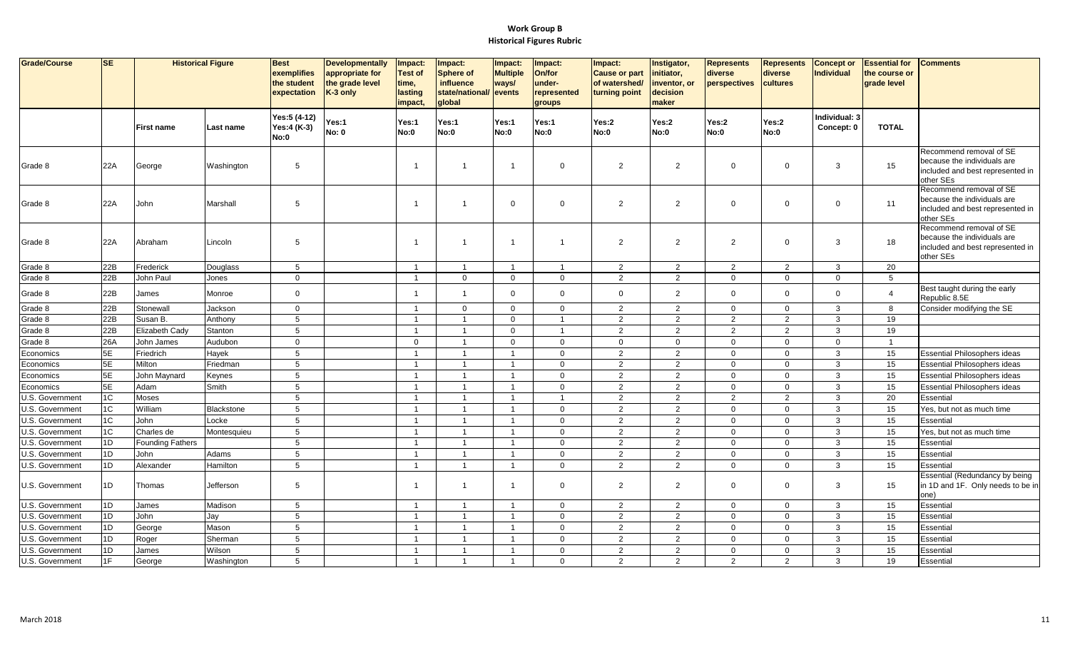| Grade/Course    | <b>SE</b> | <b>Historical Figure</b> |             | <b>Best</b><br>exemplifies<br>the student<br>expectation | <b>Developmentally</b><br>appropriate for<br>the grade level<br>K-3 only | Impact:<br><b>Test of</b><br>time,<br>lasting<br>impact | Impact:<br><b>Sphere of</b><br>influence<br>state/national/<br>global | Impact:<br><b>Multiple</b><br>ways/<br>events | Impact:<br>On/for<br>under-<br>represented<br>groups | Impact:<br><b>Cause or part</b><br>of watershed/<br>turning point | Instigator,<br>initiator,<br>inventor, or<br>decision<br>maker | <b>Represents</b><br>diverse<br>perspectives | <b>Represents</b><br>diverse<br>cultures | <b>Concept or</b><br><b>Individual</b> | <b>Essential for</b><br>the course or<br>grade level | <b>Comments</b>                                                                                         |
|-----------------|-----------|--------------------------|-------------|----------------------------------------------------------|--------------------------------------------------------------------------|---------------------------------------------------------|-----------------------------------------------------------------------|-----------------------------------------------|------------------------------------------------------|-------------------------------------------------------------------|----------------------------------------------------------------|----------------------------------------------|------------------------------------------|----------------------------------------|------------------------------------------------------|---------------------------------------------------------------------------------------------------------|
|                 |           | First name               | Last name   | Yes:5 (4-12)<br>Yes:4 (K-3)<br>No:0                      | Yes:1<br><b>No: 0</b>                                                    | Yes:1<br><b>No:0</b>                                    | Yes:1<br>No:0                                                         | Yes:1<br>No:0                                 | Yes:1<br>No:0                                        | Yes:2<br>No:0                                                     | Yes:2<br>No:0                                                  | Yes:2<br>No:0                                | Yes:2<br>No:0                            | Individual: 3<br>Concept: 0            | <b>TOTAL</b>                                         |                                                                                                         |
| Grade 8         | 22A       | George                   | Washington  | 5                                                        |                                                                          |                                                         | $\mathbf 1$                                                           | $\overline{1}$                                | $\overline{0}$                                       | $\overline{2}$                                                    | 2                                                              | $\overline{0}$                               | $\mathbf 0$                              | 3                                      | 15                                                   | Recommend removal of SE<br>because the individuals are<br>included and best represented in<br>other SEs |
| Grade 8         | 22A       | John                     | Marshall    | $5\phantom{.0}$                                          |                                                                          |                                                         | -1                                                                    | $\mathbf{0}$                                  | $\overline{0}$                                       | $\overline{2}$                                                    | $\overline{2}$                                                 | $\overline{0}$                               | $\mathbf 0$                              | $\Omega$                               | 11                                                   | Recommend removal of SE<br>because the individuals are<br>included and best represented in<br>other SEs |
| Grade 8         | 22A       | Abraham                  | Lincoln     | 5                                                        |                                                                          | -1                                                      | -1                                                                    | $\overline{1}$                                | $\overline{1}$                                       | $\overline{2}$                                                    | 2                                                              | $\overline{2}$                               | $\mathbf 0$                              | 3                                      | 18                                                   | Recommend removal of SE<br>because the individuals are<br>included and best represented in<br>other SEs |
| Grade 8         | 22B       | Frederick                | Douglass    | 5                                                        |                                                                          | $\overline{1}$                                          | $\overline{1}$                                                        | $\overline{1}$                                | $\overline{1}$                                       | $\overline{2}$                                                    | 2                                                              | 2                                            | 2                                        | 3                                      | 20                                                   |                                                                                                         |
| Grade 8         | 22B       | John Paul                | Jones       | $\mathbf 0$                                              |                                                                          | 1                                                       | $\mathbf 0$                                                           | $\mathbf 0$                                   | $\overline{0}$                                       | 2                                                                 | $\overline{2}$                                                 | $\mathbf 0$                                  | $\mathbf 0$                              | $\Omega$                               | 5                                                    |                                                                                                         |
| Grade 8         | 22B       | James                    | Monroe      | $\mathbf{0}$                                             |                                                                          | $\mathbf{1}$                                            | $\overline{1}$                                                        | $\mathbf 0$                                   | $\overline{0}$                                       | $\mathbf{0}$                                                      | $\overline{2}$                                                 | $\mathbf 0$                                  | $\mathbf{0}$                             | $\Omega$                               | $\overline{4}$                                       | Best taught during the early<br>Republic 8.5E                                                           |
| Grade 8         | 22B       | Stonewall                | Jackson     | $\mathbf{0}$                                             |                                                                          | $\overline{\mathbf{1}}$                                 | $\mathbf 0$                                                           | $\mathbf 0$                                   | $\overline{0}$                                       | $\overline{2}$                                                    | 2                                                              | $\mathbf 0$                                  | $\mathbf 0$                              | 3                                      | 8                                                    | Consider modifying the SE                                                                               |
| Grade 8         | 22B       | Susan B.                 | Anthony     | 5                                                        |                                                                          | $\overline{1}$                                          | $\overline{1}$                                                        | $\mathbf 0$                                   | $\overline{1}$                                       | $\overline{2}$                                                    | $\overline{2}$                                                 | $\overline{2}$                               | $\overline{2}$                           | 3                                      | 19                                                   |                                                                                                         |
| Grade 8         | 22B       | Elizabeth Cady           | Stanton     | 5                                                        |                                                                          | $\overline{1}$                                          | $\overline{1}$                                                        | $\mathbf 0$                                   | $\overline{1}$                                       | $\overline{2}$                                                    | 2                                                              | 2                                            | 2                                        | 3                                      | 19                                                   |                                                                                                         |
| Grade 8         | 26A       | John James               | Audubon     | $\mathbf 0$                                              |                                                                          | $\mathbf 0$                                             | $\overline{1}$                                                        | $\mathbf{0}$                                  | $\overline{0}$                                       | $\mathbf{0}$                                                      | $\mathbf{0}$                                                   | $\mathbf 0$                                  | $\mathbf 0$                              | $\Omega$                               | $\overline{1}$                                       |                                                                                                         |
| Economics       | 5E        | Friedrich                | Hayek       | $\sqrt{5}$                                               |                                                                          | $\overline{1}$                                          | $\overline{1}$                                                        | $\overline{1}$                                | $\overline{0}$                                       | $\overline{2}$                                                    | $\overline{2}$                                                 | $\mathbf 0$                                  | $\mathbf 0$                              | 3                                      | 15                                                   | <b>Essential Philosophers ideas</b>                                                                     |
| Economics       | 5E        | Milton                   | Friedman    | 5                                                        |                                                                          | $\overline{1}$                                          | $\overline{1}$                                                        | $\overline{1}$                                | $\mathbf 0$                                          | $\overline{2}$                                                    | 2                                                              | $\mathbf 0$                                  | $\mathbf 0$                              | 3                                      | 15                                                   | <b>Essential Philosophers ideas</b>                                                                     |
| Economics       | 5E        | John Maynard             | Keynes      | 5                                                        |                                                                          | $\overline{1}$                                          | $\overline{1}$                                                        | $\overline{1}$                                | $\overline{0}$                                       | $\overline{2}$                                                    | $\overline{2}$                                                 | $\mathbf 0$                                  | $\mathbf 0$                              | 3                                      | 15                                                   | <b>Essential Philosophers ideas</b>                                                                     |
| Economics       | 5E        | Adam                     | Smith       | 5                                                        |                                                                          | $\overline{1}$                                          | $\overline{1}$                                                        | $\overline{1}$                                | $\overline{0}$                                       | $\overline{2}$                                                    | 2                                                              | $\mathbf 0$                                  | $\mathbf 0$                              | 3                                      | 15                                                   | Essential Philosophers ideas                                                                            |
| U.S. Government | 1C        | Moses                    |             | 5                                                        |                                                                          | -1                                                      | $\overline{1}$                                                        | $\overline{1}$                                | $\overline{1}$                                       | $\overline{2}$                                                    | 2                                                              | 2                                            | 2                                        | 3                                      | 20                                                   | Essential                                                                                               |
| U.S. Government | 1C        | William                  | Blackstone  | $5\phantom{.0}$                                          |                                                                          | $\mathbf{1}$                                            | $\overline{1}$                                                        | $\mathbf{1}$                                  | $\overline{0}$                                       | $\overline{2}$                                                    | 2                                                              | $\mathbf 0$                                  | $\mathbf 0$                              | 3                                      | 15                                                   | Yes, but not as much time                                                                               |
| U.S. Government | 1C        | John                     | Locke       | $5\phantom{.0}$                                          |                                                                          | $\overline{1}$                                          | $\overline{1}$                                                        | $\overline{1}$                                | $\mathbf 0$                                          | $\overline{2}$                                                    | 2                                                              | $\mathbf 0$                                  | $\mathsf 0$                              | 3                                      | 15                                                   | Essential                                                                                               |
| U.S. Government | $1C$      | Charles de               | Montesquieu | 5                                                        |                                                                          | $\overline{1}$                                          | $\overline{1}$                                                        | $\overline{1}$                                | $\Omega$                                             | $\overline{2}$                                                    | 2                                                              | $\mathbf 0$                                  | $\Omega$                                 | 3                                      | 15                                                   | Yes, but not as much time                                                                               |
| U.S. Government | 1D        | <b>Founding Fathers</b>  |             | 5                                                        |                                                                          | $\overline{1}$                                          | $\overline{1}$                                                        | $\mathbf{1}$                                  | $\overline{0}$                                       | $\overline{2}$                                                    | $\overline{2}$                                                 | $\mathbf 0$                                  | $\mathbf 0$                              | 3                                      | 15                                                   | Essential                                                                                               |
| U.S. Government | 1D        | John                     | Adams       | $\overline{5}$                                           |                                                                          | $\overline{1}$                                          | $\overline{1}$                                                        | $\overline{1}$                                | $\overline{0}$                                       | $\overline{2}$                                                    | $\overline{2}$                                                 | $\mathbf 0$                                  | $\mathbf 0$                              | 3                                      | 15                                                   | Essential                                                                                               |
| U.S. Government | 1D        | Alexander                | Hamilton    | 5                                                        |                                                                          | $\overline{1}$                                          | $\overline{1}$                                                        | $\overline{1}$                                | $\overline{0}$                                       | $\overline{2}$                                                    | 2                                                              | $\overline{0}$                               | $\Omega$                                 | 3                                      | 15                                                   | Essentia                                                                                                |
| U.S. Government | 1D        | Thomas                   | Jefferson   | 5                                                        |                                                                          | $\overline{1}$                                          | $\overline{\mathbf{1}}$                                               | $\mathbf{1}$                                  | $\overline{0}$                                       | $\overline{2}$                                                    | 2                                                              | $\mathbf 0$                                  | $\mathbf 0$                              | 3                                      | 15                                                   | Essential (Redundancy by being<br>in 1D and 1F. Only needs to be in<br>one)                             |
| U.S. Government | 1D        | James                    | Madison     | 5                                                        |                                                                          | $\mathbf{1}$                                            | $\overline{1}$                                                        | $\mathbf{1}$                                  | $\overline{0}$                                       | $\overline{2}$                                                    | $\overline{2}$                                                 | $\overline{0}$                               | $\mathbf{0}$                             | 3                                      | 15                                                   | Essential                                                                                               |
| U.S. Government | 1D        | John                     | Jay         | 5                                                        |                                                                          | $\overline{1}$                                          | $\overline{1}$                                                        | $\overline{1}$                                | $\overline{0}$                                       | $\overline{2}$                                                    | $\overline{2}$                                                 | $\mathbf 0$                                  | $\mathbf 0$                              | 3                                      | 15                                                   | Essential                                                                                               |
| U.S. Government | 1D        | George                   | Mason       | 5                                                        |                                                                          |                                                         | $\overline{1}$                                                        | $\overline{1}$                                | $\overline{0}$                                       | $\overline{2}$                                                    | $\overline{2}$                                                 | $\mathbf 0$                                  | $\mathbf 0$                              | 3                                      | 15                                                   | Essential                                                                                               |
| U.S. Government | 1D        | Roger                    | Sherman     | 5                                                        |                                                                          | $\mathbf{1}$                                            | $\overline{1}$                                                        | $\overline{1}$                                | $\overline{0}$                                       | $\overline{2}$                                                    | 2                                                              | $\mathbf 0$                                  | $\mathbf 0$                              | 3                                      | 15                                                   | Essential                                                                                               |
| U.S. Government | 1D        | James                    | Wilson      | 5                                                        |                                                                          | $\overline{1}$                                          | $\overline{1}$                                                        | $\overline{1}$                                | $\overline{0}$                                       | $\overline{2}$                                                    | 2                                                              | $\mathbf 0$                                  | $\mathbf 0$                              | 3                                      | 15                                                   | Essential                                                                                               |
| U.S. Government | 1F        | George                   | Washington  | 5                                                        |                                                                          | $\overline{1}$                                          | $\overline{1}$                                                        | $\overline{1}$                                | $\Omega$                                             | $\overline{2}$                                                    | 2                                                              | 2                                            | 2                                        | 3                                      | 19                                                   | Essential                                                                                               |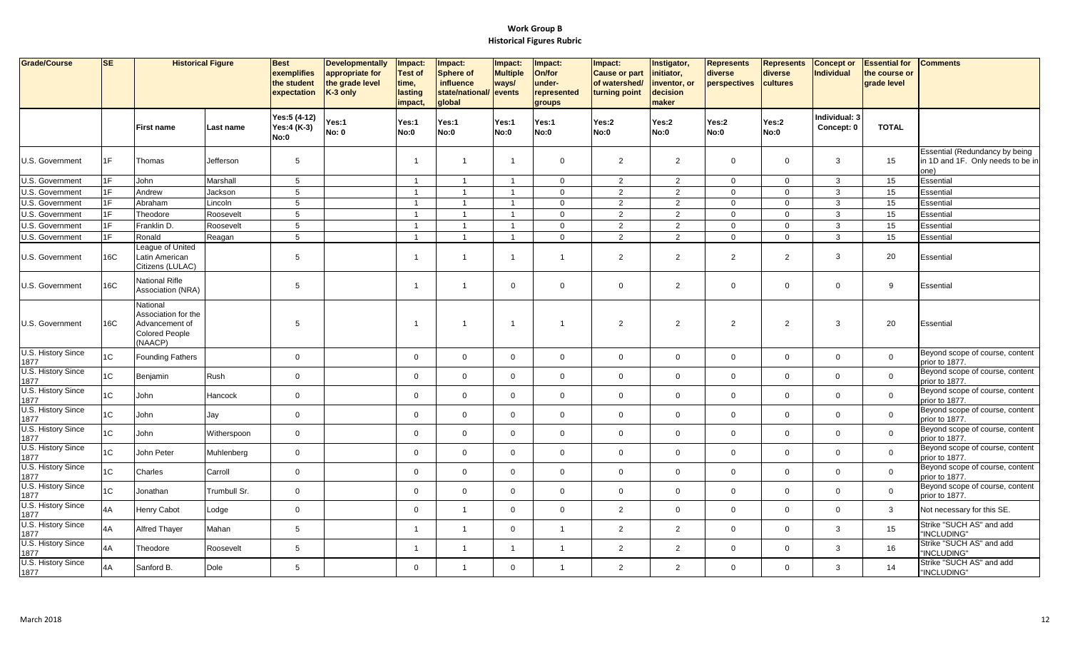| Grade/Course                                     | <b>SE</b>  |                                                                                      | <b>Historical Figure</b> | <b>Best</b><br>exemplifies<br>the student<br>expectation | <b>Developmentally</b><br>appropriate for<br>the grade level<br>$K-3$ only | Impact:<br><b>Test of</b><br>time,<br>lasting<br>impact, | Impact:<br><b>Sphere of</b><br>influence<br>state/national/<br>global | Impact:<br><b>Multiple</b><br>ways/<br>events | Impact:<br>On/for<br>under-<br>represented<br>groups | Impact:<br><b>Cause or part</b><br>of watershed/<br>turning point | Instigator,<br>initiator,<br>inventor, or<br>decision<br>maker | <b>Represents</b><br>diverse<br>perspectives | <b>Represents</b><br>diverse<br>cultures | <b>Concept or</b><br><b>Individual</b> | <b>Essential for</b><br>the course or<br>grade level | <b>Comments</b>                                                             |
|--------------------------------------------------|------------|--------------------------------------------------------------------------------------|--------------------------|----------------------------------------------------------|----------------------------------------------------------------------------|----------------------------------------------------------|-----------------------------------------------------------------------|-----------------------------------------------|------------------------------------------------------|-------------------------------------------------------------------|----------------------------------------------------------------|----------------------------------------------|------------------------------------------|----------------------------------------|------------------------------------------------------|-----------------------------------------------------------------------------|
|                                                  |            | <b>First name</b>                                                                    | Last name                | Yes:5 (4-12)<br>Yes:4 (K-3)<br>No:0                      | Yes:1<br><b>No: 0</b>                                                      | Yes:1<br>No:0                                            | Yes:1<br>No:0                                                         | Yes:1<br>No:0                                 | Yes:1<br>No:0                                        | Yes:2<br>No:0                                                     | Yes:2<br>No:0                                                  | Yes:2<br>No:0                                | Yes:2<br>No:0                            | Individual: 3<br>Concept: 0            | <b>TOTAL</b>                                         |                                                                             |
| U.S. Government                                  | 1F         | Thomas                                                                               | Jefferson                | 5                                                        |                                                                            | -1                                                       | $\overline{1}$                                                        | $\overline{1}$                                | $\mathbf{0}$                                         | $\overline{2}$                                                    | $\overline{2}$                                                 | $\mathbf 0$                                  | $\mathbf 0$                              | $\mathbf{3}$                           | 15                                                   | Essential (Redundancy by being<br>in 1D and 1F. Only needs to be in<br>one) |
| U.S. Government                                  | 1F         | John                                                                                 | Marshall                 | 5                                                        |                                                                            | $\overline{1}$                                           | $\overline{1}$                                                        | $\overline{1}$                                | $\mathbf{0}$                                         | $\overline{2}$                                                    | $\overline{2}$                                                 | $\mathbf{0}$                                 | $\mathbf{0}$                             | $\mathbf{3}$                           | 15                                                   | Essential                                                                   |
| U.S. Government                                  | 1F         | Andrew                                                                               | Jackson                  | $\,$ 5 $\,$                                              |                                                                            | $\overline{1}$                                           | $\overline{1}$                                                        |                                               | $\mathbf 0$                                          | $\overline{2}$                                                    | $\overline{2}$                                                 | $\mathbf 0$                                  | $\mathbf 0$                              | 3                                      | 15                                                   | Essential                                                                   |
| U.S. Government                                  | 1F         | Abraham                                                                              | Lincoln                  | 5                                                        |                                                                            | $\overline{1}$                                           | $\overline{1}$                                                        | $\overline{1}$                                | $\mathbf{0}$                                         | $\overline{2}$                                                    | $\overline{2}$                                                 | $\mathbf 0$                                  | $\mathbf 0$                              | $\mathbf{3}$                           | 15                                                   | Essential                                                                   |
| U.S. Government                                  | 1F         | Theodore                                                                             | Roosevelt                | 5                                                        |                                                                            | $\overline{1}$                                           | $\overline{1}$                                                        | $\overline{1}$                                | $\mathbf 0$                                          | $\overline{2}$                                                    | $\overline{2}$                                                 | $\mathbf 0$                                  | $\mathbf 0$                              | $\mathbf{3}$                           | 15                                                   | Essential                                                                   |
| U.S. Government                                  | 1F         | Franklin D.                                                                          | Roosevelt                | $\,$ 5 $\,$                                              |                                                                            | $\overline{1}$                                           | $\overline{1}$                                                        | $\mathbf{1}$                                  | $\mathbf 0$                                          | $\overline{2}$                                                    | $\overline{2}$                                                 | $\mathbf 0$                                  | $\mathbf 0$                              | $\mathbf{3}$                           | 15                                                   | Essential                                                                   |
| U.S. Government                                  | 1F         | Ronald                                                                               | Reagan                   | 5                                                        |                                                                            | $\overline{\mathbf{1}}$                                  | $\overline{1}$                                                        | $\overline{1}$                                | $\mathbf{0}$                                         | $\overline{2}$                                                    | 2                                                              | $\mathbf{0}$                                 | $\mathbf{0}$                             | $\mathbf{3}$                           | 15                                                   | Essential                                                                   |
| U.S. Government                                  | <b>16C</b> | League of United<br>Latin American<br>Citizens (LULAC)                               |                          | 5                                                        |                                                                            | -1                                                       | $\overline{1}$                                                        | $\overline{1}$                                | $\overline{1}$                                       | $\overline{2}$                                                    | $\overline{2}$                                                 | $\overline{2}$                               | $\overline{2}$                           | $\mathbf{3}$                           | 20                                                   | Essential                                                                   |
| U.S. Government                                  | <b>16C</b> | National Rifle<br>Association (NRA)                                                  |                          | 5                                                        |                                                                            | -1                                                       | $\overline{1}$                                                        | $\mathbf 0$                                   | $\mathbf 0$                                          | $\mathbf 0$                                                       | $\overline{2}$                                                 | $\mathbf 0$                                  | $\mathbf 0$                              | $\mathbf{0}$                           | 9                                                    | Essential                                                                   |
| U.S. Government                                  | 16C        | National<br>Association for the<br>Advancement of<br><b>Colored People</b><br>NAACP) |                          | 5                                                        |                                                                            | $\overline{1}$                                           | $\overline{1}$                                                        | $\overline{1}$                                | $\overline{1}$                                       | $\overline{2}$                                                    | $\overline{2}$                                                 | $\overline{2}$                               | $\overline{2}$                           | 3                                      | 20                                                   | Essential                                                                   |
| U.S. History Since<br>1877                       | 1C         | <b>Founding Fathers</b>                                                              |                          | $\mathbf 0$                                              |                                                                            | $\mathbf 0$                                              | $\mathbf 0$                                                           | $\mathbf 0$                                   | $\mathbf{0}$                                         | $\mathbf 0$                                                       | $\mathbf 0$                                                    | $\mathbf{0}$                                 | $\mathbf 0$                              | $\overline{0}$                         | $\mathbf{0}$                                         | Beyond scope of course, content<br>prior to 1877.                           |
| U.S. History Since<br>1877                       | 1C         | Benjamin                                                                             | Rush                     | $\mathbf 0$                                              |                                                                            | $\mathbf 0$                                              | $\overline{0}$                                                        | $\mathbf{0}$                                  | $\Omega$                                             | $\mathbf 0$                                                       | $\overline{0}$                                                 | $\mathbf 0$                                  | $\mathbf{0}$                             | $\mathbf 0$                            | $\mathbf 0$                                          | Beyond scope of course, content<br>prior to 1877.                           |
| U.S. History Since<br>1877                       | 1C         | John                                                                                 | Hancock                  | $\mathbf 0$                                              |                                                                            | $\mathbf 0$                                              | $\mathbf 0$                                                           | $\mathbf 0$                                   | $\mathbf 0$                                          | $\mathbf 0$                                                       | $\mathbf 0$                                                    | $\mathbf 0$                                  | $\mathbf 0$                              | $\mathbf{0}$                           | $\mathbf 0$                                          | Beyond scope of course, content<br>prior to 1877.                           |
| U.S. History Since<br>1877<br>U.S. History Since | 1C         | John                                                                                 | Jay                      | $\mathbf 0$                                              |                                                                            | $\mathbf{0}$                                             | $\mathbf 0$                                                           | $\mathbf{0}$                                  | $\mathbf 0$                                          | $\mathbf 0$                                                       | $\mathbf 0$                                                    | $\mathbf 0$                                  | $\mathbf 0$                              | $\overline{0}$                         | $\overline{0}$                                       | Beyond scope of course, content<br>prior to 1877.                           |
| 1877                                             | 1C         | John                                                                                 | Witherspoon              | $\mathbf 0$                                              |                                                                            | $\mathbf 0$                                              | $\mathbf 0$                                                           | $\mathbf{0}$                                  | $\mathbf 0$                                          | $\mathbf 0$                                                       | $\overline{0}$                                                 | $\mathbf 0$                                  | $\mathbf{0}$                             | $\Omega$                               | $\overline{0}$                                       | Beyond scope of course, content<br>prior to 1877.                           |
| U.S. History Since<br>1877                       | 1C         | John Peter                                                                           | Muhlenberg               | $\mathsf{O}\xspace$                                      |                                                                            | $\Omega$                                                 | $\mathbf 0$                                                           | $\mathbf 0$                                   | $\mathbf 0$                                          | $\mathbf 0$                                                       | $\mathsf 0$                                                    | $\mathbf 0$                                  | $\mathbf 0$                              | $\Omega$                               | $\mathbf 0$                                          | Beyond scope of course, content<br>prior to 1877.                           |
| U.S. History Since<br>1877                       | 1C         | Charles                                                                              | Carroll                  | $\mathsf{O}\xspace$                                      |                                                                            | $\mathbf 0$                                              | $\mathbf 0$                                                           | $\mathbf 0$                                   | $\mathbf 0$                                          | $\mathbf 0$                                                       | $\overline{0}$                                                 | $\mathbf 0$                                  | $\mathbf 0$                              | $\overline{0}$                         | $\mathbf 0$                                          | Beyond scope of course, content<br>prior to 1877.                           |
| U.S. History Since<br>1877<br>U.S. History Since | 1C         | Jonathan                                                                             | Trumbull Sr.             | $\mathbf 0$                                              |                                                                            | $\mathbf 0$                                              | $\mathbf 0$                                                           | $\mathbf{0}$                                  | $\Omega$                                             | $\mathbf 0$                                                       | $\mathbf 0$                                                    | $\mathbf 0$                                  | $\mathbf 0$                              | $\Omega$                               | $\overline{0}$                                       | Beyond scope of course, content<br>prior to 1877.                           |
| 1877                                             | 4A         | Henry Cabot                                                                          | Lodge                    | $\mathsf{O}\xspace$                                      |                                                                            | $\Omega$                                                 | $\overline{1}$                                                        | $\mathbf{0}$                                  | $\mathbf 0$                                          | $\overline{c}$                                                    | $\mathbf 0$                                                    | $\mathbf 0$                                  | $\overline{0}$                           | $\Omega$                               | $\mathbf{3}$                                         | Not necessary for this SE.                                                  |
| U.S. History Since<br>1877                       | 4A         | <b>Alfred Thayer</b>                                                                 | Mahan                    | 5                                                        |                                                                            | $\overline{1}$                                           | $\overline{1}$                                                        | $\mathbf 0$                                   | $\overline{1}$                                       | $\overline{2}$                                                    | $\overline{2}$                                                 | $\mathbf 0$                                  | $\mathbf 0$                              | $\mathbf{3}$                           | 15                                                   | Strike "SUCH AS" and add<br>"INCLUDING"                                     |
| U.S. History Since<br>1877                       | 4A         | Theodore                                                                             | Roosevelt                | 5                                                        |                                                                            | -1                                                       | $\overline{1}$                                                        | $\overline{1}$                                | $\overline{\mathbf{1}}$                              | $\overline{2}$                                                    | 2                                                              | $\mathbf 0$                                  | $\mathbf 0$                              | 3                                      | 16                                                   | Strike "SUCH AS" and add<br>'INCLUDING"                                     |
| U.S. History Since<br>1877                       | 4A         | Sanford B.                                                                           | Dole                     | 5                                                        |                                                                            | $\mathbf 0$                                              | $\overline{1}$                                                        | $\mathbf 0$                                   | $\overline{1}$                                       | $\overline{2}$                                                    | 2                                                              | $\mathbf 0$                                  | $\mathbf 0$                              | $\mathbf{3}$                           | 14                                                   | Strike "SUCH AS" and add<br>"INCLUDING"                                     |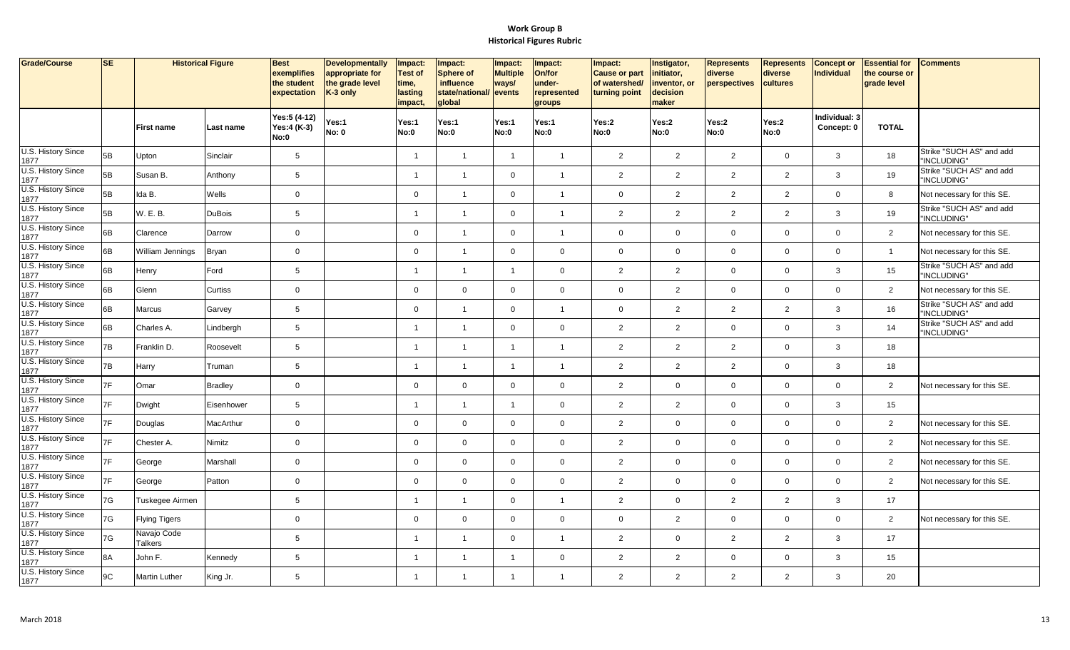| Grade/Course               | SE | <b>Historical Figure</b>      |                | <b>Best</b><br>exemplifies<br>the student<br>expectation | <b>Developmentally</b><br>appropriate for<br>the grade level<br>K-3 only | Impact:<br><b>Test of</b><br>time,<br>lasting<br>impact, | Impact:<br><b>Sphere of</b><br><b>influence</b><br>state/national/<br>global | Impact:<br><b>Multiple</b><br>ways/<br>events | <b>Impact:</b><br>On/for<br>under-<br>represented<br>groups | Impact:<br><b>Cause or part</b><br>of watershed/<br>turning point | Instigator,<br>initiator,<br>inventor, or<br>decision<br>maker | <b>Represents</b><br>diverse<br>perspectives | <b>Represents</b><br>diverse<br>cultures | <b>Concept or</b><br><b>Individual</b> | <b>Essential for</b><br>the course or<br>grade level | <b>Comments</b>                         |
|----------------------------|----|-------------------------------|----------------|----------------------------------------------------------|--------------------------------------------------------------------------|----------------------------------------------------------|------------------------------------------------------------------------------|-----------------------------------------------|-------------------------------------------------------------|-------------------------------------------------------------------|----------------------------------------------------------------|----------------------------------------------|------------------------------------------|----------------------------------------|------------------------------------------------------|-----------------------------------------|
|                            |    | <b>First name</b>             | Last name      | Yes:5 (4-12)<br>Yes:4 (K-3)<br>No:0                      | Yes:1<br><b>No: 0</b>                                                    | Yes:1<br>No:0                                            | Yes:1<br>No:0                                                                | Yes:1<br>No:0                                 | Yes:1<br>No:0                                               | Yes:2<br>No:0                                                     | Yes:2<br>No:0                                                  | Yes:2<br>No:0                                | Yes:2<br>No:0                            | Individual: 3<br>Concept: 0            | <b>TOTAL</b>                                         |                                         |
| U.S. History Since<br>1877 | 5B | Upton                         | Sinclair       | 5                                                        |                                                                          | $\overline{\mathbf{1}}$                                  | $\overline{1}$                                                               | $\overline{1}$                                | $\overline{1}$                                              | $\overline{2}$                                                    | $\overline{2}$                                                 | $\overline{2}$                               | $\mathbf{0}$                             | 3                                      | 18                                                   | Strike "SUCH AS" and add<br>"INCLUDING" |
| U.S. History Since<br>1877 | 5B | Susan B.                      | Anthony        | 5                                                        |                                                                          | $\overline{\mathbf{1}}$                                  | $\overline{1}$                                                               | $\overline{0}$                                | $\overline{1}$                                              | $\overline{2}$                                                    | 2                                                              | $\overline{2}$                               | 2                                        | 3                                      | 19                                                   | Strike "SUCH AS" and add<br>"INCLUDING" |
| U.S. History Since<br>1877 | 5B | Ida B.                        | Wells          | $\mathbf 0$                                              |                                                                          | $\mathbf 0$                                              | $\overline{1}$                                                               | $\mathbf 0$                                   | $\overline{1}$                                              | $\mathbf 0$                                                       | $\overline{2}$                                                 | $\overline{2}$                               | $\overline{2}$                           | $\mathbf 0$                            | 8                                                    | Not necessary for this SE.              |
| U.S. History Since<br>1877 | 5B | W. E. B.                      | <b>DuBois</b>  | 5                                                        |                                                                          | $\overline{\mathbf{1}}$                                  | $\overline{1}$                                                               | $\mathbf 0$                                   | $\overline{1}$                                              | $\overline{2}$                                                    | 2                                                              | 2                                            | 2                                        | 3                                      | 19                                                   | Strike "SUCH AS" and add<br>"INCLUDING" |
| U.S. History Since<br>1877 | 6B | Clarence                      | Darrow         | $\mathbf{0}$                                             |                                                                          | $\mathbf 0$                                              | $\overline{1}$                                                               | $\overline{0}$                                | $\overline{1}$                                              | $\mathbf 0$                                                       | $\mathbf 0$                                                    | $\overline{0}$                               | $\mathbf 0$                              | $\Omega$                               | 2                                                    | Not necessary for this SE.              |
| U.S. History Since<br>1877 | 6B | William Jennings              | <b>Bryan</b>   | $\mathsf{O}\xspace$                                      |                                                                          | $\mathbf 0$                                              | $\overline{1}$                                                               | $\mathsf 0$                                   | $\mathsf 0$                                                 | $\mathbf 0$                                                       | $\mathbf 0$                                                    | $\mathbf 0$                                  | $\mathsf 0$                              | $\Omega$                               | $\overline{1}$                                       | Not necessary for this SE.              |
| U.S. History Since<br>1877 | 6B | Henry                         | Ford           | 5                                                        |                                                                          | -1                                                       | $\overline{1}$                                                               | $\mathbf{1}$                                  | $\mathbf 0$                                                 | $\overline{2}$                                                    | $\overline{2}$                                                 | $\overline{0}$                               | $\Omega$                                 | 3                                      | 15                                                   | Strike "SUCH AS" and add<br>"INCLUDING" |
| U.S. History Since<br>1877 | 6B | Glenn                         | Curtiss        | $\mathbf 0$                                              |                                                                          | $\mathbf 0$                                              | $\mathbf 0$                                                                  | $\mathbf 0$                                   | $\mathbf 0$                                                 | $\mathbf 0$                                                       | 2                                                              | $\mathbf 0$                                  | $\mathbf{0}$                             | $\mathbf 0$                            | $\overline{2}$                                       | Not necessary for this SE.              |
| U.S. History Since<br>1877 | 6B | Marcus                        | Garvey         | $5\phantom{.0}$                                          |                                                                          | $\mathbf 0$                                              | $\overline{1}$                                                               | $\mathbf 0$                                   | $\overline{1}$                                              | $\mathbf 0$                                                       | $\overline{2}$                                                 | $\overline{2}$                               | $\overline{2}$                           | 3                                      | 16                                                   | Strike "SUCH AS" and add<br>"INCLUDING" |
| U.S. History Since<br>1877 | 6B | Charles A.                    | Lindbergh      | 5                                                        |                                                                          | 1                                                        | $\mathbf{1}$                                                                 | $\mathbf 0$                                   | $\mathbf 0$                                                 | $\overline{2}$                                                    | $\overline{2}$                                                 | $\overline{0}$                               | $\mathbf 0$                              | 3                                      | 14                                                   | Strike "SUCH AS" and add<br>"INCLUDING" |
| U.S. History Since<br>1877 | 7B | Franklin D.                   | Roosevelt      | 5                                                        |                                                                          | $\overline{\mathbf{1}}$                                  | $\overline{1}$                                                               | $\overline{1}$                                | $\overline{1}$                                              | $\overline{2}$                                                    | 2                                                              | 2                                            | $\mathbf{0}$                             | 3                                      | 18                                                   |                                         |
| U.S. History Since<br>1877 | 7B | Harry                         | Truman         | 5                                                        |                                                                          | $\overline{\mathbf{1}}$                                  | $\overline{1}$                                                               | $\mathbf{1}$                                  | $\overline{1}$                                              | $\overline{2}$                                                    | $\overline{2}$                                                 | $\overline{2}$                               | $\mathbf 0$                              | 3                                      | 18                                                   |                                         |
| U.S. History Since<br>1877 | 7F | Omar                          | <b>Bradley</b> | $\mathbf 0$                                              |                                                                          | $\mathbf 0$                                              | $\mathbf 0$                                                                  | $\overline{0}$                                | $\mathbf 0$                                                 | $\overline{2}$                                                    | $\mathbf 0$                                                    | $\overline{0}$                               | $\mathbf{0}$                             | $\Omega$                               | 2                                                    | Not necessary for this SE.              |
| U.S. History Since<br>1877 | 7F | Dwight                        | Eisenhower     | 5                                                        |                                                                          | $\overline{\mathbf{1}}$                                  | $\overline{1}$                                                               | $\overline{1}$                                | $\mathbf 0$                                                 | $\overline{2}$                                                    | 2                                                              | $\mathbf 0$                                  | $\mathbf{0}$                             | 3                                      | 15                                                   |                                         |
| U.S. History Since<br>1877 | 7F | Douglas                       | MacArthur      | $\mathbf 0$                                              |                                                                          | $\mathbf 0$                                              | $\mathbf 0$                                                                  | $\mathbf 0$                                   | $\mathbf 0$                                                 | $\overline{2}$                                                    | $\mathbf 0$                                                    | $\mathbf 0$                                  | $\mathbf 0$                              | $\Omega$                               | 2                                                    | Not necessary for this SE.              |
| U.S. History Since<br>1877 | 7F | Chester A.                    | Nimitz         | $\mathbf 0$                                              |                                                                          | $\mathbf 0$                                              | $\mathbf 0$                                                                  | $\overline{0}$                                | $\mathbf 0$                                                 | $\overline{2}$                                                    | $\mathbf 0$                                                    | $\mathbf 0$                                  | $\mathbf 0$                              | $\Omega$                               | 2                                                    | Not necessary for this SE.              |
| U.S. History Since<br>1877 | 7F | George                        | Marshall       | $\mathbf 0$                                              |                                                                          | $\mathbf 0$                                              | $\mathsf 0$                                                                  | $\mathsf{O}\xspace$                           | $\mathbf 0$                                                 | $\overline{2}$                                                    | $\mathbf{0}$                                                   | $\mathbf 0$                                  | $\mathbf{0}$                             | $\Omega$                               | 2                                                    | Not necessary for this SE.              |
| U.S. History Since<br>1877 | 7F | George                        | Patton         | $\mathbf 0$                                              |                                                                          | $\mathbf 0$                                              | $\mathsf 0$                                                                  | $\mathbf 0$                                   | $\mathbf 0$                                                 | $\overline{2}$                                                    | $\mathbf 0$                                                    | $\mathbf 0$                                  | $\mathsf 0$                              | $\Omega$                               | $\overline{2}$                                       | Not necessary for this SE.              |
| U.S. History Since<br>1877 | 7G | Tuskegee Airmen               |                | $5\phantom{.0}$                                          |                                                                          | -1                                                       | $\overline{1}$                                                               | $\mathbf 0$                                   | $\overline{1}$                                              | $\overline{2}$                                                    | $\mathbf 0$                                                    | $\overline{2}$                               | $\overline{2}$                           | 3                                      | 17                                                   |                                         |
| U.S. History Since<br>1877 | 7G | <b>Flying Tigers</b>          |                | $\mathbf 0$                                              |                                                                          | $\mathbf 0$                                              | $\mathbf 0$                                                                  | $\mathbf 0$                                   | $\mathbf 0$                                                 | $\mathbf 0$                                                       | $\overline{2}$                                                 | $\mathbf 0$                                  | $\mathbf 0$                              | $\Omega$                               | $\overline{2}$                                       | Not necessary for this SE.              |
| U.S. History Since<br>1877 | 7G | Navajo Code<br><b>Talkers</b> |                | $5\phantom{.0}$                                          |                                                                          | 1                                                        | $\overline{1}$                                                               | $\mathbf 0$                                   | $\overline{1}$                                              | $\overline{2}$                                                    | $\mathbf 0$                                                    | $\overline{2}$                               | $\overline{2}$                           | 3                                      | 17                                                   |                                         |
| U.S. History Since<br>1877 | 8A | John F.                       | Kennedy        | 5                                                        |                                                                          | -1                                                       | $\overline{1}$                                                               | $\overline{1}$                                | $\mathbf 0$                                                 | $\overline{2}$                                                    | $\overline{2}$                                                 | $\mathbf 0$                                  | $\mathbf 0$                              | 3                                      | 15                                                   |                                         |
| U.S. History Since<br>1877 | 9C | <b>Martin Luther</b>          | King Jr.       | $\,$ 5 $\,$                                              |                                                                          | $\overline{1}$                                           | $\overline{1}$                                                               | $\overline{1}$                                | $\overline{1}$                                              | $\overline{2}$                                                    | 2                                                              | $\overline{2}$                               | 2                                        | 3                                      | 20                                                   |                                         |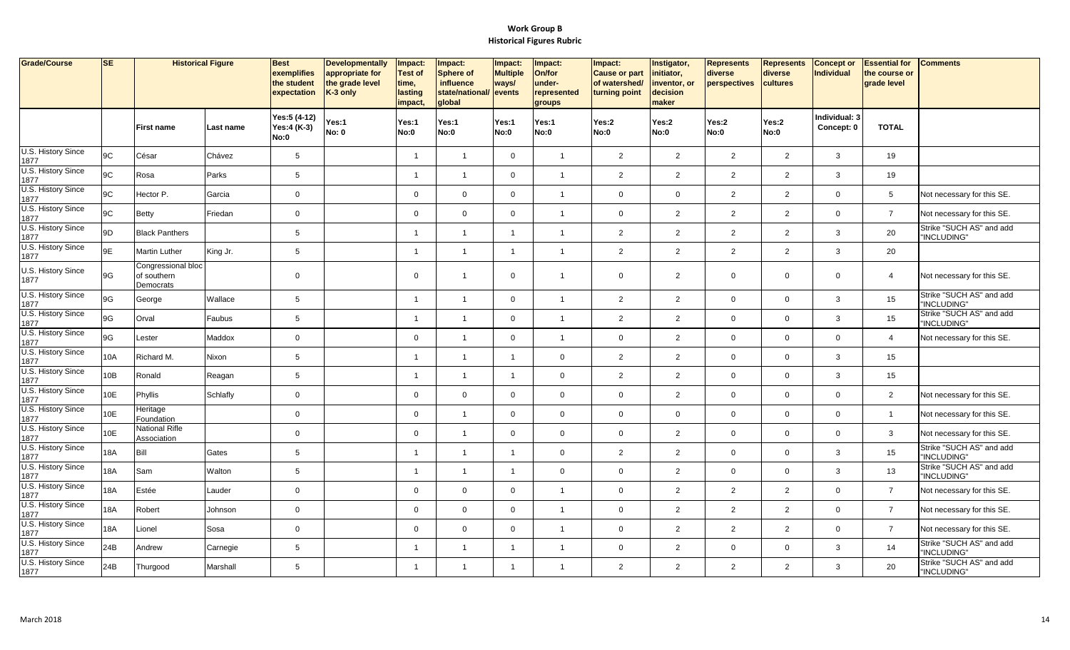| Grade/Course               | SE         | <b>Historical Figure</b>                       |           | <b>Best</b><br>exemplifies<br>the student<br>expectation | <b>Developmentally</b><br>appropriate for<br>the grade level<br>K-3 only | Impact:<br><b>Test of</b><br>time,<br>lasting<br>impact, | Impact:<br><b>Sphere of</b><br>influence<br>state/national/<br>global | Impact:<br><b>Multiple</b><br>ways/<br>events | Impact:<br>On/for<br>under-<br>represented<br>groups | Impact:<br><b>Cause or part</b><br>of watershed/<br>turning point | Instigator,<br>initiator,<br>inventor, or<br>decision<br>maker | <b>Represents</b><br>diverse<br>perspectives | <b>Represents</b><br>diverse<br>cultures | <b>Concept or</b><br><b>Individual</b> | <b>Essential for</b><br>the course or<br>grade level | <b>Comments</b>                         |
|----------------------------|------------|------------------------------------------------|-----------|----------------------------------------------------------|--------------------------------------------------------------------------|----------------------------------------------------------|-----------------------------------------------------------------------|-----------------------------------------------|------------------------------------------------------|-------------------------------------------------------------------|----------------------------------------------------------------|----------------------------------------------|------------------------------------------|----------------------------------------|------------------------------------------------------|-----------------------------------------|
|                            |            | <b>First name</b>                              | Last name | Yes:5 (4-12)<br>Yes:4 (K-3)<br>No:0                      | Yes:1<br><b>No: 0</b>                                                    | Yes:1<br>No:0                                            | Yes:1<br>No:0                                                         | Yes:1<br>No:0                                 | Yes:1<br><b>No:0</b>                                 | Yes:2<br><b>No:0</b>                                              | Yes:2<br>No:0                                                  | Yes:2<br>No:0                                | Yes:2<br><b>No:0</b>                     | Individual: 3<br>Concept: 0            | <b>TOTAL</b>                                         |                                         |
| U.S. History Since<br>1877 | 9C         | César                                          | Chávez    | 5                                                        |                                                                          | $\overline{1}$                                           | $\overline{1}$                                                        | $\mathbf 0$                                   | $\overline{1}$                                       | $\overline{2}$                                                    | 2                                                              | $\overline{2}$                               | 2                                        | 3                                      | 19                                                   |                                         |
| U.S. History Since<br>1877 | 9C         | Rosa                                           | Parks     | 5                                                        |                                                                          | $\overline{1}$                                           | $\mathbf{1}$                                                          | $\mathbf 0$                                   | $\overline{1}$                                       | $\overline{2}$                                                    | 2                                                              | $\overline{2}$                               | $\overline{2}$                           | 3                                      | 19                                                   |                                         |
| U.S. History Since<br>1877 | 9C         | Hector P.                                      | Garcia    | $\mathsf 0$                                              |                                                                          | $\mathbf 0$                                              | $\mathbf 0$                                                           | $\mathbf 0$                                   | $\overline{1}$                                       | $\mathbf 0$                                                       | $\mathbf 0$                                                    | $\overline{2}$                               | 2                                        | $\mathbf{0}$                           | $5\overline{)}$                                      | Not necessary for this SE.              |
| U.S. History Since<br>1877 | 9C         | <b>Betty</b>                                   | Friedan   | $\mathbf 0$                                              |                                                                          | $\mathbf 0$                                              | $\mathbf 0$                                                           | $\mathbf{0}$                                  | $\overline{\mathbf{1}}$                              | $\mathbf 0$                                                       | 2                                                              | $\overline{a}$                               | $\overline{2}$                           | $\Omega$                               | $\overline{7}$                                       | Not necessary for this SE.              |
| U.S. History Since<br>1877 | 9D         | <b>Black Panthers</b>                          |           | $\sqrt{5}$                                               |                                                                          | $\overline{1}$                                           | $\mathbf{1}$                                                          | $\overline{1}$                                | $\overline{1}$                                       | $\overline{2}$                                                    | $\overline{2}$                                                 | $\overline{a}$                               | 2                                        | 3                                      | 20                                                   | Strike "SUCH AS" and add<br>"INCLUDING" |
| U.S. History Since<br>1877 | 9E         | <b>Martin Luther</b>                           | King Jr.  | $\,$ 5 $\,$                                              |                                                                          |                                                          | $\overline{1}$                                                        |                                               | $\overline{1}$                                       | $\overline{2}$                                                    | $\overline{2}$                                                 | $\overline{a}$                               | $\overline{2}$                           | 3                                      | 20                                                   |                                         |
| U.S. History Since<br>1877 | 9G         | Congressional bloc<br>of southern<br>Democrats |           | $\mathbf 0$                                              |                                                                          | $\mathbf 0$                                              | $\overline{1}$                                                        | $\mathbf 0$                                   | $\overline{1}$                                       | $\mathbf 0$                                                       | $\overline{2}$                                                 | $\mathbf{0}$                                 | $\mathbf 0$                              | $\mathbf{0}$                           | $\overline{4}$                                       | Not necessary for this SE.              |
| U.S. History Since<br>1877 | 9G         | George                                         | Wallace   | $\sqrt{5}$                                               |                                                                          | $\overline{1}$                                           | $\overline{1}$                                                        | $\mathbf 0$                                   | $\overline{1}$                                       | $\overline{2}$                                                    | $\overline{2}$                                                 | $\mathbf 0$                                  | $\mathbf 0$                              | 3                                      | 15                                                   | Strike "SUCH AS" and add<br>"INCLUDING" |
| U.S. History Since<br>1877 | 9G         | Orval                                          | Faubus    | $\,$ 5 $\,$                                              |                                                                          | $\mathbf{1}$                                             | $\overline{1}$                                                        | $\mathbf 0$                                   | $\overline{1}$                                       | $\overline{2}$                                                    | $\overline{2}$                                                 | $\mathbf 0$                                  | $\mathbf 0$                              | 3                                      | 15                                                   | Strike "SUCH AS" and add<br>"INCLUDING" |
| U.S. History Since<br>1877 | 9G         | _ester                                         | Maddox    | $\mathsf 0$                                              |                                                                          | $\mathbf 0$                                              | $\overline{1}$                                                        | $\mathbf{0}$                                  | $\overline{1}$                                       | $\mathbf 0$                                                       | 2                                                              | $\mathbf 0$                                  | $\mathbf 0$                              | $\Omega$                               | $\overline{4}$                                       | Not necessary for this SE.              |
| U.S. History Since<br>1877 | 10A        | Richard M.                                     | Nixon     | $\,$ 5 $\,$                                              |                                                                          |                                                          | $\overline{1}$                                                        |                                               | $\mathbf 0$                                          | $\overline{2}$                                                    | $\overline{2}$                                                 | $\mathbf 0$                                  | $\mathbf 0$                              | 3                                      | 15                                                   |                                         |
| U.S. History Since<br>1877 | 10B        | Ronald                                         | Reagan    | $\,$ 5 $\,$                                              |                                                                          | $\overline{1}$                                           | $\overline{1}$                                                        | $\overline{1}$                                | $\mathbf 0$                                          | $\overline{2}$                                                    | $\overline{2}$                                                 | $\mathbf 0$                                  | $\mathbf 0$                              | 3                                      | 15                                                   |                                         |
| U.S. History Since<br>1877 | 10E        | Phyllis                                        | Schlafly  | $\mathsf 0$                                              |                                                                          | $\mathbf 0$                                              | $\mathbf 0$                                                           | $\mathbf 0$                                   | $\mathbf 0$                                          | $\mathbf 0$                                                       | $\overline{2}$                                                 | $\mathbf 0$                                  | $\mathbf 0$                              | $\Omega$                               | $\overline{2}$                                       | Not necessary for this SE.              |
| U.S. History Since<br>1877 | 10E        | Heritage<br>Foundation                         |           | $\mathbf 0$                                              |                                                                          | $\mathbf 0$                                              | $\overline{1}$                                                        | $\mathbf 0$                                   | $\mathbf 0$                                          | $\mathbf 0$                                                       | $\mathsf 0$                                                    | $\mathbf 0$                                  | $\mathbf 0$                              | $\Omega$                               | $\overline{1}$                                       | Not necessary for this SE.              |
| U.S. History Since<br>1877 | 10E        | National Rifle<br>Association                  |           | $\mathsf 0$                                              |                                                                          | $\mathbf{0}$                                             | $\overline{1}$                                                        | $\mathbf{0}$                                  | $\Omega$                                             | $\mathbf 0$                                                       | 2                                                              | $\overline{0}$                               | $\mathbf 0$                              | $\Omega$                               | $\mathbf{3}$                                         | Not necessary for this SE.              |
| U.S. History Since<br>1877 | <b>18A</b> | Bill                                           | Gates     | 5                                                        |                                                                          | $\mathbf{1}$                                             | $\mathbf{1}$                                                          | $\overline{1}$                                | $\mathbf 0$                                          | $\overline{2}$                                                    | $\overline{2}$                                                 | $\mathbf 0$                                  | $\mathbf 0$                              | 3                                      | 15                                                   | Strike "SUCH AS" and add<br>"INCLUDING" |
| U.S. History Since<br>1877 | 18A        | Sam                                            | Walton    | $\,$ 5 $\,$                                              |                                                                          | $\overline{1}$                                           | $\overline{1}$                                                        | $\overline{1}$                                | $\mathbf 0$                                          | $\mathbf 0$                                                       | $\overline{2}$                                                 | $\mathbf 0$                                  | $\mathbf 0$                              | 3                                      | 13                                                   | Strike "SUCH AS" and add<br>"INCLUDING" |
| U.S. History Since<br>1877 | <b>18A</b> | Estée                                          | Lauder    | $\mathsf 0$                                              |                                                                          | $\mathbf 0$                                              | $\mathbf 0$                                                           | $\mathbf 0$                                   | $\overline{1}$                                       | $\mathbf 0$                                                       | 2                                                              | $\overline{2}$                               | $\overline{2}$                           | $\Omega$                               | $\overline{7}$                                       | Not necessary for this SE.              |
| U.S. History Since<br>1877 | 18A        | Robert                                         | Johnson   | $\mathbf 0$                                              |                                                                          | $\mathbf{0}$                                             | $\overline{0}$                                                        | $\mathbf 0$                                   | $\overline{1}$                                       | $\mathbf 0$                                                       | 2                                                              | $\overline{2}$                               | 2                                        | $\Omega$                               | $\overline{7}$                                       | Not necessary for this SE.              |
| U.S. History Since<br>1877 | <b>18A</b> | Lionel                                         | Sosa      | $\mathsf 0$                                              |                                                                          | $\mathbf 0$                                              | $\mathbf 0$                                                           | $\mathbf{0}$                                  | $\overline{1}$                                       | $\mathbf 0$                                                       | $\overline{2}$                                                 | $\overline{a}$                               | $\overline{2}$                           | $\Omega$                               | $\overline{7}$                                       | Not necessary for this SE.              |
| U.S. History Since<br>1877 | 24B        | Andrew                                         | Carnegie  | $\,$ 5 $\,$                                              |                                                                          | $\overline{1}$                                           | $\overline{1}$                                                        | $\overline{1}$                                | $\overline{1}$                                       | $\mathbf 0$                                                       | $\overline{2}$                                                 | $\mathbf 0$                                  | $\mathbf 0$                              | 3                                      | 14                                                   | Strike "SUCH AS" and add<br>"INCLUDING" |
| U.S. History Since<br>1877 | 24B        | Thurgood                                       | Marshall  | $\sqrt{5}$                                               |                                                                          | $\blacktriangleleft$                                     | $\overline{1}$                                                        | $\mathbf{1}$                                  | $\overline{1}$                                       | $\overline{2}$                                                    | $\overline{2}$                                                 | $\overline{2}$                               | $\overline{2}$                           | 3                                      | 20                                                   | Strike "SUCH AS" and add<br>"INCLUDING" |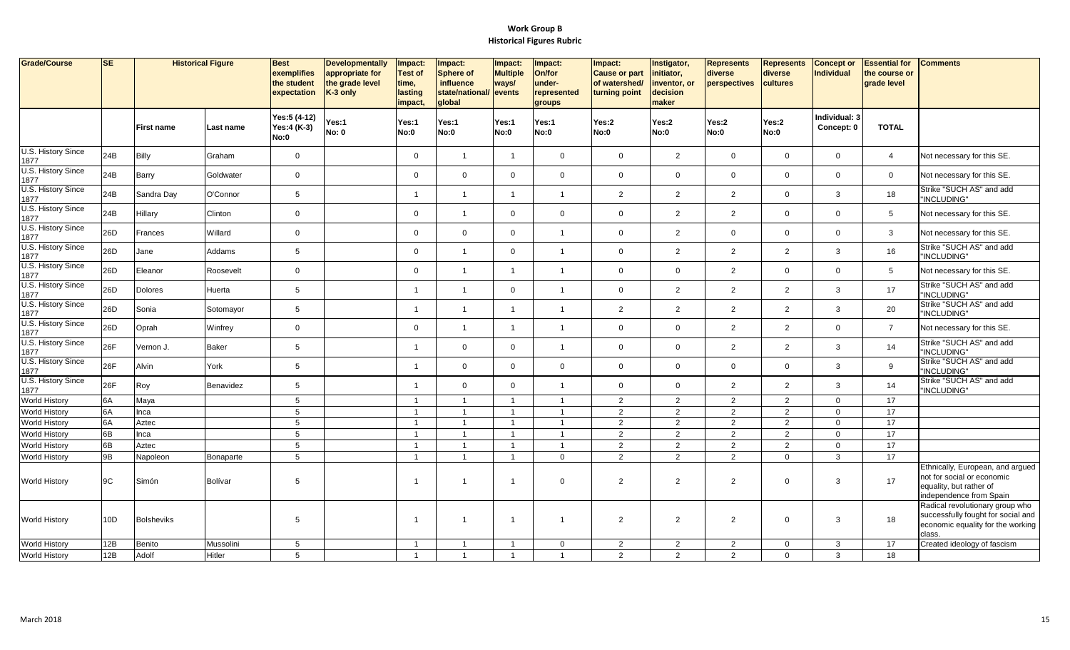| Grade/Course                                     | <b>SE</b>             | <b>Historical Figure</b> |           | <b>Best</b><br>exemplifies<br>the student<br>expectation | <b>Developmentally</b><br>appropriate for<br>the grade level<br>K-3 only | Impact:<br><b>Test of</b><br>time,<br>lasting<br>impact, | Impact:<br>Sphere of<br>influence<br>state/national/<br>global | Impact:<br><b>Multiple</b><br>ways/<br>events | Impact:<br>On/for<br>under-<br>represented<br>groups | Impact:<br><b>Cause or part</b><br>of watershed/<br>turning point | Instigator,<br>initiator,<br>inventor, or<br>decision<br>maker | <b>Represents</b><br>diverse<br>perspectives | <b>Represents</b><br>diverse<br>cultures | <b>Concept or</b><br><b>Individual</b> | <b>Essential for</b><br>the course or<br>grade level | <b>Comments</b>                                                                                                      |
|--------------------------------------------------|-----------------------|--------------------------|-----------|----------------------------------------------------------|--------------------------------------------------------------------------|----------------------------------------------------------|----------------------------------------------------------------|-----------------------------------------------|------------------------------------------------------|-------------------------------------------------------------------|----------------------------------------------------------------|----------------------------------------------|------------------------------------------|----------------------------------------|------------------------------------------------------|----------------------------------------------------------------------------------------------------------------------|
|                                                  |                       | <b>First name</b>        | Last name | Yes:5 (4-12)<br>Yes:4 (K-3)<br>No:0                      | Yes:1<br><b>No: 0</b>                                                    | Yes:1<br>No:0                                            | Yes:1<br>No:0                                                  | Yes:1<br>No:0                                 | Yes:1<br><b>No:0</b>                                 | Yes:2<br>No:0                                                     | Yes:2<br>No:0                                                  | Yes:2<br>No:0                                | Yes:2<br>No:0                            | Individual: 3<br>Concept: 0            | <b>TOTAL</b>                                         |                                                                                                                      |
| U.S. History Since<br>1877                       | 24B                   | <b>Billy</b>             | Graham    | $\mathbf 0$                                              |                                                                          | $\mathsf{O}$                                             | $\overline{1}$                                                 | $\overline{1}$                                | $\mathbf 0$                                          | $\mathbf 0$                                                       | 2                                                              | $\mathbf 0$                                  | $\mathbf{0}$                             | $\mathbf{0}$                           | $\overline{4}$                                       | Not necessary for this SE.                                                                                           |
| U.S. History Since<br>1877                       | 24B                   | Barry                    | Goldwater | $\mathbf 0$                                              |                                                                          | $\mathbf 0$                                              | $\mathbf 0$                                                    | $\mathbf 0$                                   | $\overline{0}$                                       | $\mathbf 0$                                                       | $\mathbf 0$                                                    | $\mathbf 0$                                  | $\mathbf 0$                              | $\mathbf{0}$                           | $\mathbf 0$                                          | Not necessary for this SE.                                                                                           |
| U.S. History Since<br>1877                       | 24B                   | Sandra Day               | O'Connor  | $5\phantom{.0}$                                          |                                                                          | -1                                                       | $\mathbf{1}$                                                   | $\mathbf{1}$                                  | $\overline{1}$                                       | $\mathbf{2}$                                                      | $\overline{2}$                                                 | $\overline{2}$                               | $\mathbf 0$                              | 3                                      | 18                                                   | Strike "SUCH AS" and add<br>"INCLUDING"                                                                              |
| U.S. History Since<br>1877                       | 24B                   | Hillary                  | Clinton   | $\mathbf 0$                                              |                                                                          | $\mathbf 0$                                              | $\overline{1}$                                                 | $\mathbf 0$                                   | $\overline{0}$                                       | $\mathbf 0$                                                       | $\overline{2}$                                                 | $\overline{2}$                               | $\mathbf 0$                              | $\Omega$                               | 5                                                    | Not necessary for this SE.                                                                                           |
| U.S. History Since<br>1877                       | 26D                   | Frances                  | Willard   | $\mathbf{0}$                                             |                                                                          | $\mathbf 0$                                              | $\mathbf 0$                                                    | $\mathbf 0$                                   | $\overline{1}$                                       | $\mathbf 0$                                                       | 2                                                              | $\mathbf 0$                                  | $\mathbf 0$                              | $\Omega$                               | $\mathbf{3}$                                         | Not necessary for this SE.                                                                                           |
| U.S. History Since<br>1877                       | 26D                   | Jane                     | Addams    | 5                                                        |                                                                          | $\mathbf 0$                                              | $\overline{1}$                                                 | $\mathbf 0$                                   | $\overline{1}$                                       | $\mathbf 0$                                                       | 2                                                              | $\overline{2}$                               | $\overline{2}$                           | 3                                      | 16                                                   | Strike "SUCH AS" and add<br>"INCLUDING"                                                                              |
| U.S. History Since<br>1877                       | 26D                   | Eleanor                  | Roosevelt | $\mathbf 0$                                              |                                                                          | $\mathbf 0$                                              | $\overline{1}$                                                 | $\mathbf{1}$                                  | $\overline{1}$                                       | $\mathbf 0$                                                       | $\mathbf 0$                                                    | $\overline{2}$                               | $\mathbf{0}$                             | $\Omega$                               | 5                                                    | Not necessary for this SE.                                                                                           |
| U.S. History Since<br>1877                       | 26D                   | Dolores                  | Huerta    | 5                                                        |                                                                          | $\overline{\mathbf{1}}$                                  | $\overline{1}$                                                 | $\mathbf 0$                                   | $\overline{\mathbf{1}}$                              | $\mathbf 0$                                                       | $\overline{2}$                                                 | $\overline{2}$                               | $\overline{2}$                           | 3                                      | 17                                                   | Strike "SUCH AS" and add<br>"INCLUDING"                                                                              |
| U.S. History Since<br>1877                       | 26D                   | Sonia                    | Sotomayor | 5                                                        |                                                                          | $\overline{\mathbf{1}}$                                  | $\overline{1}$                                                 | $\mathbf{1}$                                  | $\overline{1}$                                       | $\overline{2}$                                                    | $\overline{2}$                                                 | 2                                            | 2                                        | 3                                      | 20                                                   | Strike "SUCH AS" and add<br>"INCLUDING"                                                                              |
| U.S. History Since<br>1877<br>U.S. History Since | 26D                   | Oprah                    | Winfrey   | $\mathbf 0$                                              |                                                                          | $\mathbf 0$                                              | $\overline{1}$                                                 | $\mathbf{1}$                                  | $\overline{1}$                                       | $\mathbf 0$                                                       | $\overline{0}$                                                 | $\overline{2}$                               | 2                                        | $\Omega$                               | $\overline{7}$                                       | Not necessary for this SE.<br>Strike "SUCH AS" and add                                                               |
| 1877<br>U.S. History Since                       | 26F                   | Vernon J.                | Baker     | $5\phantom{.0}$                                          |                                                                          |                                                          | $\mathbf 0$                                                    | $\mathbf 0$                                   | $\overline{1}$                                       | $\mathbf 0$                                                       | $\mathbf 0$                                                    | $\overline{2}$                               | $\overline{2}$                           | 3                                      | 14                                                   | "INCLUDING"<br>Strike "SUCH AS" and add                                                                              |
| 1877<br>U.S. History Since                       | 26F                   | Alvin                    | York      | 5                                                        |                                                                          | $\overline{1}$                                           | $\mathbf{0}$                                                   | $\mathbf 0$                                   | $\overline{0}$                                       | $\mathbf 0$                                                       | $\overline{0}$                                                 | $\mathbf 0$                                  | $\mathbf 0$                              | 3                                      | 9                                                    | "INCLUDING"<br>Strike "SUCH AS" and add                                                                              |
| 1877                                             | 26F                   | Roy                      | Benavidez | $5\phantom{.0}$<br>5                                     |                                                                          | $\overline{\mathbf{1}}$<br>$\overline{1}$                | $\mathbf 0$<br>$\overline{1}$                                  | $\mathbf 0$<br>$\overline{1}$                 | $\overline{1}$                                       | $\mathbf 0$                                                       | $\mathbf{0}$                                                   | $\overline{2}$                               | $\overline{2}$                           | 3<br>$\Omega$                          | 14<br>17                                             | "INCLUDING"                                                                                                          |
| <b>World History</b>                             | 6A                    | Maya                     |           |                                                          |                                                                          |                                                          |                                                                |                                               | $\overline{1}$                                       | $\overline{2}$                                                    | $\overline{2}$                                                 | $\overline{2}$                               | $\overline{2}$                           |                                        |                                                      |                                                                                                                      |
| <b>World History</b>                             | 6A                    | Inca                     |           | $5\phantom{.0}$<br>5                                     |                                                                          | $\overline{1}$<br>$\overline{1}$                         | $\overline{1}$<br>$\overline{1}$                               | $\overline{1}$<br>$\overline{1}$              | $\overline{1}$<br>$\overline{1}$                     | $\overline{2}$                                                    | $\overline{2}$                                                 | $\overline{2}$                               | $\overline{2}$                           | $\mathbf 0$<br>$\Omega$                | 17                                                   |                                                                                                                      |
| <b>World History</b>                             | 6A                    | Aztec                    |           |                                                          |                                                                          | $\overline{\mathbf{1}}$                                  | $\overline{1}$                                                 | $\overline{1}$                                |                                                      | $\overline{2}$                                                    | 2                                                              | $\overline{2}$                               | $\overline{2}$                           |                                        | 17                                                   |                                                                                                                      |
| <b>World History</b>                             | 6B                    | Inca                     |           | 5                                                        |                                                                          |                                                          |                                                                |                                               | $\overline{1}$                                       | $\overline{2}$                                                    | $\overline{2}$                                                 | $\overline{2}$                               | $\overline{2}$                           | $\Omega$                               | 17                                                   |                                                                                                                      |
| <b>World History</b>                             | $\overline{6B}$<br>9B | Aztec                    |           | $5\phantom{.0}$<br>$5\phantom{.0}$                       |                                                                          | $\overline{1}$<br>$\overline{1}$                         | $\overline{1}$<br>$\overline{1}$                               | $\mathbf{1}$<br>$\overline{1}$                | $\overline{\mathbf{1}}$<br>$\overline{0}$            | $\overline{2}$<br>$\overline{2}$                                  | $\overline{2}$<br>2                                            | $\overline{2}$<br>2                          | $\overline{2}$<br>$\mathbf 0$            | $\mathbf 0$<br>$\mathbf{3}$            | $\overline{17}$<br>17                                |                                                                                                                      |
| <b>World History</b>                             |                       | Napoleon                 | Bonaparte |                                                          |                                                                          |                                                          |                                                                |                                               |                                                      |                                                                   |                                                                |                                              |                                          |                                        |                                                      | Ethnically, European, and argued                                                                                     |
| <b>World History</b>                             | 9C                    | Simón                    | Bolívar   | 5                                                        |                                                                          | -1                                                       | $\overline{1}$                                                 | $\mathbf{1}$                                  | $\mathbf 0$                                          | $\overline{2}$                                                    | $\overline{2}$                                                 | $\overline{2}$                               | $\mathbf 0$                              | 3                                      | 17                                                   | not for social or economic<br>equality, but rather of<br>independence from Spain                                     |
| <b>World History</b>                             | 10D                   | <b>Bolsheviks</b>        |           | -5                                                       |                                                                          |                                                          | -1                                                             |                                               | -1                                                   | $\overline{2}$                                                    | $\overline{2}$                                                 | $\overline{2}$                               | $\Omega$                                 | -3                                     | 18                                                   | Radical revolutionary group who<br>successfully fought for social and<br>economic equality for the working<br>class. |
| <b>World History</b>                             | 12B                   | Benito                   | Mussolini | 5                                                        |                                                                          | $\overline{1}$                                           | $\overline{1}$                                                 | $\mathbf{1}$                                  | $\overline{0}$                                       | $\overline{2}$                                                    | 2                                                              | 2                                            | $\mathbf{0}$                             | $\mathbf{3}$                           | 17                                                   | Created ideology of fascism                                                                                          |
| <b>World History</b>                             | 12B                   | Adolf                    | Hitler    | $5\phantom{.0}$                                          |                                                                          | $\overline{1}$                                           | $\overline{1}$                                                 | $\overline{1}$                                | $\overline{1}$                                       | $\overline{2}$                                                    | 2                                                              | 2                                            | $\mathbf 0$                              | 3                                      | 18                                                   |                                                                                                                      |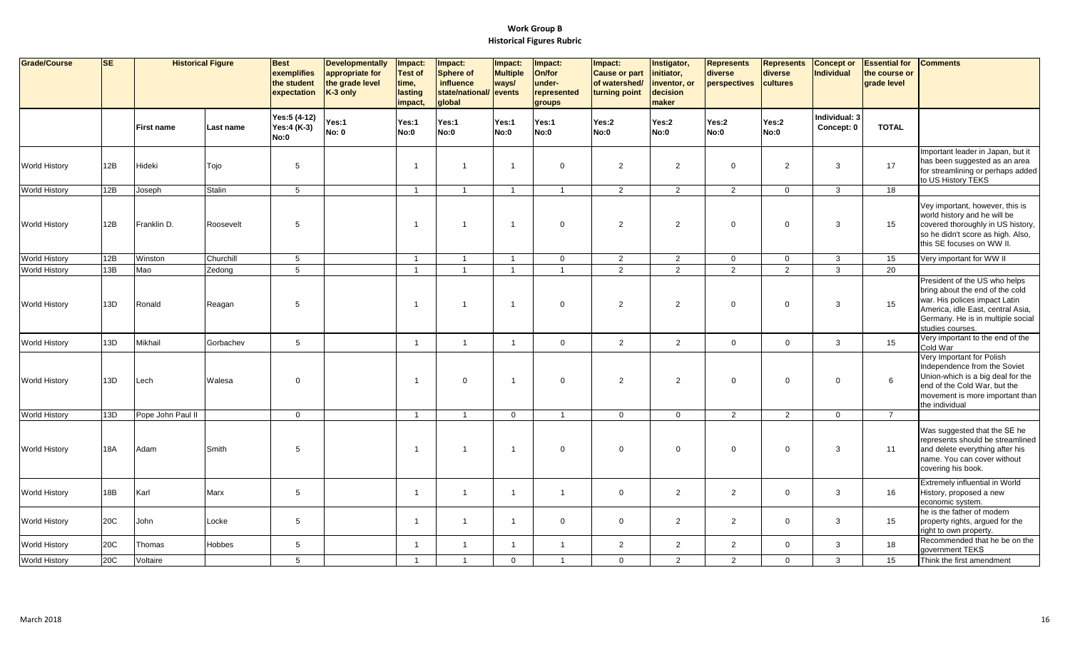| Grade/Course         | <b>SE</b> | <b>Historical Figure</b> |           | <b>Best</b><br>exemplifies<br>the student<br>expectation | <b>Developmentally</b><br>appropriate for<br>the grade level<br>K-3 only | Impact:<br><b>Test of</b><br>time,<br>lasting<br>impact | Impact:<br><b>Sphere of</b><br>influence<br>state/national/<br>global | Impact:<br><b>Multiple</b><br>ways/<br>events | Impact:<br>On/for<br>under-<br>represented<br>groups | Impact:<br><b>Cause or part</b><br>of watershed/<br>turning point | Instigator,<br>initiator,<br>inventor, or<br>decision<br>maker | <b>Represents</b><br>diverse<br>perspectives | <b>Represents</b><br>diverse<br>cultures | Concept or<br><b>Individual</b> | <b>Essential for</b><br>the course or<br>grade level | <b>Comments</b>                                                                                                                                                                                 |
|----------------------|-----------|--------------------------|-----------|----------------------------------------------------------|--------------------------------------------------------------------------|---------------------------------------------------------|-----------------------------------------------------------------------|-----------------------------------------------|------------------------------------------------------|-------------------------------------------------------------------|----------------------------------------------------------------|----------------------------------------------|------------------------------------------|---------------------------------|------------------------------------------------------|-------------------------------------------------------------------------------------------------------------------------------------------------------------------------------------------------|
|                      |           | First name               | Last name | Yes:5 (4-12)<br>Yes:4 (K-3)<br><b>No:0</b>               | Yes:1<br><b>No: 0</b>                                                    | Yes:1<br><b>No:0</b>                                    | Yes:1<br>No:0                                                         | Yes:1<br>No:0                                 | Yes:1<br><b>No:0</b>                                 | Yes:2<br>No:0                                                     | Yes:2<br>No:0                                                  | Yes:2<br>No:0                                | Yes:2<br>No:0                            | Individual: 3<br>Concept: 0     | <b>TOTAL</b>                                         |                                                                                                                                                                                                 |
| <b>World History</b> | 12B       | Hideki                   | Tojo      | 5                                                        |                                                                          | $\mathbf{1}$                                            | $\overline{1}$                                                        | $\overline{1}$                                | $\overline{0}$                                       | $\overline{2}$                                                    | 2                                                              | $\overline{0}$                               | 2                                        | 3                               | 17                                                   | Important leader in Japan, but it<br>has been suggested as an area<br>for streamlining or perhaps added<br>to US History TEKS                                                                   |
| World History        | 12B       | Joseph                   | Stalin    | $5\phantom{.0}$                                          |                                                                          | $\overline{1}$                                          | $\overline{1}$                                                        | $\mathbf{1}$                                  | $\overline{1}$                                       | $\overline{2}$                                                    | $\overline{2}$                                                 | $\overline{2}$                               | $\mathbf{0}$                             | $\mathbf{3}$                    | 18                                                   |                                                                                                                                                                                                 |
| <b>World History</b> | 12B       | Franklin D.              | Roosevelt | 5                                                        |                                                                          | $\overline{1}$                                          | $\overline{1}$                                                        | $\overline{1}$                                | $\overline{0}$                                       | $\overline{2}$                                                    | 2                                                              | $\overline{0}$                               | $\mathbf 0$                              | 3                               | 15                                                   | Vey important, however, this is<br>world history and he will be<br>covered thoroughly in US history,<br>so he didn't score as high. Also,<br>this SE focuses on WW II.                          |
| World History        | 12B       | Winston                  | Churchill | $5\phantom{.0}$                                          |                                                                          | $\mathbf{1}$                                            | $\overline{1}$                                                        | $\mathbf{1}$                                  | $\mathbf 0$                                          | $\overline{2}$                                                    | $\overline{2}$                                                 | $\overline{0}$                               | $\mathbf 0$                              | 3                               | 15                                                   | Very important for WW II                                                                                                                                                                        |
| <b>World History</b> | 13B       | Mao                      | Zedong    | $5\phantom{.0}$                                          |                                                                          | $\overline{1}$                                          | $\overline{1}$                                                        | $\mathbf{1}$                                  | $\overline{1}$                                       | $\overline{2}$                                                    | $\overline{2}$                                                 | $\overline{2}$                               | $\overline{2}$                           | $\mathbf{3}$                    | 20                                                   |                                                                                                                                                                                                 |
| <b>World History</b> | 13D       | Ronald                   | Reagan    | 5                                                        |                                                                          | $\overline{1}$                                          | $\overline{1}$                                                        | $\overline{1}$                                | $\overline{0}$                                       | $\overline{2}$                                                    | 2                                                              | $\overline{0}$                               | $\mathbf 0$                              | 3                               | 15                                                   | President of the US who helps<br>bring about the end of the cold<br>war. His polices impact Latin<br>America, idle East, central Asia,<br>Germany. He is in multiple social<br>studies courses. |
| World History        | 13D       | Mikhail                  | Gorbachev | 5                                                        |                                                                          | -1                                                      | $\overline{1}$                                                        |                                               | $\mathbf 0$                                          | $\overline{2}$                                                    | $\overline{2}$                                                 | $\mathbf 0$                                  | $\mathbf 0$                              | $\mathbf{3}$                    | 15                                                   | Very important to the end of the                                                                                                                                                                |
| <b>World History</b> | 13D       | Lech                     | Walesa    | $\mathbf 0$                                              |                                                                          | $\overline{\mathbf{1}}$                                 | $\mathbf 0$                                                           | $\mathbf{1}$                                  | $\overline{0}$                                       | $\overline{2}$                                                    | 2                                                              | $\mathbf 0$                                  | $\mathbf 0$                              | $\Omega$                        | 6                                                    | Cold War<br>Very Important for Polish<br>Independence from the Soviet<br>Union-which is a big deal for the<br>end of the Cold War, but the<br>movement is more important than<br>the individual |
| World History        | 13D       | Pope John Paul II        |           | $\mathbf 0$                                              |                                                                          | $\overline{1}$                                          | $\overline{1}$                                                        | $\overline{0}$                                | $\overline{1}$                                       | $\mathbf 0$                                                       | $\mathbf 0$                                                    | $\overline{2}$                               | $\overline{2}$                           | $\overline{0}$                  | $\overline{7}$                                       |                                                                                                                                                                                                 |
| <b>World History</b> | 18A       | Adam                     | Smith     | 5                                                        |                                                                          | -1                                                      | $\overline{1}$                                                        | $\overline{1}$                                | $\overline{0}$                                       | $\mathbf 0$                                                       | $\mathsf 0$                                                    | $\mathbf 0$                                  | $\mathbf 0$                              | 3                               | 11                                                   | Was suggested that the SE he<br>represents should be streamlined<br>and delete everything after his<br>name. You can cover without<br>covering his book.                                        |
| <b>World History</b> | 18B       | Karl                     | Marx      | $5\phantom{.0}$                                          |                                                                          | -1                                                      | $\mathbf{1}$                                                          |                                               | $\overline{1}$                                       | $\mathbf 0$                                                       | $\overline{2}$                                                 | $\overline{2}$                               | $\mathbf 0$                              | $\mathbf{3}$                    | 16                                                   | Extremely influential in World<br>History, proposed a new<br>economic system.                                                                                                                   |
| <b>World History</b> | 20C       | John                     | Locke     | 5                                                        |                                                                          | -1                                                      | $\overline{1}$                                                        | $\mathbf{1}$                                  | $\overline{0}$                                       | $\mathbf 0$                                                       | 2                                                              | $\overline{2}$                               | $\mathbf{0}$                             | 3                               | 15                                                   | he is the father of modern<br>property rights, argued for the<br>right to own property.                                                                                                         |
| <b>World History</b> | 20C       | Thomas                   | Hobbes    | 5                                                        |                                                                          | $\overline{1}$                                          | $\overline{1}$                                                        | $\mathbf{1}$                                  | $\overline{1}$                                       | $\overline{2}$                                                    | $\overline{2}$                                                 | $\overline{2}$                               | $\mathbf 0$                              | $\mathbf{3}$                    | 18                                                   | Recommended that he be on the<br>government TEKS                                                                                                                                                |
| <b>World History</b> | 20C       | Voltaire                 |           | 5                                                        |                                                                          | -1                                                      | $\overline{1}$                                                        | $\mathbf 0$                                   | $\overline{1}$                                       | $\mathbf 0$                                                       | 2                                                              | $\overline{2}$                               | $\mathbf{0}$                             | 3                               | 15                                                   | Think the first amendment                                                                                                                                                                       |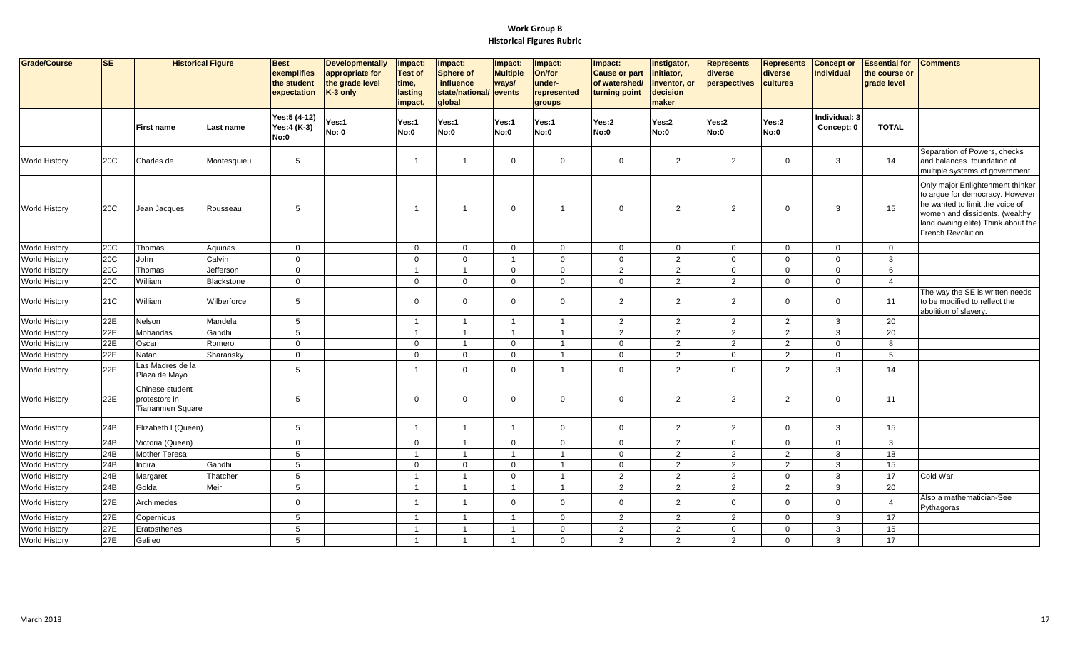| Grade/Course         | <b>SE</b> | <b>Historical Figure</b>                             |             | <b>Best</b><br>exemplifies<br>the student | <b>Developmentally</b><br>appropriate for<br>the grade level | Impact:<br><b>Test of</b><br>time, | Impact:<br><b>Sphere of</b><br>influence | Impact:<br><b>Multiple</b><br>ways/ | Impact:<br>On/for<br>under- | Impact:<br><b>Cause or part</b><br>of watershed/ | Instigator,<br>initiator,<br>inventor, or | <b>Represents</b><br>diverse<br>perspectives | <b>Represents</b><br>diverse<br>cultures | Concept or<br>Individual    | <b>Essential for</b><br>the course or<br>grade level | <b>Comments</b>                                                                                                                                                                                             |
|----------------------|-----------|------------------------------------------------------|-------------|-------------------------------------------|--------------------------------------------------------------|------------------------------------|------------------------------------------|-------------------------------------|-----------------------------|--------------------------------------------------|-------------------------------------------|----------------------------------------------|------------------------------------------|-----------------------------|------------------------------------------------------|-------------------------------------------------------------------------------------------------------------------------------------------------------------------------------------------------------------|
|                      |           |                                                      |             | expectation                               | K-3 only                                                     | lasting<br>impact,                 | state/national/ events<br>global         |                                     | represented<br>groups       | turning point                                    | decision<br>maker                         |                                              |                                          |                             |                                                      |                                                                                                                                                                                                             |
|                      |           | <b>First name</b>                                    | Last name   | Yes:5 (4-12)<br>Yes:4 (K-3)<br>No:0       | Yes:1<br><b>No: 0</b>                                        | Yes:1<br>No:0                      | Yes:1<br>No:0                            | Yes:1<br>No:0                       | Yes:1<br><b>No:0</b>        | Yes:2<br>No:0                                    | Yes:2<br>No:0                             | Yes:2<br><b>No:0</b>                         | Yes:2<br>No:0                            | Individual: 3<br>Concept: 0 | <b>TOTAL</b>                                         |                                                                                                                                                                                                             |
| <b>World History</b> | 20C       | Charles de                                           | Montesquieu | 5                                         |                                                              | 1                                  | $\overline{1}$                           | $\mathbf 0$                         | $\mathbf 0$                 | $\mathbf 0$                                      | $\overline{2}$                            | $\overline{2}$                               | $\mathbf 0$                              | 3                           | 14                                                   | Separation of Powers, checks<br>and balances foundation of<br>multiple systems of government                                                                                                                |
| <b>World History</b> | 20C       | Jean Jacques                                         | Rousseau    | 5                                         |                                                              | -1                                 | $\overline{1}$                           | $\mathbf{0}$                        | $\overline{\mathbf{1}}$     | $\Omega$                                         | 2                                         | $\overline{2}$                               | $\mathbf 0$                              | 3                           | 15                                                   | Only major Enlightenment thinker<br>to argue for democracy. However,<br>he wanted to limit the voice of<br>women and dissidents. (wealthy<br>land owning elite) Think about the<br><b>French Revolution</b> |
| <b>World History</b> | 20C       | Thomas                                               | Aquinas     | $\mathbf 0$                               |                                                              | $\overline{0}$                     | $\overline{0}$                           | $\overline{0}$                      | $\mathbf 0$                 | $\mathbf{0}$                                     | $\mathbf 0$                               | $\overline{0}$                               | $\mathbf 0$                              | $\Omega$                    | $\mathbf{0}$                                         |                                                                                                                                                                                                             |
| <b>World History</b> | 20C       | John                                                 | Calvin      | $\mathbf 0$                               |                                                              | $\mathbf 0$                        | $\mathbf 0$                              | $\overline{1}$                      | $\mathbf 0$                 | $\mathbf{0}$                                     | $\overline{2}$                            | $\mathbf 0$                                  | $\mathbf{0}$                             | $\mathbf 0$                 | 3                                                    |                                                                                                                                                                                                             |
| World History        | 20C       | Thomas                                               | Jefferson   | $\mathbf 0$                               |                                                              | $\overline{1}$                     | $\overline{1}$                           | $\mathbf 0$                         | $\mathbf 0$                 | $\mathbf{2}$                                     | $\overline{2}$                            | $\mathbf 0$                                  | $\mathbf 0$                              | $\mathbf{0}$                | 6                                                    |                                                                                                                                                                                                             |
| <b>World History</b> | 20C       | William                                              | Blackstone  | $\mathbf 0$                               |                                                              | $\mathbf 0$                        | $\overline{0}$                           | $\overline{0}$                      | $\mathbf 0$                 | $\mathbf{0}$                                     | 2                                         | $\overline{2}$                               | $\mathbf 0$                              | $\mathbf{0}$                | $\overline{4}$                                       |                                                                                                                                                                                                             |
| <b>World History</b> | 21C       | William                                              | Wilberforce | 5                                         |                                                              | $\Omega$                           | $\mathbf 0$                              | $\Omega$                            | $\Omega$                    | $\overline{2}$                                   | 2                                         | 2                                            | $\Omega$                                 | $\Omega$                    | 11                                                   | The way the SE is written needs<br>to be modified to reflect the<br>abolition of slavery.                                                                                                                   |
| <b>World History</b> | 22E       | Nelson                                               | Mandela     | 5                                         |                                                              | $\overline{1}$                     | $\overline{1}$                           | $\overline{1}$                      | $\overline{1}$              | $\overline{2}$                                   | $\overline{c}$                            | $\overline{2}$                               | $\overline{2}$                           | 3                           | 20                                                   |                                                                                                                                                                                                             |
| <b>World History</b> | 22E       | Mohandas                                             | Gandhi      | 5                                         |                                                              | $\overline{1}$                     | $\overline{1}$                           | $\overline{1}$                      | $\overline{\mathbf{1}}$     | $\mathbf{2}$                                     | $\overline{2}$                            | $\overline{2}$                               | 2                                        | $\mathbf{3}$                | 20                                                   |                                                                                                                                                                                                             |
| <b>World History</b> | 22E       | Oscar                                                | Romero      | $\mathbf 0$                               |                                                              | $\Omega$                           | $\overline{1}$                           | $\Omega$                            | $\overline{1}$              | $\mathbf{0}$                                     | 2                                         | $\overline{2}$                               | 2                                        | $\Omega$                    | 8                                                    |                                                                                                                                                                                                             |
| <b>World History</b> | 22E       | Natan                                                | Sharansky   | $\mathbf{0}$                              |                                                              | $\mathbf 0$                        | $\mathbf 0$                              | $\mathbf 0$                         | $\overline{1}$              | $\mathbf{0}$                                     | 2                                         | $\mathbf 0$                                  | 2                                        | $\Omega$                    | 5                                                    |                                                                                                                                                                                                             |
| <b>World History</b> | 22E       | Las Madres de la<br>Plaza de Mayo                    |             | 5                                         |                                                              |                                    | $\mathbf 0$                              | $\mathbf 0$                         | $\overline{1}$              | $\mathbf{0}$                                     | 2                                         | $\overline{0}$                               | $\overline{2}$                           | 3                           | 14                                                   |                                                                                                                                                                                                             |
| <b>World History</b> | 22E       | Chinese student<br>protestors in<br>Tiananmen Square |             | 5                                         |                                                              | 0                                  | $\mathbf 0$                              | $\mathbf 0$                         | $\mathbf 0$                 | $\mathbf 0$                                      | $\overline{2}$                            | $\overline{2}$                               | $\overline{2}$                           | $\mathbf 0$                 | 11                                                   |                                                                                                                                                                                                             |
| <b>World History</b> | 24B       | Elizabeth I (Queen)                                  |             | 5                                         |                                                              | $\overline{\mathbf{1}}$            | $\overline{1}$                           | $\overline{1}$                      | $\mathbf 0$                 | $\mathbf{0}$                                     | $\overline{2}$                            | $\overline{2}$                               | $\mathbf 0$                              | 3                           | 15                                                   |                                                                                                                                                                                                             |
| <b>World History</b> | 24B       | Victoria (Queen)                                     |             | $\mathbf 0$                               |                                                              | $\mathbf 0$                        | $\overline{1}$                           | $\mathbf 0$                         | $\mathbf 0$                 | $\mathbf 0$                                      | $\overline{2}$                            | $\mathbf 0$                                  | $\mathbf 0$                              | $\mathbf 0$                 | $\mathbf{3}$                                         |                                                                                                                                                                                                             |
| World History        | 24B       | Mother Teresa                                        |             | 5                                         |                                                              | $\overline{1}$                     | $\overline{1}$                           | $\overline{1}$                      | $\overline{1}$              | $\mathbf 0$                                      | $\overline{2}$                            | $\overline{2}$                               | $\overline{2}$                           | 3                           | 18                                                   |                                                                                                                                                                                                             |
| <b>World History</b> | 24B       | Indira                                               | Gandhi      | 5                                         |                                                              | $\Omega$                           | $\mathbf 0$                              | $\Omega$                            | $\overline{1}$              | $\mathbf 0$                                      | $\overline{2}$                            | $\overline{2}$                               | $\overline{2}$                           | 3                           | 15                                                   |                                                                                                                                                                                                             |
| <b>World History</b> | 24B       | Margaret                                             | Thatcher    | 5                                         |                                                              | -1                                 | $\overline{1}$                           | $\mathbf 0$                         | $\overline{1}$              | $\overline{2}$                                   | 2                                         | 2                                            | $\mathbf{0}$                             | $\mathbf{3}$                | 17                                                   | Cold War                                                                                                                                                                                                    |
| <b>World History</b> | 24B       | Golda                                                | Meir        | 5                                         |                                                              | $\overline{1}$                     | $\overline{1}$                           | $\overline{1}$                      | $\overline{1}$              | $\overline{2}$                                   | 2                                         | 2                                            | 2                                        | $\mathbf{3}$                | 20                                                   |                                                                                                                                                                                                             |
| <b>World History</b> | 27E       | Archimedes                                           |             | $\mathbf{0}$                              |                                                              | -1                                 | $\overline{1}$                           | $\mathbf 0$                         | $\mathbf 0$                 | $\mathbf{0}$                                     | 2                                         | $\mathbf 0$                                  | $\mathbf 0$                              | $\Omega$                    | $\overline{4}$                                       | Also a mathematician-See<br>Pythagoras                                                                                                                                                                      |
| <b>World History</b> | 27E       | Copernicus                                           |             | 5                                         |                                                              | $\overline{1}$                     | $\overline{1}$                           | $\overline{\mathbf{1}}$             | $\overline{0}$              | $\overline{2}$                                   | $\overline{c}$                            | $\overline{2}$                               | $\mathbf{0}$                             | 3                           | 17                                                   |                                                                                                                                                                                                             |
| <b>World History</b> | 27E       | Eratosthenes                                         |             | 5                                         |                                                              | $\overline{1}$                     | $\overline{1}$                           | $\overline{1}$                      | $\overline{0}$              | $\overline{2}$                                   | 2                                         | $\overline{0}$                               | $\mathbf{0}$                             | 3                           | 15                                                   |                                                                                                                                                                                                             |
| <b>World History</b> | 27E       | Galileo                                              |             | 5                                         |                                                              | $\overline{1}$                     | $\overline{1}$                           | $\mathbf{1}$                        | $\Omega$                    | $\overline{2}$                                   | 2                                         | 2                                            | $\mathbf{0}$                             | 3                           | 17                                                   |                                                                                                                                                                                                             |